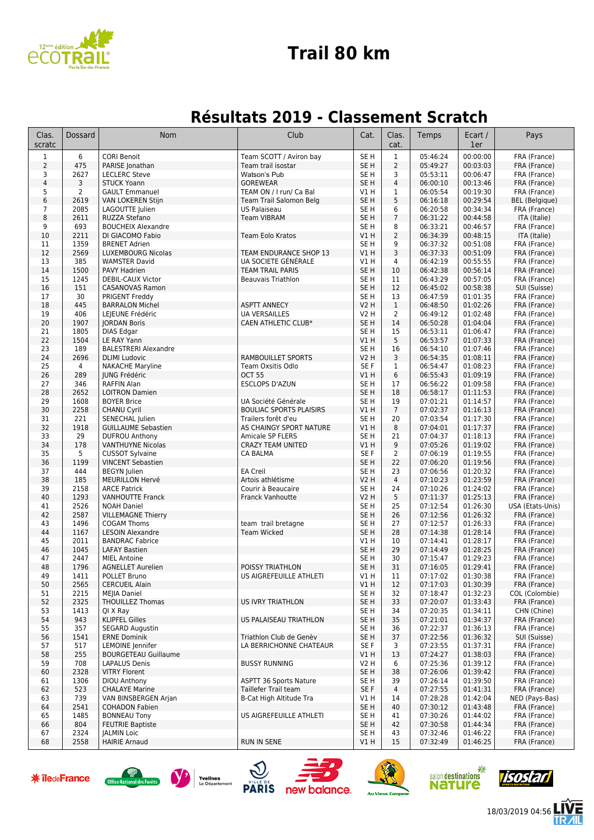

#### **Trail 80 km**

#### **Résultats 2019 - Classement Scratch**

| Clas.<br>scratc | <b>Dossard</b>                                                                                        | Nom                                                | Club                                 | Cat.                               | Clas.<br>cat.           | Temps                | Ecart /<br>1er       | Pays                           |
|-----------------|-------------------------------------------------------------------------------------------------------|----------------------------------------------------|--------------------------------------|------------------------------------|-------------------------|----------------------|----------------------|--------------------------------|
| $\mathbf{1}$    | 6                                                                                                     | <b>CORI Benoit</b>                                 | Team SCOTT / Aviron bay              | SE <sub>H</sub>                    | $\mathbf{1}$            | 05:46:24             | 00:00:00             | FRA (France)                   |
| $\overline{2}$  | 475                                                                                                   | PARISE Jonathan                                    | Team trail isostar                   | SE <sub>H</sub>                    | $\overline{2}$          | 05:49:27             | 00:03:03             | FRA (France)                   |
| 3               | 2627                                                                                                  | <b>LECLERC Steve</b>                               | Watson's Pub                         | SE <sub>H</sub>                    | 3                       | 05:53:11             | 00:06:47             | FRA (France)                   |
| 4               | 3                                                                                                     | <b>STUCK Yoann</b>                                 | <b>GOREWEAR</b>                      | SE <sub>H</sub>                    | $\overline{4}$          | 06:00:10             | 00:13:46             | FRA (France)                   |
| 5               | $\overline{2}$                                                                                        | <b>GAULT Emmanuel</b>                              | TEAM ON / I run/ Ca Bal              | V1 H                               | 1                       | 06:05:54             | 00:19:30             | FRA (France)                   |
| 6               | 2619                                                                                                  | VAN LOKEREN Stijn                                  | Team Trail Salomon Belg              | SE <sub>H</sub>                    | 5                       | 06:16:18             | 00:29:54             | <b>BEL</b> (Belgique)          |
| 7               | 2085                                                                                                  | LAGOUTTE Julien                                    | US Palaiseau                         | SE H                               | 6<br>$\overline{7}$     | 06:20:58             | 00:34:34             | FRA (France)                   |
| 8<br>9          | 2611<br>693                                                                                           | RUZZA Stefano<br><b>BOUCHEIX Alexandre</b>         | <b>Team VIBRAM</b>                   | SE <sub>H</sub><br>SE <sub>H</sub> | 8                       | 06:31:22<br>06:33:21 | 00:44:58<br>00:46:57 | ITA (Italie)<br>FRA (France)   |
| 10              | 2211                                                                                                  | DI GIACOMO Fabio                                   | <b>Team Eolo Kratos</b>              | V1H                                | $\overline{2}$          | 06:34:39             | 00:48:15             | ITA (Italie)                   |
| 11              | 1359                                                                                                  | <b>BRENET Adrien</b>                               |                                      | SE H                               | 9                       | 06:37:32             | 00:51:08             | FRA (France)                   |
| 12              | 2569                                                                                                  | LUXEMBOURG Nicolas                                 | TEAM ENDURANCE SHOP 13               | VIH                                | 3                       | 06:37:33             | 00:51:09             | FRA (France)                   |
| 13              | 385                                                                                                   | <b>WAMSTER David</b>                               | UA SOCIETE GÉNÉRALE                  | V1 H                               | 4                       | 06:42:19             | 00:55:55             | FRA (France)                   |
| 14              | 1500                                                                                                  | PAVY Hadrien                                       | <b>TEAM TRAIL PARIS</b>              | SE <sub>H</sub>                    | 10                      | 06:42:38             | 00:56:14             | FRA (France)                   |
| 15              | 1245                                                                                                  | DEBIL-CAUX Victor                                  | <b>Beauvais Triathlon</b>            | SE <sub>H</sub>                    | 11                      | 06:43:29             | 00:57:05             | FRA (France)                   |
| 16<br>17        | 151<br>30                                                                                             | <b>CASANOVAS Ramon</b><br>PRIGENT Freddy           |                                      | SE <sub>H</sub><br>SE H            | 12<br>13                | 06:45:02<br>06:47:59 | 00:58:38<br>01:01:35 | SUI (Suisse)<br>FRA (France)   |
| 18              | 445                                                                                                   | <b>BARRALON Michel</b>                             | <b>ASPTT ANNECY</b>                  | <b>V2 H</b>                        | $\mathbf{1}$            | 06:48:50             | 01:02:26             | FRA (France)                   |
| 19              | 406                                                                                                   | LEJEUNE Frédéric                                   | <b>UA VERSAILLES</b>                 | <b>V2 H</b>                        | 2                       | 06:49:12             | 01:02:48             | FRA (France)                   |
| 20              | 1907                                                                                                  | <b>JORDAN Boris</b>                                | CAEN ATHLETIC CLUB*                  | SE <sub>H</sub>                    | 14                      | 06:50:28             | 01:04:04             | FRA (France)                   |
| 21              | 1805                                                                                                  | DIAS Edgar                                         |                                      | SE H                               | 15                      | 06:53:11             | 01:06:47             | FRA (France)                   |
| 22              | 1504                                                                                                  | LE RAY Yann                                        |                                      | VIH                                | 5                       | 06:53:57             | 01:07:33             | FRA (France)                   |
| 23              | 189                                                                                                   | <b>BALESTRERI Alexandre</b>                        |                                      | SE H                               | 16                      | 06:54:10             | 01:07:46             | FRA (France)                   |
| 24              | 2696                                                                                                  | <b>DLIMI</b> Ludovic                               | <b>RAMBOUILLET SPORTS</b>            | <b>V2 H</b>                        | 3                       | 06:54:35             | 01:08:11             | FRA (France)                   |
| 25<br>26        | $\overline{4}$<br>289                                                                                 | <b>NAKACHE Maryline</b><br>JUNG Frédéric           | Team Oxsitis Odlo<br><b>OCT 55</b>   | SE F<br>VIH                        | $\mathbf{1}$<br>6       | 06:54:47<br>06:55:43 | 01:08:23<br>01:09:19 | FRA (France)<br>FRA (France)   |
| 27              | 346                                                                                                   | <b>RAFFIN Alan</b>                                 | <b>ESCLOPS D'AZUN</b>                | SE <sub>H</sub>                    | 17                      | 06:56:22             | 01:09:58             | FRA (France)                   |
| 28              | 2652                                                                                                  | <b>LOITRON Damien</b>                              |                                      | SE <sub>H</sub>                    | 18                      | 06:58:17             | 01:11:53             | FRA (France)                   |
| 29              | 1608                                                                                                  | <b>BOYER Brice</b>                                 | UA Société Générale                  | SE H                               | 19                      | 07:01:21             | 01:14:57             | FRA (France)                   |
| 30              | 2258                                                                                                  | <b>CHANU Cyril</b>                                 | <b>BOULIAC SPORTS PLAISIRS</b>       | VIH                                | $7\overline{ }$         | 07:02:37             | 01:16:13             | FRA (France)                   |
| 31              | 221                                                                                                   | SENECHAL Julien                                    | Trailers forêt d'eu                  | SE <sub>H</sub>                    | 20                      | 07:03:54             | 01:17:30             | FRA (France)                   |
| 32              | 1918                                                                                                  | <b>GUILLAUME Sebastien</b>                         | AS CHAINGY SPORT NATURE              | V1H                                | 8                       | 07:04:01             | 01:17:37             | FRA (France)                   |
| 33              | 29                                                                                                    | <b>DUFROU Anthony</b>                              | Amicale SP FLERS                     | SE H                               | 21                      | 07:04:37             | 01:18:13             | FRA (France)                   |
| 34<br>35        | 178<br>5                                                                                              | <b>VANTHUYNE Nicolas</b><br><b>CUSSOT Sylvaine</b> | <b>CRAZY TEAM UNITED</b><br>CA BALMA | VIH<br>SE F                        | 9<br>2                  | 07:05:26<br>07:06:19 | 01:19:02<br>01:19:55 | FRA (France)<br>FRA (France)   |
| 36              | 1199                                                                                                  | <b>VINCENT Sebastien</b>                           |                                      | SE <sub>H</sub>                    | 22                      | 07:06:20             | 01:19:56             | FRA (France)                   |
| 37              | 444                                                                                                   | <b>BEGYN</b> Julien                                | <b>EA Creil</b>                      | SE H                               | 23                      | 07:06:56             | 01:20:32             | FRA (France)                   |
| 38              | 185                                                                                                   | MEURILLON Hervé                                    | Artois athlétisme                    | V2 H                               | $\overline{4}$          | 07:10:23             | 01:23:59             | FRA (France)                   |
| 39              | 2158                                                                                                  | <b>ARCE Patrick</b>                                | Courir à Beaucaire                   | SE <sub>H</sub>                    | 24                      | 07:10:26             | 01:24:02             | FRA (France)                   |
| 40              | 1293                                                                                                  | <b>VANHOUTTE Franck</b>                            | <b>Franck Vanhoutte</b>              | V2 H                               | 5                       | 07:11:37             | 01:25:13             | FRA (France)                   |
| 41              | 2526                                                                                                  | <b>NOAH Daniel</b>                                 |                                      | SE H                               | 25                      | 07:12:54             | 01:26:30             | USA (Etats-Unis)               |
| 42<br>43        | 2587<br>1496                                                                                          | <b>VILLEMAGNE Thierry</b><br><b>COGAM Thoms</b>    | team trail bretagne                  | SE <sub>H</sub><br>SE H            | 26<br>27                | 07:12:56<br>07:12:57 | 01:26:32<br>01:26:33 | FRA (France)<br>FRA (France)   |
| 44              | 1167                                                                                                  | <b>LESOIN Alexandre</b>                            | <b>Team Wicked</b>                   | SE <sub>H</sub>                    | 28                      | 07:14:38             | 01:28:14             | FRA (France)                   |
| 45              | 2011                                                                                                  | <b>BANDRAC Fabrice</b>                             |                                      | $VI$ H                             | 10                      | 07:14:41             | 01:28:17             | FRA (France)                   |
| 46              | 1045                                                                                                  | <b>LAFAY Bastien</b>                               |                                      | SE <sub>H</sub>                    | 29                      | 07:14:49             | 01:28:25             | FRA (France)                   |
| 47              | 2447                                                                                                  | <b>MIEL Antoine</b>                                |                                      | SE H                               | 30                      | 07:15:47             | 01:29:23             | FRA (France)                   |
| 48              | 1796                                                                                                  | <b>AGNELLET Aurelien</b>                           | POISSY TRIATHLON                     | SE <sub>H</sub>                    | 31                      | 07:16:05             | 01:29:41             | FRA (France)                   |
| 49              | 1411                                                                                                  | POLLET Bruno                                       | US AIGREFEUILLE ATHLETI              | VIH                                | 11                      | 07:17:02             | 01:30:38             | FRA (France)                   |
| 50              | 2565                                                                                                  | <b>CERCUEIL Alain</b>                              |                                      | V1H                                | 12                      | 07:17:03             | 01:30:39             | FRA (France)                   |
| 51<br>52        | 2215<br>2325                                                                                          | <b>MEJIA Daniel</b><br><b>THOUILLEZ Thomas</b>     | <b>US IVRY TRIATHLON</b>             | SE H<br>SE <sub>H</sub>            | 32<br>33                | 07:18:47<br>07:20:07 | 01:32:23<br>01:33:43 | COL (Colombie)<br>FRA (France) |
| 53              | 1413                                                                                                  | QI X Ray                                           |                                      | SE H                               | 34                      | 07:20:35             | 01:34:11             | CHN (Chine)                    |
| 54              | 943                                                                                                   | <b>KLIPFEL Gilles</b>                              | US PALAISEAU TRIATHLON               | SE H                               | 35                      | 07:21:01             | 01:34:37             | FRA (France)                   |
| 55              | 357                                                                                                   | <b>SEGARD Augustin</b>                             |                                      | SE H                               | 36                      | 07:22:37             | 01:36:13             | FRA (France)                   |
| 56              | 1541                                                                                                  | <b>ERNE Dominik</b>                                | Triathlon Club de Genèv              | SE H                               | 37                      | 07:22:56             | 01:36:32             | SUI (Suisse)                   |
| 57              | 517                                                                                                   | LEMOINE Jennifer                                   | LA BERRICHONNE CHATEAUR              | SE F                               | 3                       | 07:23:55             | 01:37:31             | FRA (France)                   |
| 58              | 255                                                                                                   | <b>BOURGETEAU Guillaume</b>                        |                                      | V1 H                               | 13                      | 07:24:27             | 01:38:03             | FRA (France)                   |
| 59<br>60        | 708<br>2328                                                                                           | <b>LAPALUS Denis</b><br><b>VITRY Florent</b>       | <b>BUSSY RUNNING</b>                 | V2 H<br>SE H                       | 6<br>38                 | 07:25:36<br>07:26:06 | 01:39:12<br>01:39:42 | FRA (France)<br>FRA (France)   |
| 61              | 1306                                                                                                  | DIOU Anthony                                       | <b>ASPTT 36 Sports Nature</b>        | SE H                               | 39                      | 07:26:14             | 01:39:50             | FRA (France)                   |
| 62              | 523                                                                                                   | <b>CHALAYE Marine</b>                              | Taillefer Trail team                 | SE F                               | 4                       | 07:27:55             | 01:41:31             | FRA (France)                   |
| 63              | 739                                                                                                   | VAN BINSBERGEN Arjan                               | B-Cat High Altitude Tra              | V1 H                               | 14                      | 07:28:28             | 01:42:04             | NED (Pays-Bas)                 |
| 64              | 2541                                                                                                  | <b>COHADON Fabien</b>                              |                                      | SE <sub>H</sub>                    | 40                      | 07:30:12             | 01:43:48             | FRA (France)                   |
| 65              | 1485                                                                                                  | <b>BONNEAU Tony</b>                                | US AIGREFEUILLE ATHLETI              | SE H                               | 41                      | 07:30:26             | 01:44:02             | FRA (France)                   |
| 66              | 804                                                                                                   | <b>FEUTRIE Baptiste</b>                            |                                      | SE H                               | 42                      | 07:30:58             | 01:44:34             | FRA (France)                   |
| 67<br>68        | 2324<br>2558                                                                                          | <b>JALMIN Loic</b><br><b>HAIRIE Arnaud</b>         | <b>RUN IN SENE</b>                   | SE H<br>VIH                        | 43<br>15                | 07:32:46<br>07:32:49 | 01:46:22<br>01:46:25 | FRA (France)<br>FRA (France)   |
|                 |                                                                                                       |                                                    |                                      |                                    |                         |                      |                      |                                |
|                 |                                                                                                       |                                                    |                                      |                                    |                         |                      |                      |                                |
|                 |                                                                                                       | Yvelines                                           |                                      |                                    |                         | salon destinations   |                      |                                |
|                 | <b>*</b> îledeFrance<br>Office National des Forêts<br><b>PARIS</b><br><b>Nature</b><br>Le Département |                                                    |                                      |                                    |                         |                      |                      |                                |
|                 |                                                                                                       |                                                    | new balance.                         |                                    | <b>Au Vieux Campeur</b> |                      |                      |                                |













E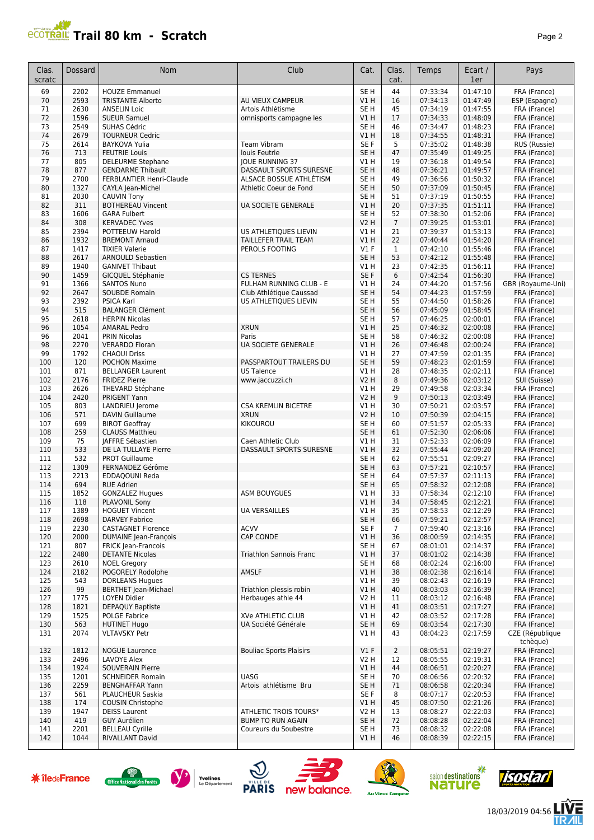## **Trail 80 km - Scratch** *Page 2 Page 2*

| Clas.<br>scratc | <b>Dossard</b> | <b>Nom</b>                                            | Club                                         | Cat.                               | Clas.<br>cat.      | Temps                | Ecart /<br>1er       | Pays                         |
|-----------------|----------------|-------------------------------------------------------|----------------------------------------------|------------------------------------|--------------------|----------------------|----------------------|------------------------------|
| 69              | 2202           | <b>HOUZE Emmanuel</b>                                 |                                              | SE <sub>H</sub>                    | 44                 | 07:33:34             | 01:47:10             | FRA (France)                 |
| 70              | 2593           | <b>TRISTANTE Alberto</b>                              | AU VIEUX CAMPEUR                             | VIH                                | 16                 | 07:34:13             | 01:47:49             | ESP (Espagne)                |
| 71              | 2630           | <b>ANSELIN Loic</b>                                   | Artois Athlétisme                            | SE <sub>H</sub>                    | 45                 | 07:34:19             | 01:47:55             | FRA (France)                 |
| 72              | 1596           | <b>SUEUR Samuel</b>                                   | omnisports campagne les                      | V1H                                | 17                 | 07:34:33             | 01:48:09             | FRA (France)                 |
| 73<br>74        | 2549<br>2679   | SUHAS Cédric<br><b>TOURNEUR Cedric</b>                |                                              | SE <sub>H</sub><br>VIH             | 46<br>18           | 07:34:47<br>07:34:55 | 01:48:23<br>01:48:31 | FRA (France)                 |
| 75              | 2614           | <b>BAYKOVA Yulia</b>                                  | <b>Team Vibram</b>                           | SE F                               | 5                  | 07:35:02             | 01:48:38             | FRA (France)<br>RUS (Russie) |
| 76              | 713            | <b>FEUTRIE Louis</b>                                  | louis Feutrie                                | SE <sub>H</sub>                    | 47                 | 07:35:49             | 01:49:25             | FRA (France)                 |
| 77              | 805            | <b>DELEURME Stephane</b>                              | JOUE RUNNING 37                              | V1H                                | 19                 | 07:36:18             | 01:49:54             | FRA (France)                 |
| 78              | 877            | <b>GENDARME Thibault</b>                              | DASSAULT SPORTS SURESNE                      | SE <sub>H</sub>                    | 48                 | 07:36:21             | 01:49:57             | FRA (France)                 |
| 79              | 2700           | <b>FERBLANTIER Henri-Claude</b>                       | ALSACE BOSSUE ATHLETISM                      | SE <sub>H</sub>                    | 49                 | 07:36:56             | 01:50:32             | FRA (France)                 |
| 80              | 1327           | CAYLA Jean-Michel                                     | Athletic Coeur de Fond                       | SE <sub>H</sub>                    | 50                 | 07:37:09             | 01:50:45             | FRA (France)                 |
| 81              | 2030           | <b>CAUVIN Tony</b>                                    |                                              | SE <sub>H</sub>                    | 51                 | 07:37:19             | 01:50:55             | FRA (France)                 |
| 82              | 311            | <b>BOTHEREAU Vincent</b>                              | UA SOCIETE GENERALE                          | <b>V1 H</b>                        | 20                 | 07:37:35             | 01:51:11             | FRA (France)                 |
| 83              | 1606           | <b>GARA Fulbert</b>                                   |                                              | SE <sub>H</sub>                    | 52                 | 07:38:30             | 01:52:06             | FRA (France)                 |
| 84              | 308            | <b>KERVADEC Yves</b>                                  |                                              | <b>V2 H</b>                        | $\overline{7}$     | 07:39:25             | 01:53:01             | FRA (France)                 |
| 85              | 2394           | POTTEEUW Harold                                       | US ATHLETIQUES LIEVIN                        | V1 H                               | 21                 | 07:39:37             | 01:53:13             | FRA (France)                 |
| 86<br>87        | 1932<br>1417   | <b>BREMONT Arnaud</b><br><b>TIXIER Valerie</b>        | TAILLEFER TRAIL TEAM<br>PEROLS FOOTING       | VIH<br>$VI$ F                      | 22<br>$\mathbf{1}$ | 07:40:44<br>07:42:10 | 01:54:20<br>01:55:46 | FRA (France)<br>FRA (France) |
| 88              | 2617           | <b>ARNOULD Sebastien</b>                              |                                              | SE <sub>H</sub>                    | 53                 | 07:42:12             | 01:55:48             | FRA (France)                 |
| 89              | 1940           | <b>GANIVET Thibaut</b>                                |                                              | V1H                                | 23                 | 07:42:35             | 01:56:11             | FRA (France)                 |
| 90              | 1459           | GICQUEL Stéphanie                                     | <b>CS TERNES</b>                             | SE F                               | 6                  | 07:42:54             | 01:56:30             | FRA (France)                 |
| 91              | 1366           | <b>SANTOS Nuno</b>                                    | FULHAM RUNNING CLUB - E                      | <b>V1 H</b>                        | 24                 | 07:44:20             | 01:57:56             | GBR (Royaume-Uni)            |
| 92              | 2647           | <b>SOUBDE Romain</b>                                  | Club Athlétique Caussad                      | SE <sub>H</sub>                    | 54                 | 07:44:23             | 01:57:59             | FRA (France)                 |
| 93              | 2392           | <b>PSICA Karl</b>                                     | US ATHLETIQUES LIEVIN                        | SE <sub>H</sub>                    | 55                 | 07:44:50             | 01:58:26             | FRA (France)                 |
| 94              | 515            | <b>BALANGER Clément</b>                               |                                              | SE <sub>H</sub>                    | 56                 | 07:45:09             | 01:58:45             | FRA (France)                 |
| 95              | 2618           | <b>HERPIN Nicolas</b>                                 |                                              | SE <sub>H</sub>                    | 57                 | 07:46:25             | 02:00:01             | FRA (France)                 |
| 96              | 1054           | <b>AMARAL Pedro</b>                                   | <b>XRUN</b>                                  | V1H                                | 25                 | 07:46:32             | 02:00:08             | FRA (France)                 |
| 96              | 2041           | <b>PRIN Nicolas</b>                                   | Paris                                        | SE <sub>H</sub>                    | 58                 | 07:46:32             | 02:00:08             | FRA (France)                 |
| 98              | 2270           | <b>VERARDO Floran</b>                                 | UA SOCIETE GENERALE                          | V1H                                | 26                 | 07:46:48             | 02:00:24             | FRA (France)                 |
| 99              | 1792           | <b>CHAOUI Driss</b>                                   |                                              | V1H                                | 27<br>59           | 07:47:59             | 02:01:35             | FRA (France)                 |
| 100<br>101      | 120<br>871     | <b>POCHON Maxime</b><br><b>BELLANGER Laurent</b>      | PASSPARTOUT TRAILERS DU<br><b>US Talence</b> | SE <sub>H</sub><br>V1H             | 28                 | 07:48:23<br>07:48:35 | 02:01:59<br>02:02:11 | FRA (France)<br>FRA (France) |
| 102             | 2176           | <b>FRIDEZ Pierre</b>                                  | www.jaccuzzi.ch                              | <b>V2 H</b>                        | 8                  | 07:49:36             | 02:03:12             | SUI (Suisse)                 |
| 103             | 2626           | THEVARD Stéphane                                      |                                              | V1 H                               | 29                 | 07:49:58             | 02:03:34             | FRA (France)                 |
| 104             | 2420           | PRIGENT Yann                                          |                                              | <b>V2 H</b>                        | 9                  | 07:50:13             | 02:03:49             | FRA (France)                 |
| 105             | 803            | LANDRIEU Jerome                                       | <b>CSA KREMLIN BICETRE</b>                   | V1H                                | 30                 | 07:50:21             | 02:03:57             | FRA (France)                 |
| 106             | 571            | <b>DAVIN Guillaume</b>                                | <b>XRUN</b>                                  | <b>V2 H</b>                        | 10                 | 07:50:39             | 02:04:15             | FRA (France)                 |
| 107             | 699            | <b>BIROT Geoffray</b>                                 | KIKOUROU                                     | SE <sub>H</sub>                    | 60                 | 07:51:57             | 02:05:33             | FRA (France)                 |
| 108             | 259            | <b>CLAUSS Matthieu</b>                                |                                              | SE <sub>H</sub>                    | 61                 | 07:52:30             | 02:06:06             | FRA (France)                 |
| 109             | 75             | <b>JAFFRE Sébastien</b>                               | Caen Athletic Club                           | V1 H                               | 31                 | 07:52:33             | 02:06:09             | FRA (France)                 |
| 110             | 533            | DE LA TULLAYE Pierre                                  | DASSAULT SPORTS SURESNE                      | V1H                                | 32                 | 07:55:44             | 02:09:20             | FRA (France)                 |
| 111             | 532            | <b>PROT Guillaume</b>                                 |                                              | SE <sub>H</sub>                    | 62                 | 07:55:51             | 02:09:27             | FRA (France)                 |
| 112             | 1309           | FERNANDEZ Gérôme                                      |                                              | SE <sub>H</sub>                    | 63                 | 07:57:21<br>07:57:37 | 02:10:57             | FRA (France)                 |
| 113<br>114      | 2213<br>694    | EDDAQOUNI Reda<br><b>RUE Adrien</b>                   |                                              | SE <sub>H</sub><br>SE <sub>H</sub> | 64<br>65           | 07:58:32             | 02:11:13<br>02:12:08 | FRA (France)<br>FRA (France) |
| 115             | 1852           | <b>GONZALEZ Hugues</b>                                | <b>ASM BOUYGUES</b>                          | V1 H                               | 33                 | 07:58:34             | 02:12:10             | FRA (France)                 |
| 116             | 118            | PLAVONIL Sony                                         |                                              | V1H                                | 34                 | 07:58:45             | 02:12:21             | FRA (France)                 |
| 117             | 1389           | <b>HOGUET Vincent</b>                                 | UA VERSAILLES                                | VIH                                | 35                 | 07:58:53             | 02:12:29             | FRA (France)                 |
| 118             | 2698           | <b>DARVEY Fabrice</b>                                 |                                              | SE <sub>H</sub>                    | 66                 | 07:59:21             | 02:12:57             | FRA (France)                 |
| 119             | 2230           | <b>CASTAGNET Florence</b>                             | <b>ACVV</b>                                  | SE F                               | $\overline{7}$     | 07:59:40             | 02:13:16             | FRA (France)                 |
| 120             | 2000           | <b>DUMAINE Jean-François</b>                          | CAP CONDE                                    | V1 H                               | 36                 | 08:00:59             | 02:14:35             | FRA (France)                 |
| 121             | 807            | <b>FRICK Jean-Francois</b>                            |                                              | SE H                               | 67                 | 08:01:01             | 02:14:37             | FRA (France)                 |
| 122             | 2480           | <b>DETANTE Nicolas</b>                                | <b>Triathlon Sannois Franc</b>               | V1H                                | 37                 | 08:01:02             | 02:14:38             | FRA (France)                 |
| 123             | 2610           | <b>NOEL Gregory</b>                                   |                                              | SE <sub>H</sub>                    | 68                 | 08:02:24             | 02:16:00             | FRA (France)                 |
| 124             | 2182           | POGORELY Rodolphe                                     | AMSLF                                        | VIH                                | 38                 | 08:02:38             | 02:16:14             | FRA (France)                 |
| 125<br>126      | 543<br>99      | <b>DORLEANS Hugues</b><br><b>BERTHET Jean-Michael</b> | Triathlon plessis robin                      | V1 H<br>VIH                        | 39<br>40           | 08:02:43<br>08:03:03 | 02:16:19<br>02:16:39 | FRA (France)<br>FRA (France) |
| 127             | 1775           | LOYEN Didier                                          | Herbauges athle 44                           | V2 H                               | 11                 | 08:03:12             | 02:16:48             | FRA (France)                 |
| 128             | 1821           | <b>DEPAQUY Baptiste</b>                               |                                              | V1H                                | 41                 | 08:03:51             | 02:17:27             | FRA (France)                 |
| 129             | 1525           | <b>POLGE Fabrice</b>                                  | <b>XVe ATHLETIC CLUB</b>                     | VIH                                | 42                 | 08:03:52             | 02:17:28             | FRA (France)                 |
| 130             | 563            | <b>HUTINET Hugo</b>                                   | UA Société Générale                          | SE <sub>H</sub>                    | 69                 | 08:03:54             | 02:17:30             | FRA (France)                 |
| 131             | 2074           | <b>VLTAVSKY Petr</b>                                  |                                              | V1 H                               | 43                 | 08:04:23             | 02:17:59             | CZE (République<br>tchèque)  |
| 132             | 1812           | <b>NOGUE Laurence</b>                                 | <b>Bouliac Sports Plaisirs</b>               | $VI$ F                             | $\overline{2}$     | 08:05:51             | 02:19:27             | FRA (France)                 |
| 133             | 2496           | LAVOYE Alex                                           |                                              | V2 H                               | 12                 | 08:05:55             | 02:19:31             | FRA (France)                 |
| 134             | 1924           | <b>SOUVERAIN Pierre</b>                               |                                              | VIH                                | 44                 | 08:06:51             | 02:20:27             | FRA (France)                 |
| 135             | 1201           | <b>SCHNEIDER Romain</b>                               | <b>UASG</b>                                  | SE H                               | 70                 | 08:06:56             | 02:20:32             | FRA (France)                 |
| 136             | 2259           | <b>BENGHAFFAR Yann</b>                                | Artois athlétisme Bru                        | SE <sub>H</sub>                    | 71                 | 08:06:58             | 02:20:34             | FRA (France)                 |
| 137             | 561            | PLAUCHEUR Saskia                                      |                                              | SE F                               | 8                  | 08:07:17             | 02:20:53             | FRA (France)                 |
| 138             | 174            | COUSIN Christophe                                     |                                              | V1H                                | 45                 | 08:07:50             | 02:21:26             | FRA (France)                 |
| 139             | 1947           | <b>DEISS Laurent</b>                                  | ATHLETIC TROIS TOURS*                        | V <sub>2</sub> H                   | 13                 | 08:08:27             | 02:22:03             | FRA (France)                 |
| 140             | 419            | <b>GUY Aurélien</b>                                   | <b>BUMP TO RUN AGAIN</b>                     | SE <sub>H</sub>                    | 72                 | 08:08:28             | 02:22:04             | FRA (France)                 |
| 141<br>142      | 2201<br>1044   | <b>BELLEAU Cyrille</b><br>RIVALLANT David             | Coureurs du Soubestre                        | SE H<br>V1 H                       | 73<br>46           | 08:08:32<br>08:08:39 | 02:22:08<br>02:22:15 | FRA (France)<br>FRA (France) |
|                 |                |                                                       |                                              |                                    |                    |                      |                      |                              |

















18/03/2019 04:56

发展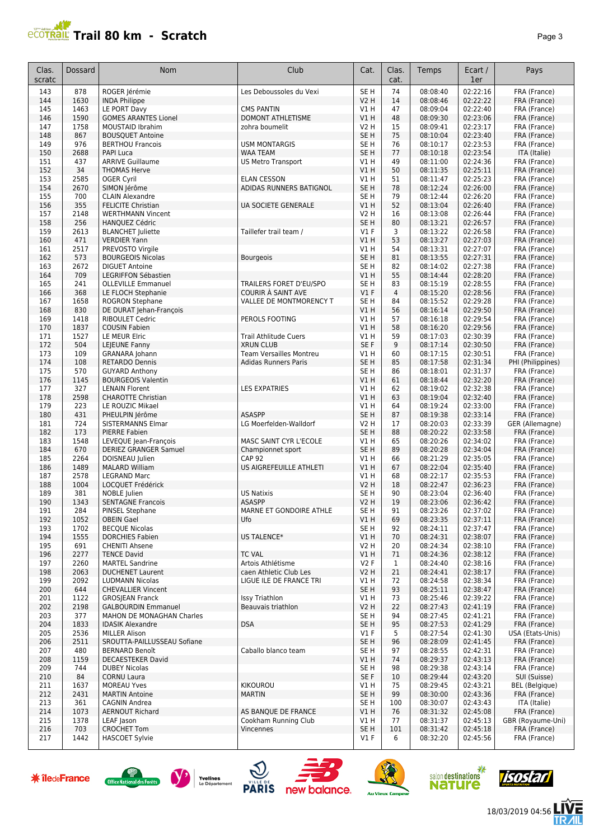## **Trail 80 km - Scratch Page 3 Page 3 Page 3 Page 3 Page 3 Page 3 Page 3**

| Clas.         | Dossard      | <b>Nom</b>                                           | Club                                               | Cat.                                | Clas.        | Temps                | Ecart /              | Pays                              |
|---------------|--------------|------------------------------------------------------|----------------------------------------------------|-------------------------------------|--------------|----------------------|----------------------|-----------------------------------|
| scratc<br>143 | 878          | ROGER Jérémie                                        | Les Deboussoles du Vexi                            | SE H                                | cat.<br>74   | 08:08:40             | 1er<br>02:22:16      | FRA (France)                      |
| 144           | 1630         | <b>INDA Philippe</b>                                 |                                                    | V2 H                                | 14           | 08:08:46             | 02:22:22             | FRA (France)                      |
| 145           | 1463         | LE PORT Davy                                         | <b>CMS PANTIN</b>                                  | V1 H                                | 47           | 08:09:04             | 02:22:40             | FRA (France)                      |
| 146           | 1590         | <b>GOMES ARANTES Lionel</b>                          | DOMONT ATHLETISME                                  | V1 H                                | 48           | 08:09:30             | 02:23:06             | FRA (France)                      |
| 147           | 1758         | <b>MOUSTAID Ibrahim</b>                              | zohra boumelit                                     | V2 H                                | 15           | 08:09:41             | 02:23:17             | FRA (France)                      |
| 148<br>149    | 867<br>976   | <b>BOUSQUET Antoine</b><br><b>BERTHOU Francois</b>   | <b>USM MONTARGIS</b>                               | SE <sub>H</sub><br>SE <sub>H</sub>  | 75<br>76     | 08:10:04<br>08:10:17 | 02:23:40<br>02:23:53 | FRA (France)<br>FRA (France)      |
| 150           | 2688         | <b>PAPI Luca</b>                                     | <b>WAA TEAM</b>                                    | SE <sub>H</sub>                     | 77           | 08:10:18             | 02:23:54             | ITA (Italie)                      |
| 151           | 437          | <b>ARRIVE Guillaume</b>                              | <b>US Metro Transport</b>                          | V1 H                                | 49           | 08:11:00             | 02:24:36             | FRA (France)                      |
| 152           | 34           | <b>THOMAS Herve</b>                                  |                                                    | V1H                                 | 50           | 08:11:35             | 02:25:11             | FRA (France)                      |
| 153           | 2585         | <b>OGER Cyril</b>                                    | <b>ELAN CESSON</b>                                 | V1 H                                | 51           | 08:11:47             | 02:25:23             | FRA (France)                      |
| 154           | 2670         | SIMON Jérôme                                         | ADIDAS RUNNERS BATIGNOL                            | SE <sub>H</sub>                     | 78           | 08:12:24             | 02:26:00             | FRA (France)                      |
| 155<br>156    | 700<br>355   | <b>CLAIN Alexandre</b><br><b>FELICITE Christian</b>  | <b>UA SOCIETE GENERALE</b>                         | SE <sub>H</sub><br>V1 H             | 79<br>52     | 08:12:44<br>08:13:04 | 02:26:20<br>02:26:40 | FRA (France)<br>FRA (France)      |
| 157           | 2148         | <b>WERTHMANN Vincent</b>                             |                                                    | V2 H                                | 16           | 08:13:08             | 02:26:44             | FRA (France)                      |
| 158           | 256          | <b>HANQUEZ Cédric</b>                                |                                                    | SE <sub>H</sub>                     | 80           | 08:13:21             | 02:26:57             | FRA (France)                      |
| 159           | 2613         | <b>BLANCHET Juliette</b>                             | Taillefer trail team /                             | $VI$ F                              | 3            | 08:13:22             | 02:26:58             | FRA (France)                      |
| 160           | 471          | <b>VERDIER Yann</b>                                  |                                                    | V1 H                                | 53           | 08:13:27             | 02:27:03             | FRA (France)                      |
| 161           | 2517         | PREVOSTO Virgile                                     |                                                    | V1H                                 | 54           | 08:13:31             | 02:27:07             | FRA (France)                      |
| 162           | 573          | <b>BOURGEOIS Nicolas</b><br><b>DIGUET Antoine</b>    | <b>Bourgeois</b>                                   | SE <sub>H</sub>                     | 81           | 08:13:55             | 02:27:31             | FRA (France)                      |
| 163<br>164    | 2672<br>709  | LEGRIFFON Sébastien                                  |                                                    | SE <sub>H</sub><br>V1 H             | 82<br>55     | 08:14:02<br>08:14:44 | 02:27:38<br>02:28:20 | FRA (France)<br>FRA (France)      |
| 165           | 241          | <b>OLLEVILLE Emmanuel</b>                            | TRAILERS FORET D'EU/SPO                            | SE <sub>H</sub>                     | 83           | 08:15:19             | 02:28:55             | FRA (France)                      |
| 166           | 368          | LE FLOCH Stephanie                                   | COURIR À SAINT AVE                                 | $VI$ F                              | 4            | 08:15:20             | 02:28:56             | FRA (France)                      |
| 167           | 1658         | <b>ROGRON Stephane</b>                               | VALLEE DE MONTMORENCY T                            | SE <sub>H</sub>                     | 84           | 08:15:52             | 02:29:28             | FRA (France)                      |
| 168           | 830          | DE DURAT Jehan-François                              |                                                    | V1 H                                | 56           | 08:16:14             | 02:29:50             | FRA (France)                      |
| 169           | 1418         | <b>RIBOULET Cedric</b>                               | PEROLS FOOTING                                     | V1 H                                | 57           | 08:16:18             | 02:29:54             | FRA (France)                      |
| 170           | 1837         | <b>COUSIN Fabien</b>                                 |                                                    | V1 H                                | 58           | 08:16:20             | 02:29:56             | FRA (France)                      |
| 171           | 1527         | LE MEUR Elric                                        | Trail Athlitude Cuers                              | V1 H                                | 59           | 08:17:03             | 02:30:39             | FRA (France)                      |
| 172<br>173    | 504<br>109   | LEJEUNE Fanny                                        | <b>XRUN CLUB</b><br><b>Team Versailles Montreu</b> | SE F<br>V1 H                        | 9<br>60      | 08:17:14<br>08:17:15 | 02:30:50<br>02:30:51 | FRA (France)                      |
| 174           | 108          | GRANARA Johann<br><b>RETARDO Dennis</b>              | Adidas Runners Paris                               | SE <sub>H</sub>                     | 85           | 08:17:58             | 02:31:34             | FRA (France)<br>PHI (Philippines) |
| 175           | 570          | <b>GUYARD Anthony</b>                                |                                                    | SE <sub>H</sub>                     | 86           | 08:18:01             | 02:31:37             | FRA (France)                      |
| 176           | 1145         | <b>BOURGEOIS Valentin</b>                            |                                                    | V1 H                                | 61           | 08:18:44             | 02:32:20             | FRA (France)                      |
| 177           | 327          | <b>LENAIN Florent</b>                                | <b>LES EXPATRIES</b>                               | V1 H                                | 62           | 08:19:02             | 02:32:38             | FRA (France)                      |
| 178           | 2598         | <b>CHAROTTE Christian</b>                            |                                                    | VIH                                 | 63           | 08:19:04             | 02:32:40             | FRA (France)                      |
| 179           | 223          | LE ROUZIC Mikael                                     |                                                    | V1 H                                | 64           | 08:19:24             | 02:33:00             | FRA (France)                      |
| 180           | 431          | PHEULPIN Jérôme                                      | <b>ASASPP</b>                                      | SE <sub>H</sub>                     | 87           | 08:19:38             | 02:33:14             | FRA (France)                      |
| 181<br>182    | 724<br>173   | SISTERMANNS Elmar<br><b>PIERRE Fabien</b>            | LG Moerfelden-Walldorf                             | V2 H<br>SE <sub>H</sub>             | 17<br>88     | 08:20:03<br>08:20:22 | 02:33:39<br>02:33:58 | GER (Allemagne)<br>FRA (France)   |
| 183           | 1548         | LEVEQUE Jean-François                                | <b>MASC SAINT CYR L'ECOLE</b>                      | V1 H                                | 65           | 08:20:26             | 02:34:02             | FRA (France)                      |
| 184           | 670          | <b>DERIEZ GRANGER Samuel</b>                         | Championnet sport                                  | SE <sub>H</sub>                     | 89           | 08:20:28             | 02:34:04             | FRA (France)                      |
| 185           | 2264         | DOISNEAU Julien                                      | <b>CAP 92</b>                                      | <b>V1 H</b>                         | 66           | 08:21:29             | 02:35:05             | FRA (France)                      |
| 186           | 1489         | <b>MALARD William</b>                                | US AIGREFEUILLE ATHLETI                            | V1 H                                | 67           | 08:22:04             | 02:35:40             | FRA (France)                      |
| 187           | 2578         | <b>LEGRAND Marc</b>                                  |                                                    | V1 H                                | 68           | 08:22:17             | 02:35:53             | FRA (France)                      |
| 188           | 1004         | LOCQUET Frédérick                                    |                                                    | V2 H                                | 18           | 08:22:47             | 02:36:23             | FRA (France)                      |
| 189<br>190    | 381<br>1343  | NOBLE Julien<br><b>SENTAGNE Francois</b>             | <b>US Natixis</b><br><b>ASASPP</b>                 | SE <sub>H</sub><br>V <sub>2</sub> H | 90<br>19     | 08:23:04<br>08:23:06 | 02:36:40<br>02:36:42 | FRA (France)<br>FRA (France)      |
| 191           | 284          | PINSEL Stephane                                      | MARNE ET GONDOIRE ATHLE                            | SE H                                | 91           | 08:23:26             | 02:37:02             | FRA (France)                      |
| 192           | 1052         | <b>OBEIN Gael</b>                                    | Ufo                                                | V1 H                                | 69           | 08:23:35             | 02:37:11             | FRA (France)                      |
| 193           | 1702         | <b>BECOUE Nicolas</b>                                |                                                    | SE H                                | 92           | 08:24:11             | 02:37:47             | FRA (France)                      |
| 194           | 1555         | <b>DORCHIES Fabien</b>                               | US TALENCE*                                        | V1 H                                | 70           | 08:24:31             | 02:38:07             | FRA (France)                      |
| 195           | 691          | <b>CHENITI Ahsene</b>                                |                                                    | V2 H                                | 20           | 08:24:34             | 02:38:10             | FRA (France)                      |
| 196           | 2277         | <b>TENCE David</b>                                   | <b>TC VAL</b>                                      | V1 H                                | 71           | 08:24:36             | 02:38:12             | FRA (France)                      |
| 197           | 2260         | <b>MARTEL Sandrine</b><br><b>DUCHENET Laurent</b>    | Artois Athlétisme<br>caen Athletic Club Les        | V2F                                 | $\mathbf{1}$ | 08:24:40             | 02:38:16             | FRA (France)                      |
| 198<br>199    | 2063<br>2092 | <b>LUDMANN Nicolas</b>                               | LIGUE ILE DE FRANCE TRI                            | V2 H<br>V1 H                        | 21<br>72     | 08:24:41<br>08:24:58 | 02:38:17<br>02:38:34 | FRA (France)<br>FRA (France)      |
| 200           | 644          | <b>CHEVALLIER Vincent</b>                            |                                                    | SE <sub>H</sub>                     | 93           | 08:25:11             | 02:38:47             | FRA (France)                      |
| 201           | 1122         | <b>GROSJEAN Franck</b>                               | <b>Issy Triathlon</b>                              | V1 H                                | 73           | 08:25:46             | 02:39:22             | FRA (France)                      |
| 202           | 2198         | <b>GALBOURDIN Emmanuel</b>                           | Beauvais triathlon                                 | V2H                                 | 22           | 08:27:43             | 02:41:19             | FRA (France)                      |
| 203           | 377          | MAHON DE MONAGHAN Charles                            |                                                    | SE H                                | 94           | 08:27:45             | 02:41:21             | FRA (France)                      |
| 204           | 1833         | <b>IDASIK Alexandre</b>                              | <b>DSA</b>                                         | SE H                                | 95           | 08:27:53             | 02:41:29             | FRA (France)                      |
| 205           | 2536         | <b>MILLER Alison</b>                                 |                                                    | $VI$ F                              | 5            | 08:27:54             | 02:41:30             | USA (Etats-Unis)                  |
| 206<br>207    | 2511         | SROUTTA-PAILLUSSEAU Sofiane<br><b>BERNARD Benoît</b> |                                                    | SE H                                | 96<br>97     | 08:28:09             | 02:41:45<br>02:42:31 | FRA (France)                      |
| 208           | 480<br>1159  | DECAESTEKER David                                    | Caballo blanco team                                | SE H<br>V1 H                        | 74           | 08:28:55<br>08:29:37 | 02:43:13             | FRA (France)<br>FRA (France)      |
| 209           | 744          | <b>DUBEY Nicolas</b>                                 |                                                    | SE H                                | 98           | 08:29:38             | 02:43:14             | FRA (France)                      |
| 210           | 84           | <b>CORNU Laura</b>                                   |                                                    | SE F                                | 10           | 08:29:44             | 02:43:20             | SUI (Suisse)                      |
| 211           | 1637         | <b>MOREAU Yves</b>                                   | <b>KIKOUROU</b>                                    | V1 H                                | 75           | 08:29:45             | 02:43:21             | <b>BEL</b> (Belgique)             |
| 212           | 2431         | <b>MARTIN Antoine</b>                                | <b>MARTIN</b>                                      | SE H                                | 99           | 08:30:00             | 02:43:36             | FRA (France)                      |
| 213           | 361          | CAGNIN Andrea                                        |                                                    | SE H                                | 100          | 08:30:07             | 02:43:43             | ITA (Italie)                      |
| 214           | 1073         | <b>AERNOUT Richard</b>                               | AS BANQUE DE FRANCE                                | V1 H                                | 76           | 08:31:32             | 02:45:08             | FRA (France)                      |
| 215<br>216    | 1378<br>703  | LEAF Jason<br><b>CROCHET Tom</b>                     | Cookham Running Club<br>Vincennes                  | V1 H<br>SE H                        | 77<br>101    | 08:31:37<br>08:31:42 | 02:45:13<br>02:45:18 | GBR (Royaume-Uni)<br>FRA (France) |
| 217           | 1442         | <b>HASCOET Sylvie</b>                                |                                                    | $VI$ F                              | 6            | 08:32:20             | 02:45:56             | FRA (France)                      |
|               |              |                                                      |                                                    |                                     |              |                      |                      |                                   |















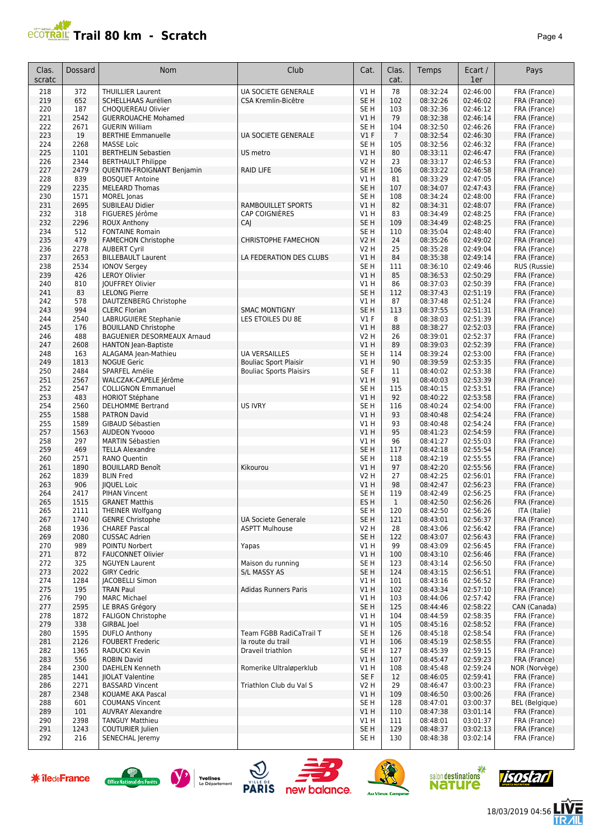## **Trail 80 km - Scratch Page 4 Page 4 Page 4 Page 4 Page 4 Page 4 Page 4 Page 4 Page 4 Page 4 Page 4 Page 4 Page 4 Page 4 Page 4 Page 4 Page 4 Page 4 Page 4 Page 4 Page 4 Page 4**

|  | Pag |
|--|-----|
|  |     |

| Clas.<br>scratc | <b>Dossard</b> | <b>Nom</b>                                              | Club                           | Cat.                   | Clas.<br>cat.  | Temps                | Ecart /<br>1er       | Pays                         |
|-----------------|----------------|---------------------------------------------------------|--------------------------------|------------------------|----------------|----------------------|----------------------|------------------------------|
| 218             | 372            | <b>THUILLIER Laurent</b>                                | <b>UA SOCIETE GENERALE</b>     | V1H                    | 78             | 08:32:24             | 02:46:00             | FRA (France)                 |
| 219             | 652            | SCHELLHAAS Aurélien                                     | CSA Kremlin-Bicêtre            | SE <sub>H</sub>        | 102            | 08:32:26             | 02:46:02             | FRA (France)                 |
| 220             | 187            | CHOQUEREAU Olivier                                      |                                | SE <sub>H</sub>        | 103            | 08:32:36             | 02:46:12             | FRA (France)                 |
| 221             | 2542           | <b>GUERROUACHE Mohamed</b>                              |                                | V1H                    | 79             | 08:32:38             | 02:46:14             | FRA (France)                 |
| 222             | 2671           | <b>GUERIN William</b>                                   |                                | SE <sub>H</sub>        | 104            | 08:32:50             | 02:46:26             | FRA (France)                 |
| 223             | 19             | <b>BERTHIE Emmanuelle</b>                               | UA SOCIETE GENERALE            | $VI$ F                 | $\overline{7}$ | 08:32:54             | 02:46:30             | FRA (France)                 |
| 224             | 2268           | <b>MASSE Loïc</b>                                       |                                | SE <sub>H</sub>        | 105            | 08:32:56             | 02:46:32             | FRA (France)                 |
| 225<br>226      | 1101<br>2344   | <b>BERTHELIN Sebastien</b><br><b>BERTHAULT Philippe</b> | US metro                       | VIH<br><b>V2 H</b>     | 80<br>23       | 08:33:11<br>08:33:17 | 02:46:47<br>02:46:53 | FRA (France)<br>FRA (France) |
| 227             | 2479           | QUENTIN-FROIGNANT Benjamin                              | <b>RAID LIFE</b>               | SE <sub>H</sub>        | 106            | 08:33:22             | 02:46:58             | FRA (France)                 |
| 228             | 839            | <b>BOSOUET Antoine</b>                                  |                                | V1H                    | 81             | 08:33:29             | 02:47:05             | FRA (France)                 |
| 229             | 2235           | <b>MELEARD Thomas</b>                                   |                                | SE <sub>H</sub>        | 107            | 08:34:07             | 02:47:43             | FRA (France)                 |
| 230             | 1571           | <b>MOREL</b> Jonas                                      |                                | SE <sub>H</sub>        | 108            | 08:34:24             | 02:48:00             | FRA (France)                 |
| 231             | 2695           | SUBILEAU Didier                                         | <b>RAMBOUILLET SPORTS</b>      | V1H                    | 82             | 08:34:31             | 02:48:07             | FRA (France)                 |
| 232             | 318            | FIGUERES Jérôme                                         | <b>CAP COIGNIÈRES</b>          | V1H                    | 83             | 08:34:49             | 02:48:25             | FRA (France)                 |
| 232             | 2296           | <b>ROUX Anthony</b>                                     | CAJ                            | SE <sub>H</sub>        | 109            | 08:34:49             | 02:48:25             | FRA (France)                 |
| 234             | 512            | <b>FONTAINE Romain</b>                                  |                                | SE <sub>H</sub>        | 110            | 08:35:04             | 02:48:40             | FRA (France)                 |
| 235             | 479            | <b>FAMECHON Christophe</b>                              | CHRISTOPHE FAMECHON            | V2 H                   | 24             | 08:35:26             | 02:49:02             | FRA (France)                 |
| 236             | 2278<br>2653   | <b>AUBERT Cyril</b>                                     | LA FEDERATION DES CLUBS        | V2 H                   | 25<br>84       | 08:35:28             | 02:49:04             | FRA (France)<br>FRA (France) |
| 237<br>238      | 2534           | <b>BILLEBAULT Laurent</b><br><b>IONOV Sergey</b>        |                                | V1H<br>SE <sub>H</sub> | 111            | 08:35:38<br>08:36:10 | 02:49:14<br>02:49:46 | RUS (Russie)                 |
| 239             | 426            | <b>LEROY Olivier</b>                                    |                                | V1H                    | 85             | 08:36:53             | 02:50:29             | FRA (France)                 |
| 240             | 810            | <b>IOUFFREY Olivier</b>                                 |                                | V1H                    | 86             | 08:37:03             | 02:50:39             | FRA (France)                 |
| 241             | 83             | <b>LELONG Pierre</b>                                    |                                | SE <sub>H</sub>        | 112            | 08:37:43             | 02:51:19             | FRA (France)                 |
| 242             | 578            | DAUTZENBERG Christophe                                  |                                | V1H                    | 87             | 08:37:48             | 02:51:24             | FRA (France)                 |
| 243             | 994            | <b>CLERC Florian</b>                                    | <b>SMAC MONTIGNY</b>           | SE <sub>H</sub>        | 113            | 08:37:55             | 02:51:31             | FRA (France)                 |
| 244             | 2540           | <b>LABRUGUIERE Stephanie</b>                            | LES ETOILES DU 8E              | $VI$ F                 | 8              | 08:38:03             | 02:51:39             | FRA (France)                 |
| 245             | 176            | <b>BOUILLAND Christophe</b>                             |                                | VIH                    | 88             | 08:38:27             | 02:52:03             | FRA (France)                 |
| 246             | 488            | BAGUENIER DESORMEAUX Arnaud                             |                                | <b>V2 H</b>            | 26             | 08:39:01             | 02:52:37             | FRA (France)                 |
| 247             | 2608           | <b>HANTON Jean-Baptiste</b>                             |                                | VIH                    | 89             | 08:39:03             | 02:52:39             | FRA (France)                 |
| 248             | 163            | ALAGAMA Jean-Mathieu                                    | <b>UA VERSAILLES</b>           | SE H                   | 114            | 08:39:24             | 02:53:00             | FRA (France)                 |
| 249<br>250      | 1813<br>2484   | <b>NOGUE Geric</b>                                      | <b>Bouliac Sport Plaisir</b>   | V1 H<br>SE F           | 90<br>11       | 08:39:59             | 02:53:35<br>02:53:38 | FRA (France)                 |
| 251             | 2567           | SPARFEL Amélie<br>WALCZAK-CAPELE Jérôme                 | <b>Bouliac Sports Plaisirs</b> | V1H                    | 91             | 08:40:02<br>08:40:03 | 02:53:39             | FRA (France)<br>FRA (France) |
| 252             | 2547           | <b>COLLIGNON Emmanuel</b>                               |                                | SE <sub>H</sub>        | 115            | 08:40:15             | 02:53:51             | FRA (France)                 |
| 253             | 483            | <b>HORIOT Stéphane</b>                                  |                                | V1H                    | 92             | 08:40:22             | 02:53:58             | FRA (France)                 |
| 254             | 2560           | <b>DELHOMME Bertrand</b>                                | <b>US IVRY</b>                 | SE <sub>H</sub>        | 116            | 08:40:24             | 02:54:00             | FRA (France)                 |
| 255             | 1588           | <b>PATRON David</b>                                     |                                | V1H                    | 93             | 08:40:48             | 02:54:24             | FRA (France)                 |
| 255             | 1589           | <b>GIBAUD Sébastien</b>                                 |                                | V1H                    | 93             | 08:40:48             | 02:54:24             | FRA (France)                 |
| 257             | 1563           | <b>AUDEON Yvoooo</b>                                    |                                | V1H                    | 95             | 08:41:23             | 02:54:59             | FRA (France)                 |
| 258             | 297            | <b>MARTIN Sébastien</b>                                 |                                | V1 H                   | 96             | 08:41:27             | 02:55:03             | FRA (France)                 |
| 259             | 469            | <b>TELLA Alexandre</b>                                  |                                | SE <sub>H</sub>        | 117            | 08:42:18             | 02:55:54             | FRA (France)                 |
| 260             | 2571           | <b>RANO Quentin</b>                                     |                                | SE H                   | 118            | 08:42:19             | 02:55:55             | FRA (France)                 |
| 261             | 1890<br>1839   | <b>BOUILLARD Benoît</b>                                 | Kikourou                       | V1H                    | 97<br>27       | 08:42:20             | 02:55:56             | FRA (France)                 |
| 262<br>263      | 906            | <b>BLIN</b> Fred<br><b>IIQUEL Loic</b>                  |                                | <b>V2 H</b><br>VIH     | 98             | 08:42:25<br>08:42:47 | 02:56:01<br>02:56:23 | FRA (France)<br>FRA (France) |
| 264             | 2417           | <b>PIHAN Vincent</b>                                    |                                | SE <sub>H</sub>        | 119            | 08:42:49             | 02:56:25             | FRA (France)                 |
| 265             | 1515           | <b>GRANET Matthis</b>                                   |                                | ES <sub>H</sub>        | $\mathbf{1}$   | 08:42:50             | 02:56:26             | FRA (France)                 |
| 265             | 2111           | <b>THEINER Wolfgang</b>                                 |                                | SE H                   | 120            | 08:42:50             | 02:56:26             | ITA (Italie)                 |
| 267             | 1740           | <b>GENRE Christophe</b>                                 | <b>UA Societe Generale</b>     | SE <sub>H</sub>        | 121            | 08:43:01             | 02:56:37             | FRA (France)                 |
| 268             | 1936           | <b>CHAREF Pascal</b>                                    | <b>ASPTT Mulhouse</b>          | V2 H                   | 28             | 08:43:06             | 02:56:42             | FRA (France)                 |
| 269             | 2080           | <b>CUSSAC Adrien</b>                                    |                                | SE <sub>H</sub>        | 122            | 08:43:07             | 02:56:43             | FRA (France)                 |
| 270             | 989            | POINTU Norbert                                          | Yapas                          | VIH                    | 99             | 08:43:09             | 02:56:45             | FRA (France)                 |
| 271             | 872            | <b>FAUCONNET Olivier</b>                                |                                | VIH                    | 100            | 08:43:10             | 02:56:46             | FRA (France)                 |
| 272             | 325            | <b>NGUYEN Laurent</b>                                   | Maison du running              | SE H                   | 123            | 08:43:14             | 02:56:50             | FRA (France)                 |
| 273<br>274      | 2022           | <b>GIRY Cedric</b>                                      | <b>S/L MASSY AS</b>            | SE H                   | 124            | 08:43:15             | 02:56:51             | FRA (France)                 |
| 275             | 1284<br>195    | JACOBELLI Simon<br><b>TRAN Paul</b>                     | <b>Adidas Runners Paris</b>    | V1 H<br>V1H            | 101<br>102     | 08:43:16<br>08:43:34 | 02:56:52<br>02:57:10 | FRA (France)<br>FRA (France) |
| 276             | 790            | <b>MARC Michael</b>                                     |                                | V1 H                   | 103            | 08:44:06             | 02:57:42             | FRA (France)                 |
| 277             | 2595           | LE BRAS Grégory                                         |                                | SE <sub>H</sub>        | 125            | 08:44:46             | 02:58:22             | CAN (Canada)                 |
| 278             | 1872           | <b>FALIGON Christophe</b>                               |                                | V1 H                   | 104            | 08:44:59             | 02:58:35             | FRA (France)                 |
| 279             | 338            | <b>GIRBAL</b> Joel                                      |                                | V1H                    | 105            | 08:45:16             | 02:58:52             | FRA (France)                 |
| 280             | 1595           | <b>DUFLO Anthony</b>                                    | Team FGBB RadiCaTrail T        | SE H                   | 126            | 08:45:18             | 02:58:54             | FRA (France)                 |
| 281             | 2126           | <b>FOUBERT Frederic</b>                                 | la route du trail              | V1H                    | 106            | 08:45:19             | 02:58:55             | FRA (France)                 |
| 282             | 1365           | RADUCKI Kevin                                           | Draveil triathlon              | SE <sub>H</sub>        | 127            | 08:45:39             | 02:59:15             | FRA (France)                 |
| 283             | 556            | <b>ROBIN David</b>                                      |                                | VIH                    | 107            | 08:45:47             | 02:59:23             | FRA (France)                 |
| 284             | 2300           | DAEHLEN Kenneth                                         | Romerike Ultraløperklub        | V1 H                   | 108            | 08:45:48             | 02:59:24             | NOR (Norvège)                |
| 285             | 1441           | <b>IIOLAT Valentine</b>                                 | Triathlon Club du Val S        | SE F                   | 12             | 08:46:05             | 02:59:41             | FRA (France)                 |
| 286<br>287      | 2271<br>2348   | <b>BASSARD Vincent</b><br>KOUAME AKA Pascal             |                                | V2 H<br>V1H            | 29<br>109      | 08:46:47<br>08:46:50 | 03:00:23<br>03:00:26 | FRA (France)<br>FRA (France) |
| 288             | 601            | <b>COUMANS Vincent</b>                                  |                                | SE H                   | 128            | 08:47:01             | 03:00:37             | <b>BEL</b> (Belgique)        |
| 289             | 101            | <b>AUVRAY Alexandre</b>                                 |                                | V1 H                   | 110            | 08:47:38             | 03:01:14             | FRA (France)                 |
| 290             | 2398           | <b>TANGUY Matthieu</b>                                  |                                | V1 H                   | 111            | 08:48:01             | 03:01:37             | FRA (France)                 |
| 291             | 1243           | COUTURIER Julien                                        |                                | SE <sub>H</sub>        | 129            | 08:48:37             | 03:02:13             | FRA (France)                 |
| 292             | 216            | SENECHAL Jeremy                                         |                                | SE H                   | 130            | 08:48:38             | 03:02:14             | FRA (France)                 |













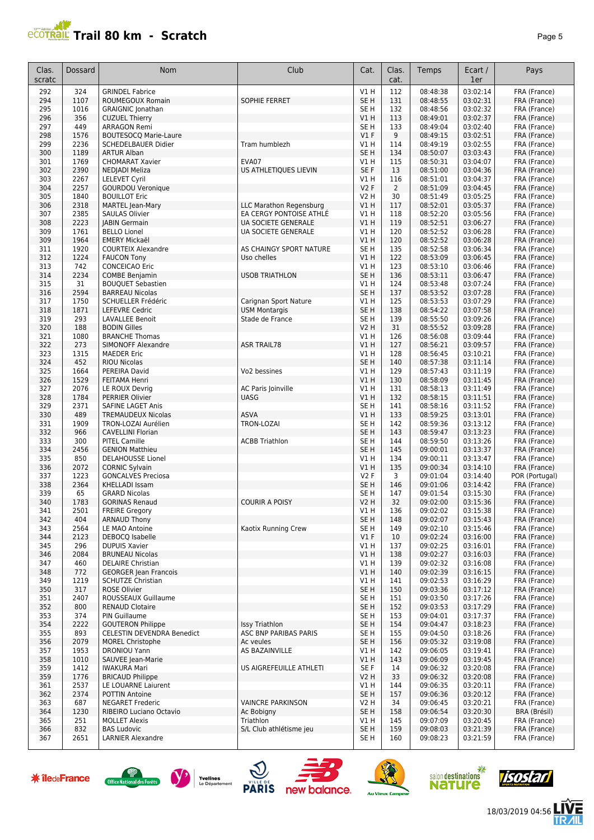## **Trail 80 km - Scratch** *Page 5 Page 5*

| Clas.<br>scratc | Dossard      | <b>Nom</b>                            | Club                           | Cat.                   | Clas.<br>cat.  | Temps                | Ecart /<br>1er       | Pays                         |
|-----------------|--------------|---------------------------------------|--------------------------------|------------------------|----------------|----------------------|----------------------|------------------------------|
| 292             | 324          | <b>GRINDEL Fabrice</b>                |                                | V1 H                   | 112            | 08:48:38             | 03:02:14             | FRA (France)                 |
| 294             | 1107         | ROUMEGOUX Romain                      | SOPHIE FERRET                  | SE <sub>H</sub>        | 131            | 08:48:55             | 03:02:31             | FRA (France)                 |
| 295             | 1016         | <b>GRAIGNIC Jonathan</b>              |                                | SE <sub>H</sub>        | 132            | 08:48:56             | 03:02:32             | FRA (France)                 |
| 296             | 356          | <b>CUZUEL Thierry</b>                 |                                | V1H                    | 113            | 08:49:01             | 03:02:37             | FRA (France)                 |
| 297             | 449          | <b>ARRAGON Remi</b>                   |                                | SE <sub>H</sub>        | 133            | 08:49:04             | 03:02:40             | FRA (France)                 |
| 298             | 1576         | <b>BOUTESOCQ Marie-Laure</b>          |                                | V1F                    | 9              | 08:49:15             | 03:02:51             | FRA (France)                 |
| 299             | 2236         | <b>SCHEDELBAUER Didier</b>            | Tram humblezh                  | V1 H                   | 114            | 08:49:19             | 03:02:55             | FRA (France)                 |
| 300             | 1189         | <b>ARTUR Alban</b>                    |                                | SE <sub>H</sub>        | 134            | 08:50:07             | 03:03:43             | FRA (France)                 |
| 301             | 1769         | <b>CHOMARAT Xavier</b>                | EVA07                          | V1 H                   | 115            | 08:50:31             | 03:04:07             | FRA (France)                 |
| 302             | 2390         | NEDJADI Meliza                        | US ATHLETIQUES LIEVIN          | SE F                   | 13             | 08:51:00             | 03:04:36             | FRA (France)                 |
| 303             | 2267         | <b>LELEVET Cyril</b>                  |                                | V1 H                   | 116            | 08:51:01             | 03:04:37             | FRA (France)                 |
| 304             | 2257         | <b>GOURDOU Veronique</b>              |                                | V2F                    | $\overline{2}$ | 08:51:09             | 03:04:45             | FRA (France)                 |
| 305             | 1840         | <b>BOUILLOT Eric</b>                  |                                | <b>V2 H</b>            | 30             | 08:51:49             | 03:05:25             | FRA (France)                 |
| 306             | 2318         | MARTEL Jean-Mary                      | <b>LLC Marathon Regensburg</b> | V1H                    | 117            | 08:52:01             | 03:05:37             | FRA (France)                 |
| 307             | 2385         | <b>SAULAS Olivier</b>                 | EA CERGY PONTOISE ATHLÉ        | VIH                    | 118            | 08:52:20             | 03:05:56             | FRA (France)                 |
| 308             | 2223         | <b>JABIN Germain</b>                  | UA SOCIETE GENERALE            | V1H                    | 119            | 08:52:51             | 03:06:27             | FRA (France)                 |
| 309             | 1761         | <b>BELLO Lionel</b>                   | UA SOCIETE GENERALE            | VIH                    | 120            | 08:52:52             | 03:06:28             | FRA (France)                 |
| 309             | 1964         | <b>EMERY Mickaël</b>                  |                                | V1H                    | 120            | 08:52:52             | 03:06:28             | FRA (France)                 |
| 311             | 1920         | <b>COURTEIX Alexandre</b>             | AS CHAINGY SPORT NATURE        | SE <sub>H</sub>        | 135            | 08:52:58             | 03:06:34             | FRA (France)                 |
| 312             | 1224         | <b>FAUCON Tony</b>                    | Uso chelles                    | V1H                    | 122            | 08:53:09             | 03:06:45             | FRA (France)                 |
| 313             | 742          | <b>CONCEICAO Eric</b>                 |                                | V1 H                   | 123            | 08:53:10             | 03:06:46             | FRA (France)                 |
| 314             | 2234         | <b>COMBE Benjamin</b>                 | <b>USOB TRIATHLON</b>          | SE <sub>H</sub>        | 136            | 08:53:11             | 03:06:47             | FRA (France)                 |
| 315             | 31           | <b>BOUQUET Sebastien</b>              |                                | V1 H                   | 124            | 08:53:48             | 03:07:24             | FRA (France)                 |
| 316             | 2594         | <b>BARREAU Nicolas</b>                |                                | SE <sub>H</sub>        | 137            | 08:53:52             | 03:07:28             | FRA (France)                 |
| 317             | 1750         | SCHUELLER Frédéric                    | Carignan Sport Nature          | V1 H                   | 125            | 08:53:53             | 03:07:29             | FRA (France)                 |
| 318             | 1871         | <b>LEFEVRE Cedric</b>                 | <b>USM Montargis</b>           | SE <sub>H</sub>        | 138            | 08:54:22             | 03:07:58             | FRA (France)                 |
| 319             | 293          | <b>LAVALLEE Benoit</b>                | Stade de France                | SE <sub>H</sub>        | 139            | 08:55:50             | 03:09:26             | FRA (France)                 |
| 320             | 188          | <b>BODIN Gilles</b>                   |                                | <b>V2 H</b>            | 31             | 08:55:52             | 03:09:28             | FRA (France)                 |
| 321             | 1080         | <b>BRANCHE Thomas</b>                 |                                | VIH                    | 126            | 08:56:08             | 03:09:44             | FRA (France)                 |
| 322             | 273          | SIMONOFF Alexandre                    | <b>ASR TRAIL78</b>             | V1H                    | 127            | 08:56:21             | 03:09:57             | FRA (France)                 |
| 323             | 1315         | <b>MAEDER Eric</b>                    |                                | V1 H                   | 128            | 08:56:45             | 03:10:21             | FRA (France)                 |
| 324             | 452          | <b>RIOU Nicolas</b>                   |                                | SE <sub>H</sub>        | 140            | 08:57:38             | 03:11:14             | FRA (France)                 |
| 325             | 1664         | PEREIRA David                         | Vo2 bessines                   | V1H                    | 129            | 08:57:43             | 03:11:19             | FRA (France)                 |
| 326             | 1529         | FEITAMA Henri                         |                                | VIH                    | 130            | 08:58:09             | 03:11:45             | FRA (France)                 |
| 327             | 2076         | LE ROUX Devrig                        | AC Paris Joinville             | V1 H                   | 131            | 08:58:13             | 03:11:49             | FRA (France)                 |
| 328             | 1784         | <b>PERRIER Olivier</b>                | <b>UASG</b>                    | V1H                    | 132            | 08:58:15             | 03:11:51             | FRA (France)                 |
| 329             | 2371         | SAFINE LAGET Anis                     |                                | SE <sub>H</sub>        | 141            | 08:58:16             | 03:11:52             | FRA (France)                 |
| 330             | 489          | <b>TREMAUDEUX Nicolas</b>             | <b>ASVA</b>                    | V1H                    | 133            | 08:59:25             | 03:13:01             | FRA (France)                 |
| 331             | 1909         | TRON-LOZAI Aurélien                   | TRON-LOZAI                     | SE <sub>H</sub>        | 142            | 08:59:36             | 03:13:12             | FRA (France)                 |
| 332             | 966          | <b>CAVELLINI Florian</b>              |                                | SE <sub>H</sub>        | 143            | 08:59:47             | 03:13:23             | FRA (France)                 |
| 333             | 300          | <b>PITEL Camille</b>                  | <b>ACBB Triathlon</b>          | SE <sub>H</sub>        | 144            | 08:59:50             | 03:13:26             | FRA (France)                 |
| 334             | 2456         | <b>GENION Matthieu</b>                |                                | SE <sub>H</sub>        | 145            | 09:00:01             | 03:13:37             | FRA (France)                 |
| 335             | 850          | <b>DELAHOUSSE Lionel</b>              |                                | VIH                    | 134            | 09:00:11             | 03:13:47             | FRA (France)                 |
| 336             | 2072         | <b>CORNIC Sylvain</b>                 |                                | V1 H                   | 135            | 09:00:34             | 03:14:10             | FRA (France)                 |
| 337             | 1223         | <b>GONCALVES Preciosa</b>             |                                | <b>V2F</b>             | 3              | 09:01:04             | 03:14:40             | POR (Portugal)               |
| 338             | 2364         | <b>KHELLADI Issam</b>                 |                                | SE <sub>H</sub>        | 146            | 09:01:06<br>09:01:54 | 03:14:42             | FRA (France)                 |
| 339             | 65           | <b>GRARD Nicolas</b>                  |                                | SE H                   | 147            |                      | 03:15:30             | FRA (France)                 |
| 340             | 1783         | <b>GORINAS Renaud</b>                 | <b>COURIR A POISY</b>          | V <sub>2</sub> H       | 32             | 09:02:00             | 03:15:36             | FRA (France)                 |
| 341<br>342      | 2501         | <b>FREIRE Gregory</b>                 |                                | V1H<br>SE <sub>H</sub> | 136            | 09:02:02             | 03:15:38<br>03:15:43 | FRA (France)<br>FRA (France) |
|                 | 404          | <b>ARNAUD Thony</b><br>LE MAO Antoine |                                |                        | 148            | 09:02:07             | 03:15:46             |                              |
| 343             | 2564<br>2123 | <b>DEBOCQ Isabelle</b>                | Kaotix Running Crew            | SE H<br>$VI$ F         | 149            | 09:02:10             |                      | FRA (France)                 |
| 344<br>345      | 296          | <b>DUPUIS Xavier</b>                  |                                | V1 H                   | 10<br>137      | 09:02:24<br>09:02:25 | 03:16:00<br>03:16:01 | FRA (France)<br>FRA (France) |
| 346             | 2084         | <b>BRUNEAU Nicolas</b>                |                                | V1H                    | 138            | 09:02:27             | 03:16:03             | FRA (France)                 |
| 347             | 460          | <b>DELAIRE Christian</b>              |                                | V1H                    | 139            | 09:02:32             | 03:16:08             | FRA (France)                 |
| 348             | 772          | <b>GEORGER Jean Francois</b>          |                                | V1H                    | 140            | 09:02:39             | 03:16:15             | FRA (France)                 |
| 349             | 1219         | <b>SCHUTZE Christian</b>              |                                | V1H                    | 141            | 09:02:53             | 03:16:29             | FRA (France)                 |
| 350             | 317          | <b>ROSE Olivier</b>                   |                                | SE H                   | 150            | 09:03:36             | 03:17:12             | FRA (France)                 |
| 351             | 2407         | ROUSSEAUX Guillaume                   |                                | SE H                   | 151            | 09:03:50             | 03:17:26             | FRA (France)                 |
| 352             | 800          | <b>RENAUD Clotaire</b>                |                                | SE H                   | 152            | 09:03:53             | 03:17:29             | FRA (France)                 |
| 353             | 374          | PIN Guillaume                         |                                | SE H                   | 153            | 09:04:01             | 03:17:37             | FRA (France)                 |
| 354             | 2222         | <b>GOUTERON Philippe</b>              | <b>Issy Triathlon</b>          | SE <sub>H</sub>        | 154            | 09:04:47             | 03:18:23             | FRA (France)                 |
| 355             | 893          | <b>CELESTIN DEVENDRA Benedict</b>     | ASC BNP PARIBAS PARIS          | SE <sub>H</sub>        | 155            | 09:04:50             | 03:18:26             | FRA (France)                 |
| 356             | 2079         | <b>MOREL Christophe</b>               | Ac veules                      | SE H                   | 156            | 09:05:32             | 03:19:08             | FRA (France)                 |
| 357             | 1953         | <b>DRONIOU Yann</b>                   | AS BAZAINVILLE                 | V1 H                   | 142            | 09:06:05             | 03:19:41             | FRA (France)                 |
| 358             | 1010         | SAUVEE Jean-Marie                     |                                | V1H                    | 143            | 09:06:09             | 03:19:45             | FRA (France)                 |
| 359             | 1412         | <b>IWAKURA Mari</b>                   | US AIGREFEUILLE ATHLETI        | SE F                   | 14             | 09:06:32             | 03:20:08             | FRA (France)                 |
| 359             | 1776         | <b>BRICAUD Philippe</b>               |                                | V <sub>2</sub> H       | 33             | 09:06:32             | 03:20:08             | FRA (France)                 |
| 361             | 2537         | LE LOUARNE Laiurent                   |                                | V1 H                   | 144            | 09:06:35             | 03:20:11             | FRA (France)                 |
| 362             | 2374         | POTTIN Antoine                        |                                | SE H                   | 157            | 09:06:36             | 03:20:12             | FRA (France)                 |
| 363             | 687          | <b>NEGARET Frederic</b>               | <b>VAINCRE PARKINSON</b>       | V2 H                   | 34             | 09:06:45             | 03:20:21             | FRA (France)                 |
| 364             | 1230         | RIBEIRO Luciano Octavio               | Ac Bobigny                     | SE H                   | 158            | 09:06:54             | 03:20:30             | BRA (Brésil)                 |
| 365             | 251          | <b>MOLLET Alexis</b>                  | Triathlon                      | V1 H                   | 145            | 09:07:09             | 03:20:45             | FRA (France)                 |
| 366             | 832          | <b>BAS Ludovic</b>                    | S/L Club athlétisme jeu        | SE H                   | 159            | 09:08:03             | 03:21:39             | FRA (France)                 |
| 367             | 2651         | <b>LARNIER Alexandre</b>              |                                | SE H                   | 160            | 09:08:23             | 03:21:59             | FRA (France)                 |

















18/03/2019 04:56

发展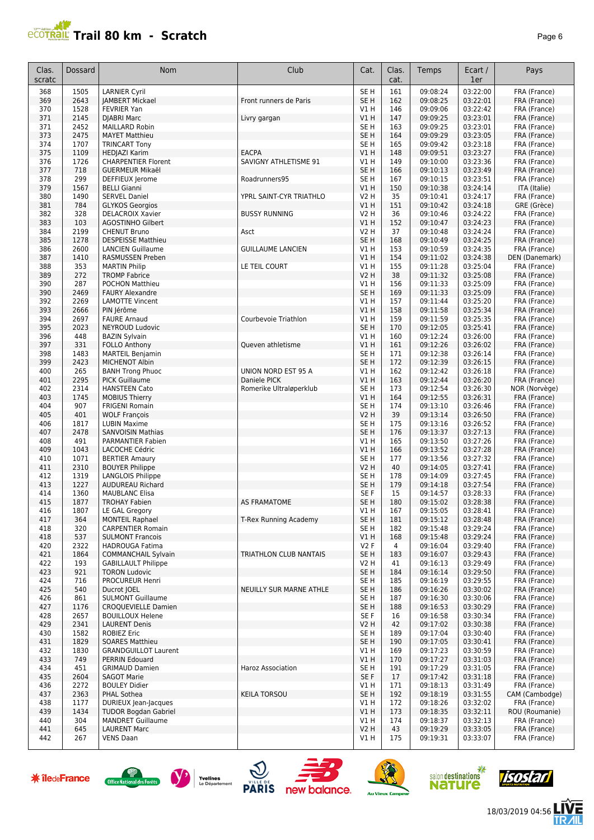## **Trail 80 km - Scratch** *Page 6 Page 6*

| Clas.<br>scratc | Dossard      | <b>Nom</b>                                            | Club                     | Cat.                               | Clas.<br>cat. | <b>Temps</b>         | Ecart /<br>1er       | Pays                           |
|-----------------|--------------|-------------------------------------------------------|--------------------------|------------------------------------|---------------|----------------------|----------------------|--------------------------------|
| 368             | 1505         | <b>LARNIER Cyril</b>                                  |                          | SE <sub>H</sub>                    | 161           | 09:08:24             | 03:22:00             | FRA (France)                   |
| 369             | 2643         | <b>JAMBERT Mickael</b>                                | Front runners de Paris   | SE <sub>H</sub>                    | 162           | 09:08:25             | 03:22:01             | FRA (France)                   |
| 370             | 1528         | <b>FEVRIER Yan</b>                                    |                          | V1 H                               | 146           | 09:09:06             | 03:22:42             | FRA (France)                   |
| 371             | 2145         | <b>DJABRI Marc</b>                                    | Livry gargan             | V1H                                | 147           | 09:09:25             | 03:23:01             | FRA (France)                   |
| 371<br>373      | 2452<br>2475 | <b>MAILLARD Robin</b>                                 |                          | SE <sub>H</sub><br>SE <sub>H</sub> | 163<br>164    | 09:09:25             | 03:23:01<br>03:23:05 | FRA (France)                   |
| 374             | 1707         | <b>MAYET Matthieu</b><br><b>TRINCART Tony</b>         |                          | SE <sub>H</sub>                    | 165           | 09:09:29<br>09:09:42 | 03:23:18             | FRA (France)<br>FRA (France)   |
| 375             | 1109         | HEDJAZI Karim                                         | <b>EACPA</b>             | V1H                                | 148           | 09:09:51             | 03:23:27             | FRA (France)                   |
| 376             | 1726         | <b>CHARPENTIER Florent</b>                            | SAVIGNY ATHLETISME 91    | VIH                                | 149           | 09:10:00             | 03:23:36             | FRA (France)                   |
| 377             | 718          | <b>GUERMEUR Mikaël</b>                                |                          | SE <sub>H</sub>                    | 166           | 09:10:13             | 03:23:49             | FRA (France)                   |
| 378             | 299          | DEFFIEUX Jerome                                       | Roadrunners95            | SE <sub>H</sub>                    | 167           | 09:10:15             | 03:23:51             | FRA (France)                   |
| 379             | 1567         | <b>BELLI Gianni</b>                                   |                          | V1H                                | 150           | 09:10:38             | 03:24:14             | ITA (Italie)                   |
| 380             | 1490         | <b>SERVEL Daniel</b>                                  | YPRL SAINT-CYR TRIATHLO  | V2 H                               | 35            | 09:10:41             | 03:24:17             | FRA (France)                   |
| 381             | 784          | <b>GLYKOS Georgios</b>                                |                          | VIH                                | 151           | 09:10:42             | 03:24:18             | GRE (Grèce)                    |
| 382             | 328          | <b>DELACROIX Xavier</b>                               | <b>BUSSY RUNNING</b>     | V2 H                               | 36            | 09:10:46             | 03:24:22             | FRA (France)                   |
| 383             | 103          | <b>AGOSTINHO Gilbert</b>                              |                          | V1H                                | 152           | 09:10:47             | 03:24:23             | FRA (France)                   |
| 384             | 2199         | <b>CHENUT Bruno</b>                                   | Asct                     | <b>V2 H</b>                        | 37            | 09:10:48             | 03:24:24             | FRA (France)                   |
| 385             | 1278         | <b>DESPEISSE Matthieu</b>                             |                          | SE <sub>H</sub>                    | 168           | 09:10:49             | 03:24:25             | FRA (France)                   |
| 386             | 2600         | <b>LANCIEN Guillaume</b>                              | <b>GUILLAUME LANCIEN</b> | V1H                                | 153           | 09:10:59             | 03:24:35             | FRA (France)                   |
| 387             | 1410<br>353  | RASMUSSEN Preben                                      |                          | V1H                                | 154<br>155    | 09:11:02             | 03:24:38<br>03:25:04 | DEN (Danemark)<br>FRA (France) |
| 388<br>389      | 272          | <b>MARTIN Philip</b><br><b>TROMP Fabrice</b>          | LE TEIL COURT            | VIH<br><b>V2 H</b>                 | 38            | 09:11:28<br>09:11:32 | 03:25:08             |                                |
| 390             | 287          | <b>POCHON Matthieu</b>                                |                          | VIH                                | 156           | 09:11:33             | 03:25:09             | FRA (France)<br>FRA (France)   |
| 390             | 2469         | <b>FAURY Alexandre</b>                                |                          | SE <sub>H</sub>                    | 169           | 09:11:33             | 03:25:09             | FRA (France)                   |
| 392             | 2269         | <b>LAMOTTE Vincent</b>                                |                          | V1H                                | 157           | 09:11:44             | 03:25:20             | FRA (France)                   |
| 393             | 2666         | PIN Jérôme                                            |                          | VIH                                | 158           | 09:11:58             | 03:25:34             | FRA (France)                   |
| 394             | 2697         | <b>FAURE Arnaud</b>                                   | Courbevoie Triathlon     | V1 H                               | 159           | 09:11:59             | 03:25:35             | FRA (France)                   |
| 395             | 2023         | <b>NEYROUD Ludovic</b>                                |                          | SE <sub>H</sub>                    | 170           | 09:12:05             | 03:25:41             | FRA (France)                   |
| 396             | 448          | <b>BAZIN Sylvain</b>                                  |                          | V1H                                | 160           | 09:12:24             | 03:26:00             | FRA (France)                   |
| 397             | 331          | <b>FOLLO Anthony</b>                                  | Queven athletisme        | V1H                                | 161           | 09:12:26             | 03:26:02             | FRA (France)                   |
| 398             | 1483         | <b>MARTEIL Benjamin</b>                               |                          | SE <sub>H</sub>                    | 171           | 09:12:38             | 03:26:14             | FRA (France)                   |
| 399             | 2423         | MICHENOT Albin                                        |                          | SE <sub>H</sub>                    | 172           | 09:12:39             | 03:26:15             | FRA (France)                   |
| 400             | 265          | <b>BANH Trong Phuoc</b>                               | UNION NORD EST 95 A      | VIH                                | 162           | 09:12:42             | 03:26:18             | FRA (France)                   |
| 401             | 2295         | <b>PICK Guillaume</b>                                 | Daniele PICK             | V1H                                | 163           | 09:12:44             | 03:26:20             | FRA (France)                   |
| 402             | 2314         | <b>HANSTEEN Cato</b>                                  | Romerike Ultraløperklub  | SE <sub>H</sub>                    | 173           | 09:12:54             | 03:26:30             | NOR (Norvège)                  |
| 403             | 1745         | <b>MOBIUS Thierry</b>                                 |                          | V1H                                | 164           | 09:12:55             | 03:26:31             | FRA (France)                   |
| 404             | 907          | <b>FRIGENI Romain</b>                                 |                          | SE <sub>H</sub>                    | 174           | 09:13:10             | 03:26:46             | FRA (France)                   |
| 405             | 401          | <b>WOLF François</b>                                  |                          | V2 H                               | 39            | 09:13:14             | 03:26:50             | FRA (France)                   |
| 406             | 1817         | <b>LUBIN Maxime</b>                                   |                          | SE H                               | 175           | 09:13:16             | 03:26:52             | FRA (France)                   |
| 407             | 2478         | <b>SANVOISIN Mathias</b>                              |                          | SE <sub>H</sub>                    | 176           | 09:13:37             | 03:27:13             | FRA (France)                   |
| 408             | 491          | PARMANTIER Fabien                                     |                          | VIH                                | 165           | 09:13:50             | 03:27:26             | FRA (France)                   |
| 409<br>410      | 1043<br>1071 | LACOCHE Cédric<br><b>BERTIER Amaury</b>               |                          | V1H<br>SE <sub>H</sub>             | 166<br>177    | 09:13:52<br>09:13:56 | 03:27:28<br>03:27:32 | FRA (France)<br>FRA (France)   |
| 411             | 2310         | <b>BOUYER Philippe</b>                                |                          | <b>V2 H</b>                        | 40            | 09:14:05             | 03:27:41             | FRA (France)                   |
| 412             | 1319         | LANGLOIS Philippe                                     |                          | SE <sub>H</sub>                    | 178           | 09:14:09             | 03:27:45             | FRA (France)                   |
| 413             | 1227         | <b>AUDUREAU Richard</b>                               |                          | SE <sub>H</sub>                    | 179           | 09:14:18             | 03:27:54             | FRA (France)                   |
| 414             | 1360         | <b>MAUBLANC Elisa</b>                                 |                          | SE F                               | 15            | 09:14:57             | 03:28:33             | FRA (France)                   |
| 415             | 1877         | <b>TROHAY Fabien</b>                                  | <b>AS FRAMATOME</b>      | SE <sub>H</sub>                    | 180           | 09:15:02             | 03:28:38             | FRA (France)                   |
| 416             | 1807         | LE GAL Gregory                                        |                          | V1 H                               | 167           | 09:15:05             | 03:28:41             | FRA (France)                   |
| 417             | 364          | <b>MONTEIL Raphael</b>                                | T-Rex Running Academy    | SE <sub>H</sub>                    | 181           | 09:15:12             | 03:28:48             | FRA (France)                   |
| 418             | 320          | <b>CARPENTIER Romain</b>                              |                          | SE H                               | 182           | 09:15:48             | 03:29:24             | FRA (France)                   |
| 418             | 537          | <b>SULMONT Francois</b>                               |                          | V1 H                               | 168           | 09:15:48             | 03:29:24             | FRA (France)                   |
| 420             | 2322         | <b>HADROUGA Fatima</b>                                |                          | <b>V2F</b>                         | 4             | 09:16:04             | 03:29:40             | FRA (France)                   |
| 421             | 1864         | <b>COMMANCHAIL Sylvain</b>                            | TRIATHLON CLUB NANTAIS   | SE <sub>H</sub>                    | 183           | 09:16:07             | 03:29:43             | FRA (France)                   |
| 422             | 193          | <b>GABILLAULT Philippe</b>                            |                          | V2 H                               | 41            | 09:16:13             | 03:29:49             | FRA (France)                   |
| 423             | 921          | <b>TORON Ludovic</b>                                  |                          | SE <sub>H</sub>                    | 184           | 09:16:14             | 03:29:50             | FRA (France)                   |
| 424             | 716          | PROCUREUR Henri                                       |                          | SE <sub>H</sub>                    | 185           | 09:16:19             | 03:29:55             | FRA (France)                   |
| 425             | 540          | Ducrot JOEL                                           | NEUILLY SUR MARNE ATHLE  | SE <sub>H</sub>                    | 186           | 09:16:26             | 03:30:02             | FRA (France)                   |
| 426             | 861<br>1176  | <b>SULMONT Guillaume</b>                              |                          | SE <sub>H</sub><br>SE <sub>H</sub> | 187<br>188    | 09:16:30<br>09:16:53 | 03:30:06<br>03:30:29 | FRA (France)                   |
| 427<br>428      | 2657         | <b>CROQUEVIELLE Damien</b><br><b>BOUILLOUX Helene</b> |                          | SE F                               | 16            | 09:16:58             | 03:30:34             | FRA (France)<br>FRA (France)   |
| 429             | 2341         | <b>LAURENT Denis</b>                                  |                          | V <sub>2</sub> H                   | 42            | 09:17:02             | 03:30:38             | FRA (France)                   |
| 430             | 1582         | <b>ROBIEZ Eric</b>                                    |                          | SE H                               | 189           | 09:17:04             | 03:30:40             | FRA (France)                   |
| 431             | 1829         | <b>SOARES Matthieu</b>                                |                          | SE H                               | 190           | 09:17:05             | 03:30:41             | FRA (France)                   |
| 432             | 1830         | <b>GRANDGUILLOT Laurent</b>                           |                          | V1 H                               | 169           | 09:17:23             | 03:30:59             | FRA (France)                   |
| 433             | 749          | PERRIN Edouard                                        |                          | VIH                                | 170           | 09:17:27             | 03:31:03             | FRA (France)                   |
| 434             | 451          | <b>GRIMAUD Damien</b>                                 | Haroz Association        | SE H                               | 191           | 09:17:29             | 03:31:05             | FRA (France)                   |
| 435             | 2604         | <b>SAGOT Marie</b>                                    |                          | SE F                               | 17            | 09:17:42             | 03:31:18             | FRA (France)                   |
| 436             | 2272         | <b>BOULEY Didier</b>                                  |                          | V1 H                               | 171           | 09:18:13             | 03:31:49             | FRA (France)                   |
| 437             | 2363         | PHAL Sothea                                           | <b>KEILA TORSOU</b>      | SE <sub>H</sub>                    | 192           | 09:18:19             | 03:31:55             | CAM (Cambodge)                 |
| 438             | 1177         | DURIEUX Jean-Jacques                                  |                          | V1H                                | 172           | 09:18:26             | 03:32:02             | FRA (France)                   |
| 439             | 1434         | <b>TUDOR Bogdan Gabriel</b>                           |                          | V1H                                | 173           | 09:18:35             | 03:32:11             | ROU (Roumanie)                 |
| 440             | 304          | <b>MANDRET Guillaume</b>                              |                          | V1H                                | 174           | 09:18:37             | 03:32:13             | FRA (France)                   |
| 441             | 645          | <b>LAURENT Marc</b>                                   |                          | V2H                                | 43            | 09:19:29             | 03:33:05             | FRA (France)                   |
| 442             | 267          | <b>VENS Daan</b>                                      |                          | V1 H                               | 175           | 09:19:31             | 03:33:07             | FRA (France)                   |















18/03/2019 04:56

发展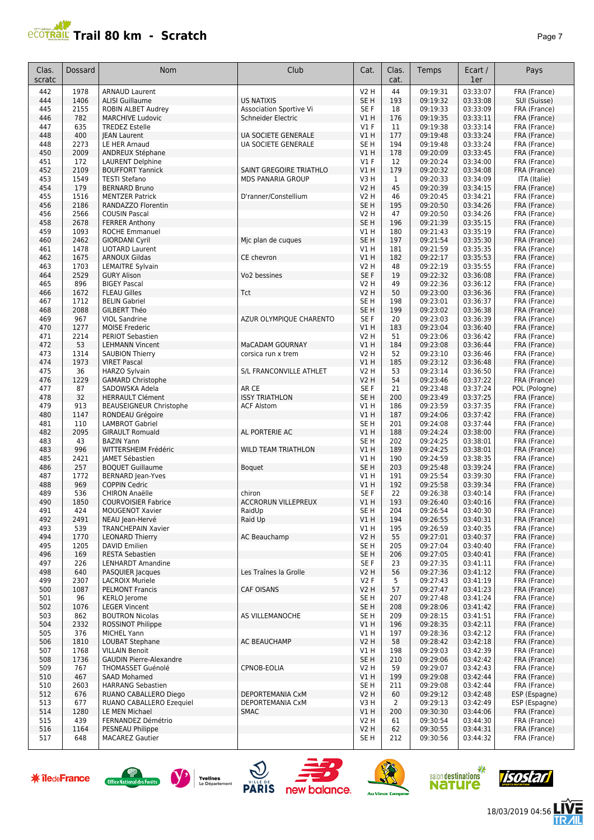#### **PROPERTY SET AND SOMETIME IN THE PAGE 7** Page 7

| Clas.         | <b>Dossard</b> | <b>Nom</b>                                                | Club                                       | Cat.                           | Clas.        | Temps                | Ecart /              | Pays                         |
|---------------|----------------|-----------------------------------------------------------|--------------------------------------------|--------------------------------|--------------|----------------------|----------------------|------------------------------|
| scratc<br>442 | 1978           | <b>ARNAUD Laurent</b>                                     |                                            | <b>V2 H</b>                    | cat.<br>44   | 09:19:31             | 1er<br>03:33:07      | FRA (France)                 |
| 444           | 1406           | <b>ALISI Guillaume</b>                                    | <b>US NATIXIS</b>                          | SE <sub>H</sub>                | 193          | 09:19:32             | 03:33:08             | SUI (Suisse)                 |
| 445           | 2155           | <b>ROBIN ALBET Audrey</b>                                 | <b>Association Sportive Vi</b>             | SE F                           | 18           | 09:19:33             | 03:33:09             | FRA (France)                 |
| 446           | 782            | <b>MARCHIVE Ludovic</b>                                   | Schneider Electric                         | V1H                            | 176          | 09:19:35             | 03:33:11             | FRA (France)                 |
| 447           | 635            | <b>TREDEZ Estelle</b>                                     |                                            | V1F                            | 11           | 09:19:38             | 03:33:14             | FRA (France)                 |
| 448           | 400            | <b>JEAN Laurent</b>                                       | UA SOCIETE GENERALE                        | VIH                            | 177          | 09:19:48             | 03:33:24             | FRA (France)                 |
| 448<br>450    | 2273<br>2009   | LE HER Arnaud<br>ANDREUX Stéphane                         | UA SOCIETE GENERALE                        | SE <sub>H</sub><br>V1H         | 194<br>178   | 09:19:48<br>09:20:09 | 03:33:24<br>03:33:45 | FRA (France)<br>FRA (France) |
| 451           | 172            | <b>LAURENT Delphine</b>                                   |                                            | $VI$ F                         | 12           | 09:20:24             | 03:34:00             | FRA (France)                 |
| 452           | 2109           | <b>BOUFFORT Yannick</b>                                   | SAINT GREGOIRE TRIATHLO                    | V1H                            | 179          | 09:20:32             | 03:34:08             | FRA (France)                 |
| 453           | 1549           | <b>TESTI Stefano</b>                                      | <b>MDS PANARIA GROUP</b>                   | V3H                            | $\mathbf{1}$ | 09:20:33             | 03:34:09             | ITA (Italie)                 |
| 454           | 179            | <b>BERNARD Bruno</b>                                      |                                            | <b>V2 H</b>                    | 45           | 09:20:39             | 03:34:15             | FRA (France)                 |
| 455           | 1516           | <b>MENTZER Patrick</b>                                    | D'ranner/Constellium                       | <b>V2 H</b>                    | 46           | 09:20:45             | 03:34:21             | FRA (France)                 |
| 456<br>456    | 2186<br>2566   | RANDAZZO Florentin<br><b>COUSIN Pascal</b>                |                                            | SE <sub>H</sub><br><b>V2 H</b> | 195<br>47    | 09:20:50<br>09:20:50 | 03:34:26<br>03:34:26 | FRA (France)<br>FRA (France) |
| 458           | 2678           | <b>FERRER Anthony</b>                                     |                                            | SE <sub>H</sub>                | 196          | 09:21:39             | 03:35:15             | FRA (France)                 |
| 459           | 1093           | <b>ROCHE Emmanuel</b>                                     |                                            | V1H                            | 180          | 09:21:43             | 03:35:19             | FRA (France)                 |
| 460           | 2462           | <b>GIORDANI Cyril</b>                                     | Mic plan de cuques                         | SE <sub>H</sub>                | 197          | 09:21:54             | 03:35:30             | FRA (France)                 |
| 461           | 1478           | <b>LIOTARD Laurent</b>                                    |                                            | V1 H                           | 181          | 09:21:59             | 03:35:35             | FRA (France)                 |
| 462           | 1675           | <b>ARNOUX Gildas</b>                                      | CE chevron                                 | V1H                            | 182          | 09:22:17             | 03:35:53             | FRA (France)                 |
| 463<br>464    | 1703<br>2529   | <b>LEMAITRE Sylvain</b><br><b>GURY Alison</b>             | Vo2 bessines                               | <b>V2 H</b><br>SE F            | 48<br>19     | 09:22:19<br>09:22:32 | 03:35:55<br>03:36:08 | FRA (France)                 |
| 465           | 896            | <b>BIGEY Pascal</b>                                       |                                            | <b>V2 H</b>                    | 49           | 09:22:36             | 03:36:12             | FRA (France)<br>FRA (France) |
| 466           | 1672           | <b>FLEAU Gilles</b>                                       | Tct                                        | V2 H                           | 50           | 09:23:00             | 03:36:36             | FRA (France)                 |
| 467           | 1712           | <b>BELIN Gabriel</b>                                      |                                            | SE <sub>H</sub>                | 198          | 09:23:01             | 03:36:37             | FRA (France)                 |
| 468           | 2088           | GILBERT Théo                                              |                                            | SE <sub>H</sub>                | 199          | 09:23:02             | 03:36:38             | FRA (France)                 |
| 469           | 967            | <b>VIOL Sandrine</b>                                      | AZUR OLYMPIQUE CHARENTO                    | SE F                           | 20           | 09:23:03             | 03:36:39             | FRA (France)                 |
| 470           | 1277           | <b>MOISE Frederic</b>                                     |                                            | V1H                            | 183          | 09:23:04             | 03:36:40             | FRA (France)                 |
| 471<br>472    | 2214<br>53     | PERIOT Sebastien<br><b>LEHMANN Vincent</b>                | MaCADAM GOURNAY                            | <b>V2 H</b><br>V1H             | 51<br>184    | 09:23:06<br>09:23:08 | 03:36:42<br>03:36:44 | FRA (France)<br>FRA (France) |
| 473           | 1314           | <b>SAUBION Thierry</b>                                    | corsica run x trem                         | <b>V2 H</b>                    | 52           | 09:23:10             | 03:36:46             | FRA (France)                 |
| 474           | 1973           | <b>VIRET Pascal</b>                                       |                                            | V1H                            | 185          | 09:23:12             | 03:36:48             | FRA (France)                 |
| 475           | 36             | <b>HARZO Sylvain</b>                                      | S/L FRANCONVILLE ATHLET                    | <b>V2 H</b>                    | 53           | 09:23:14             | 03:36:50             | FRA (France)                 |
| 476           | 1229           | <b>GAMARD Christophe</b>                                  |                                            | <b>V2 H</b>                    | 54           | 09:23:46             | 03:37:22             | FRA (France)                 |
| 477           | 87             | SADOWSKA Adela                                            | AR CE                                      | SE F                           | 21           | 09:23:48             | 03:37:24             | POL (Pologne)                |
| 478<br>479    | 32<br>913      | <b>HERRAULT Clément</b><br><b>BEAUSEIGNEUR Christophe</b> | <b>ISSY TRIATHLON</b><br><b>ACF Alstom</b> | SE <sub>H</sub><br>V1 H        | 200<br>186   | 09:23:49<br>09:23:59 | 03:37:25<br>03:37:35 | FRA (France)<br>FRA (France) |
| 480           | 1147           | RONDEAU Grégoire                                          |                                            | V1H                            | 187          | 09:24:06             | 03:37:42             | FRA (France)                 |
| 481           | 110            | <b>LAMBROT Gabriel</b>                                    |                                            | SE <sub>H</sub>                | 201          | 09:24:08             | 03:37:44             | FRA (France)                 |
| 482           | 2095           | <b>GIRAULT Romuald</b>                                    | AL PORTERIE AC                             | V1H                            | 188          | 09:24:24             | 03:38:00             | FRA (France)                 |
| 483           | 43             | <b>BAZIN Yann</b>                                         |                                            | SE <sub>H</sub>                | 202          | 09:24:25             | 03:38:01             | FRA (France)                 |
| 483           | 996            | WITTERSHEIM Frédéric                                      | <b>WILD TEAM TRIATHLON</b>                 | V1H                            | 189          | 09:24:25             | 03:38:01             | FRA (France)                 |
| 485<br>486    | 2421<br>257    | <b>JAMET Sébastien</b><br><b>BOQUET Guillaume</b>         | Boquet                                     | V1 H<br>SE <sub>H</sub>        | 190<br>203   | 09:24:59<br>09:25:48 | 03:38:35<br>03:39:24 | FRA (France)<br>FRA (France) |
| 487           | 1772           | <b>BERNARD Jean-Yves</b>                                  |                                            | V1 H                           | 191          | 09:25:54             | 03:39:30             | FRA (France)                 |
| 488           | 969            | <b>COPPIN Cedric</b>                                      |                                            | V1H                            | 192          | 09:25:58             | 03:39:34             | FRA (France)                 |
| 489           | 536            | <b>CHIRON Anaëlle</b>                                     | chiron                                     | SE F                           | 22           | 09:26:38             | 03:40:14             | FRA (France)                 |
| 490           | 1850           | COURVOISIER Fabrice                                       | <b>ACCRORUN VILLEPREUX</b>                 | V1 H                           | 193          | 09:26:40             | 03:40:16             | FRA (France)                 |
| 491           | 424            | <b>MOUGENOT Xavier</b>                                    | RaidUp                                     | SE H                           | 204          | 09:26:54             | 03:40:30             | FRA (France)                 |
| 492           | 2491           | NEAU Jean-Hervé                                           | Raid Up                                    | V1H                            | 194          | 09:26:55             | 03:40:31             | FRA (France)                 |
| 493<br>494    | 539<br>1770    | <b>TRANCHEPAIN Xavier</b><br><b>LEONARD Thierry</b>       | AC Beauchamp                               | V1 H<br><b>V2 H</b>            | 195<br>55    | 09:26:59<br>09:27:01 | 03:40:35<br>03:40:37 | FRA (France)<br>FRA (France) |
| 495           | 1205           | DAVID Emilien                                             |                                            | SE <sub>H</sub>                | 205          | 09:27:04             | 03:40:40             | FRA (France)                 |
| 496           | 169            | <b>RESTA Sebastien</b>                                    |                                            | SE <sub>H</sub>                | 206          | 09:27:05             | 03:40:41             | FRA (France)                 |
| 497           | 226            | <b>LENHARDT Amandine</b>                                  |                                            | SE F                           | 23           | 09:27:35             | 03:41:11             | FRA (France)                 |
| 498           | 640            | PASQUIER Jacques                                          | Les Traînes la Grolle                      | <b>V2 H</b>                    | 56           | 09:27:36             | 03:41:12             | FRA (France)                 |
| 499           | 2307           | <b>LACROIX Muriele</b>                                    |                                            | V2F                            | 5            | 09:27:43             | 03:41:19             | FRA (France)                 |
| 500<br>501    | 1087<br>96     | <b>PELMONT Francis</b><br><b>KERLO Jerome</b>             | <b>CAF OISANS</b>                          | <b>V2 H</b><br>SE <sub>H</sub> | 57<br>207    | 09:27:47<br>09:27:48 | 03:41:23<br>03:41:24 | FRA (France)<br>FRA (France) |
| 502           | 1076           | <b>LEGER Vincent</b>                                      |                                            | SE <sub>H</sub>                | 208          | 09:28:06             | 03:41:42             | FRA (France)                 |
| 503           | 862            | <b>BOUTRON Nicolas</b>                                    | AS VILLEMANOCHE                            | SE <sub>H</sub>                | 209          | 09:28:15             | 03:41:51             | FRA (France)                 |
| 504           | 2332           | <b>ROSSINOT Philippe</b>                                  |                                            | V1H                            | 196          | 09:28:35             | 03:42:11             | FRA (France)                 |
| 505           | 376            | MICHEL Yann                                               |                                            | V1 H                           | 197          | 09:28:36             | 03:42:12             | FRA (France)                 |
| 506           | 1810           | LOUBAT Stephane                                           | AC BEAUCHAMP                               | <b>V2 H</b>                    | 58           | 09:28:42             | 03:42:18             | FRA (France)                 |
| 507<br>508    | 1768           | <b>VILLAIN Benoit</b><br><b>GAUDIN Pierre-Alexandre</b>   |                                            | V1H<br>SE <sub>H</sub>         | 198          | 09:29:03             | 03:42:39             | FRA (France)                 |
| 509           | 1736<br>767    | <b>THOMASSET Guénolé</b>                                  | CPNOB-EOLIA                                | V2 H                           | 210<br>59    | 09:29:06<br>09:29:07 | 03:42:42<br>03:42:43 | FRA (France)<br>FRA (France) |
| 510           | 467            | <b>SAAD Mohamed</b>                                       |                                            | V1H                            | 199          | 09:29:08             | 03:42:44             | FRA (France)                 |
| 510           | 2603           | <b>HARRANG Sebastien</b>                                  |                                            | SE <sub>H</sub>                | 211          | 09:29:08             | 03:42:44             | FRA (France)                 |
| 512           | 676            | RUANO CABALLERO Diego                                     | DEPORTEMANIA CxM                           | <b>V2 H</b>                    | 60           | 09:29:12             | 03:42:48             | ESP (Espagne)                |
| 513           | 677            | RUANO CABALLERO Ezequiel                                  | DEPORTEMANIA CxM                           | V3H                            | 2            | 09:29:13             | 03:42:49             | ESP (Espagne)                |
| 514           | 1280           | LE MEN Michael                                            | <b>SMAC</b>                                | VIH                            | 200          | 09:30:30             | 03:44:06             | FRA (France)                 |
| 515<br>516    | 439<br>1164    | FERNANDEZ Démétrio<br>PESNEAU Philippe                    |                                            | V2 H<br><b>V2 H</b>            | 61<br>62     | 09:30:54<br>09:30:55 | 03:44:30<br>03:44:31 | FRA (France)<br>FRA (France) |
| 517           | 648            | <b>MACAREZ Gautier</b>                                    |                                            | SE H                           | 212          | 09:30:56             | 03:44:32             | FRA (France)                 |

**\*** îledeFrance















E

18/03/2019 04:56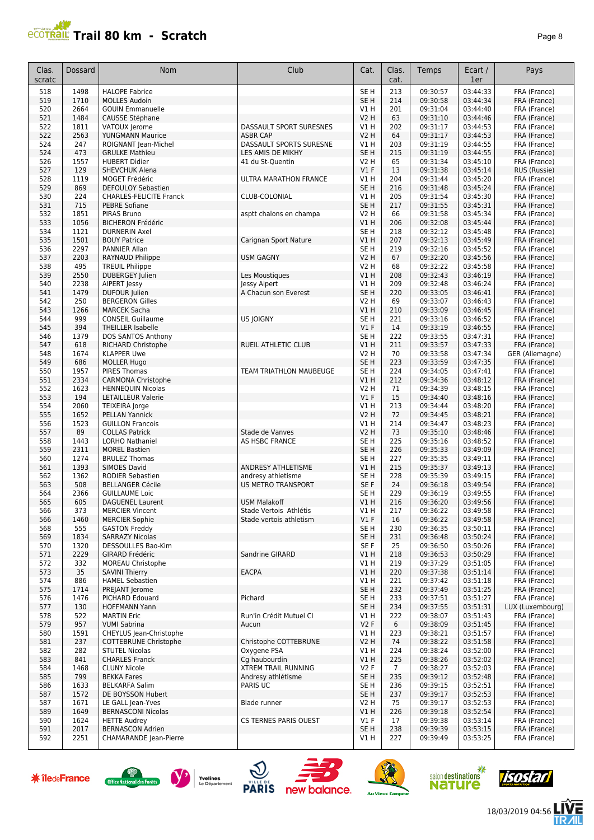## **ECOTRAIL Trail 80 km - Scratch Page 8**

| Clas.      | Dossard      | <b>Nom</b>                                        | Club                         | Cat.                       | Clas.          | <b>Temps</b>         | Ecart /              | Pays                         |
|------------|--------------|---------------------------------------------------|------------------------------|----------------------------|----------------|----------------------|----------------------|------------------------------|
| scratc     |              |                                                   |                              |                            | cat.           |                      | 1er                  |                              |
| 518        | 1498         | <b>HALOPE Fabrice</b>                             |                              | SE <sub>H</sub>            | 213            | 09:30:57             | 03:44:33             | FRA (France)                 |
| 519<br>520 | 1710<br>2664 | <b>MOLLES Audoin</b><br><b>GOUIN Emmanuelle</b>   |                              | SE <sub>H</sub><br>V1 H    | 214<br>201     | 09:30:58<br>09:31:04 | 03:44:34<br>03:44:40 | FRA (France)<br>FRA (France) |
| 521        | 1484         | CAUSSE Stéphane                                   |                              | <b>V2 H</b>                | 63             | 09:31:10             | 03:44:46             | FRA (France)                 |
| 522        | 1811         | VATOUX Jerome                                     | DASSAULT SPORT SURESNES      | V1 H                       | 202            | 09:31:17             | 03:44:53             | FRA (France)                 |
| 522        | 2563         | <b>YUNGMANN Maurice</b>                           | <b>ASBR CAP</b>              | <b>V2 H</b>                | 64             | 09:31:17             | 03:44:53             | FRA (France)                 |
| 524        | 247          | ROIGNANT Jean-Michel                              | DASSAULT SPORTS SURESNE      | V1H                        | 203            | 09:31:19             | 03:44:55             | FRA (France)                 |
| 524        | 473          | <b>GRULKE Mathieu</b>                             | LES AMIS DE MIKHY            | SE <sub>H</sub>            | 215            | 09:31:19             | 03:44:55             | FRA (France)                 |
| 526        | 1557         | <b>HUBERT Didier</b>                              | 41 du St-Quentin             | <b>V2 H</b>                | 65             | 09:31:34             | 03:45:10             | FRA (France)                 |
| 527        | 129          | <b>SHEVCHUK Alena</b>                             |                              | $VI$ F                     | 13             | 09:31:38             | 03:45:14             | RUS (Russie)                 |
| 528<br>529 | 1119<br>869  | MOGET Frédéric<br><b>DEFOULOY Sebastien</b>       | <b>ULTRA MARATHON FRANCE</b> | V1H<br>SE <sub>H</sub>     | 204<br>216     | 09:31:44<br>09:31:48 | 03:45:20<br>03:45:24 | FRA (France)<br>FRA (France) |
| 530        | 224          | <b>CHARLES-FELICITE Franck</b>                    | CLUB-COLONIAL                | V1H                        | 205            | 09:31:54             | 03:45:30             | FRA (France)                 |
| 531        | 715          | <b>PEBRE Sofiane</b>                              |                              | SE <sub>H</sub>            | 217            | 09:31:55             | 03:45:31             | FRA (France)                 |
| 532        | 1851         | PIRAS Bruno                                       | asptt chalons en champa      | V2 H                       | 66             | 09:31:58             | 03:45:34             | FRA (France)                 |
| 533        | 1056         | <b>BICHERON Frédéric</b>                          |                              | VIH                        | 206            | 09:32:08             | 03:45:44             | FRA (France)                 |
| 534        | 1121         | <b>DURNERIN Axel</b>                              |                              | SE H                       | 218            | 09:32:12             | 03:45:48             | FRA (France)                 |
| 535        | 1501         | <b>BOUY Patrice</b>                               | Carignan Sport Nature        | V1H                        | 207            | 09:32:13             | 03:45:49             | FRA (France)                 |
| 536        | 2297         | PANNIER Allan                                     |                              | SE <sub>H</sub>            | 219            | 09:32:16             | 03:45:52             | FRA (France)                 |
| 537<br>538 | 2203<br>495  | RAYNAUD Philippe<br><b>TREUIL Philippe</b>        | <b>USM GAGNY</b>             | <b>V2 H</b><br><b>V2 H</b> | 67<br>68       | 09:32:20<br>09:32:22 | 03:45:56<br>03:45:58 | FRA (France)<br>FRA (France) |
| 539        | 2550         | <b>DUBERGEY Julien</b>                            | Les Moustiques               | V1H                        | 208            | 09:32:43             | 03:46:19             | FRA (France)                 |
| 540        | 2238         | <b>AIPERT Jessy</b>                               | Jessy Aipert                 | VIH                        | 209            | 09:32:48             | 03:46:24             | FRA (France)                 |
| 541        | 1479         | DUFOUR Julien                                     | A Chacun son Everest         | SE <sub>H</sub>            | 220            | 09:33:05             | 03:46:41             | FRA (France)                 |
| 542        | 250          | <b>BERGERON Gilles</b>                            |                              | <b>V2 H</b>                | 69             | 09:33:07             | 03:46:43             | FRA (France)                 |
| 543        | 1266         | <b>MARCEK Sacha</b>                               |                              | VIH                        | 210            | 09:33:09             | 03:46:45             | FRA (France)                 |
| 544        | 999          | <b>CONSEIL Guillaume</b>                          | US JOIGNY                    | SE H                       | 221            | 09:33:16             | 03:46:52             | FRA (France)                 |
| 545        | 394          | <b>THEILLER Isabelle</b>                          |                              | $VI$ F                     | 14             | 09:33:19             | 03:46:55             | FRA (France)                 |
| 546        | 1379         | DOS SANTOS Anthony                                |                              | SE H<br>V1H                | 222            | 09:33:55             | 03:47:31             | FRA (France)<br>FRA (France) |
| 547<br>548 | 618<br>1674  | RICHARD Christophe<br><b>KLAPPER Uwe</b>          | RUEIL ATHLETIC CLUB          | <b>V2 H</b>                | 211<br>70      | 09:33:57<br>09:33:58 | 03:47:33<br>03:47:34 | GER (Allemagne)              |
| 549        | 686          | <b>MOLLER Hugo</b>                                |                              | SE <sub>H</sub>            | 223            | 09:33:59             | 03:47:35             | FRA (France)                 |
| 550        | 1957         | <b>PIRES Thomas</b>                               | TEAM TRIATHLON MAUBEUGE      | SE <sub>H</sub>            | 224            | 09:34:05             | 03:47:41             | FRA (France)                 |
| 551        | 2334         | CARMONA Christophe                                |                              | V1H                        | 212            | 09:34:36             | 03:48:12             | FRA (France)                 |
| 552        | 1623         | <b>HENNEQUIN Nicolas</b>                          |                              | <b>V2 H</b>                | 71             | 09:34:39             | 03:48:15             | FRA (France)                 |
| 553        | 194          | LETAILLEUR Valerie                                |                              | $VI$ F                     | 15             | 09:34:40             | 03:48:16             | FRA (France)                 |
| 554        | 2060         | <b>TEIXEIRA</b> Jorge                             |                              | V1H                        | 213            | 09:34:44             | 03:48:20             | FRA (France)                 |
| 555<br>556 | 1652<br>1523 | <b>PELLAN Yannick</b><br><b>GUILLON Francois</b>  |                              | V2H<br>V1 H                | 72<br>214      | 09:34:45<br>09:34:47 | 03:48:21<br>03:48:23 | FRA (France)<br>FRA (France) |
| 557        | 89           | <b>COLLAS Patrick</b>                             | Stade de Vanves              | V2 H                       | 73             | 09:35:10             | 03:48:46             | FRA (France)                 |
| 558        | 1443         | LORHO Nathaniel                                   | AS HSBC FRANCE               | SE H                       | 225            | 09:35:16             | 03:48:52             | FRA (France)                 |
| 559        | 2311         | <b>MOREL Bastien</b>                              |                              | SE <sub>H</sub>            | 226            | 09:35:33             | 03:49:09             | FRA (France)                 |
| 560        | 1274         | <b>BRULEZ Thomas</b>                              |                              | SE H                       | 227            | 09:35:35             | 03:49:11             | FRA (France)                 |
| 561        | 1393         | <b>SIMOES David</b>                               | ANDRESY ATHLETISME           | V1H                        | 215            | 09:35:37             | 03:49:13             | FRA (France)                 |
| 562        | 1362         | <b>RODIER Sebastien</b>                           | andresy athletisme           | SE <sub>H</sub>            | 228            | 09:35:39             | 03:49:15             | FRA (France)                 |
| 563<br>564 | 508<br>2366  | <b>BELLANGER Cécile</b><br><b>GUILLAUME Loic</b>  | <b>US METRO TRANSPORT</b>    | SE F<br>SE H               | 24<br>229      | 09:36:18<br>09:36:19 | 03:49:54<br>03:49:55 | FRA (France)<br>FRA (France) |
| 565        | 605          | <b>DAGUENEL Laurent</b>                           | <b>USM Malakoff</b>          | V1H                        | 216            | 09:36:20             | 03:49:56             | FRA (France)                 |
| 566        | 373          | <b>MERCIER Vincent</b>                            | Stade Vertois Athlétis       | V1 H                       | 217            | 09:36:22             | 03:49:58             | FRA (France)                 |
| 566        | 1460         | <b>MERCIER Sophie</b>                             | Stade vertois athletism      | $VI$ F                     | 16             | 09:36:22             | 03:49:58             | FRA (France)                 |
| 568        | 555          | <b>GASTON Freddy</b>                              |                              | SE <sub>H</sub>            | 230            | 09:36:35             | 03:50:11             | FRA (France)                 |
| 569        | 1834         | <b>SARRAZY Nicolas</b>                            |                              | SE H                       | 231            | 09:36:48             | 03:50:24             | FRA (France)                 |
| 570        | 1320         | DESSOULLES Bao-Kim                                |                              | SE F                       | 25             | 09:36:50             | 03:50:26             | FRA (France)                 |
| 571<br>572 | 2229<br>332  | GIRARD Frédéric                                   | Sandrine GIRARD              | V1 H<br>V1 H               | 218<br>219     | 09:36:53<br>09:37:29 | 03:50:29<br>03:51:05 | FRA (France)<br>FRA (France) |
| 573        | 35           | <b>MOREAU Christophe</b><br><b>SAVINI Thierry</b> | <b>EACPA</b>                 | V1H                        | 220            | 09:37:38             | 03:51:14             | FRA (France)                 |
| 574        | 886          | <b>HAMEL Sebastien</b>                            |                              | V1 H                       | 221            | 09:37:42             | 03:51:18             | FRA (France)                 |
| 575        | 1714         | PREJANT Jerome                                    |                              | SE <sub>H</sub>            | 232            | 09:37:49             | 03:51:25             | FRA (France)                 |
| 576        | 1476         | PICHARD Edouard                                   | Pichard                      | SE H                       | 233            | 09:37:51             | 03:51:27             | FRA (France)                 |
| 577        | 130          | <b>HOFFMANN Yann</b>                              |                              | SE <sub>H</sub>            | 234            | 09:37:55             | 03:51:31             | LUX (Luxembourg)             |
| 578        | 522          | <b>MARTIN Eric</b>                                | Run'in Crédit Mutuel Cl      | V1 H                       | 222            | 09:38:07             | 03:51:43             | FRA (France)                 |
| 579        | 957          | <b>VUMI Sabrina</b>                               | Aucun                        | V2F                        | 6              | 09:38:09             | 03:51:45             | FRA (France)                 |
| 580<br>581 | 1591<br>237  | CHEYLUS Jean-Christophe<br>COTTEBRUNE Christophe  | Christophe COTTEBRUNE        | V1H<br>V2 H                | 223<br>74      | 09:38:21<br>09:38:22 | 03:51:57<br>03:51:58 | FRA (France)<br>FRA (France) |
| 582        | 282          | <b>STUTEL Nicolas</b>                             | Oxygene PSA                  | V1H                        | 224            | 09:38:24             | 03:52:00             | FRA (France)                 |
| 583        | 841          | <b>CHARLES Franck</b>                             | Cg haubourdin                | V1H                        | 225            | 09:38:26             | 03:52:02             | FRA (France)                 |
| 584        | 1468         | <b>CLUNY Nicole</b>                               | <b>XTREM TRAIL RUNNING</b>   | V2F                        | $\overline{7}$ | 09:38:27             | 03:52:03             | FRA (France)                 |
| 585        | 799          | <b>BEKKA Fares</b>                                | Andresy athlétisme           | SE <sub>H</sub>            | 235            | 09:39:12             | 03:52:48             | FRA (France)                 |
| 586        | 1633         | <b>BELKARFA Salim</b>                             | PARIS UC                     | SE H                       | 236            | 09:39:15             | 03:52:51             | FRA (France)                 |
| 587        | 1572         | DE BOYSSON Hubert                                 |                              | SE H                       | 237            | 09:39:17             | 03:52:53             | FRA (France)                 |
| 587        | 1671         | LE GALL Jean-Yves                                 | Blade runner                 | V2 H                       | 75             | 09:39:17             | 03:52:53             | FRA (France)                 |
| 589<br>590 | 1649<br>1624 | <b>BERNASCONI Nicolas</b><br><b>HETTE Audrey</b>  | CS TERNES PARIS OUEST        | V1 H<br>$VI$ F             | 226<br>17      | 09:39:18<br>09:39:38 | 03:52:54<br>03:53:14 | FRA (France)<br>FRA (France) |
| 591        | 2017         | <b>BERNASCON Adrien</b>                           |                              | SE <sub>H</sub>            | 238            | 09:39:39             | 03:53:15             | FRA (France)                 |
| 592        | 2251         | CHAMARANDE Jean-Pierre                            |                              | V1H                        | 227            | 09:39:49             | 03:53:25             | FRA (France)                 |
|            |              |                                                   |                              |                            |                |                      |                      |                              |

















**LIVE<br>TR***A***IL** 18/03/2019 04:56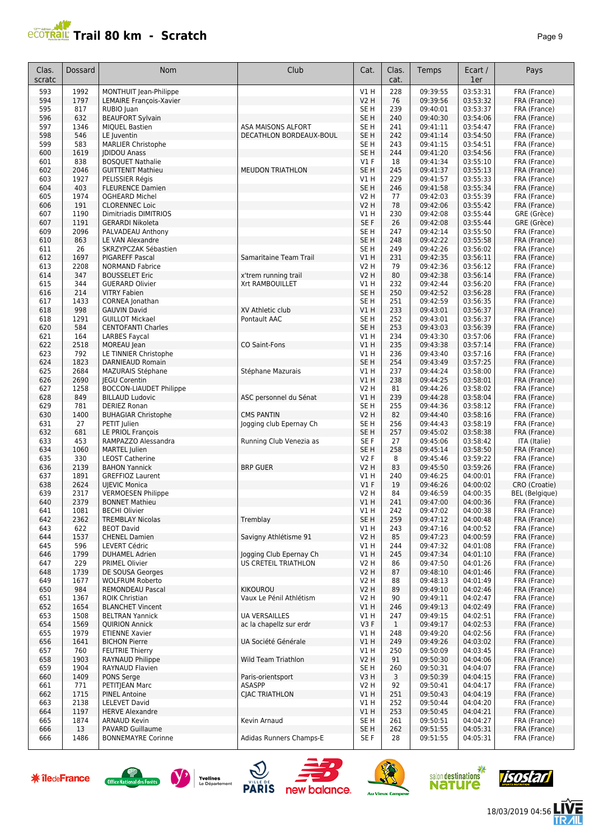

| Clas.<br>scratc | Dossard      | Nom                                              | Club                                    | Cat.                    | Clas.<br>cat. | Temps                | Ecart /<br>1er       | Pays                         |
|-----------------|--------------|--------------------------------------------------|-----------------------------------------|-------------------------|---------------|----------------------|----------------------|------------------------------|
| 593             | 1992         | MONTHUIT Jean-Philippe                           |                                         | <b>V1 H</b>             | 228           | 09:39:55             | 03:53:31             | FRA (France)                 |
| 594             | 1797         | LEMAIRE François-Xavier                          |                                         | V2 H                    | 76            | 09:39:56             | 03:53:32             | FRA (France)                 |
| 595             | 817          | RUBIO Juan                                       |                                         | SE H                    | 239           | 09:40:01             | 03:53:37             | FRA (France)                 |
| 596             | 632          | <b>BEAUFORT Sylvain</b>                          |                                         | SE H                    | 240           | 09:40:30             | 03:54:06             | FRA (France)                 |
| 597             | 1346         | <b>MIOUEL Bastien</b>                            | ASA MAISONS ALFORT                      | SE H                    | 241           | 09:41:11             | 03:54:47             | FRA (France)                 |
| 598             | 546          | LE Juventin                                      | DECATHLON BORDEAUX-BOUL                 | SE H                    | 242           | 09:41:14             | 03:54:50             | FRA (France)                 |
| 599             | 583          | <b>MARLIER Christophe</b>                        |                                         | SE <sub>H</sub>         | 243           | 09:41:15             | 03:54:51             | FRA (France)                 |
| 600             | 1619         | <b>IDIDOU Anass</b>                              |                                         | SE <sub>H</sub>         | 244           | 09:41:20             | 03:54:56             | FRA (France)                 |
| 601             | 838          | <b>BOSQUET Nathalie</b>                          |                                         | $VI$ F                  | 18            | 09:41:34             | 03:55:10             | FRA (France)                 |
| 602             | 2046         | <b>GUITTENIT Mathieu</b>                         | <b>MEUDON TRIATHLON</b>                 | SE <sub>H</sub>         | 245           | 09:41:37             | 03:55:13             | FRA (France)                 |
| 603             | 1927         | PELISSIER Régis                                  |                                         | V1 H                    | 229           | 09:41:57             | 03:55:33             | FRA (France)                 |
| 604             | 403          | <b>FLEURENCE Damien</b>                          |                                         | SE <sub>H</sub>         | 246           | 09:41:58             | 03:55:34             | FRA (France)                 |
| 605             | 1974         | <b>OGHEARD Michel</b>                            |                                         | <b>V2 H</b>             | 77            | 09:42:03             | 03:55:39             | FRA (France)                 |
| 606             | 191          | <b>CLORENNEC Loic</b>                            |                                         | V2 H                    | 78            | 09:42:06             | 03:55:42             | FRA (France)                 |
| 607             | 1190         | Dimitriadis DIMITRIOS                            |                                         | V1 H                    | 230           | 09:42:08             | 03:55:44             | GRE (Grèce)                  |
| 607             | 1191         | <b>GERARDI Nikoleta</b>                          |                                         | SE F                    | 26            | 09:42:08             | 03:55:44             | GRE (Grèce)                  |
| 609             | 2096         | PALVADEAU Anthony                                |                                         | SE H                    | 247           | 09:42:14             | 03:55:50             | FRA (France)                 |
| 610             | 863          | LE VAN Alexandre                                 |                                         | SE H                    | 248           | 09:42:22             | 03:55:58             | FRA (France)                 |
| 611             | 26           | SKRZYPCZAK Sébastien                             |                                         | SE <sub>H</sub>         | 249           | 09:42:26             | 03:56:02             | FRA (France)                 |
| 612<br>613      | 1697<br>2208 | <b>PIGAREFF Pascal</b><br><b>NORMAND Fabrice</b> | Samaritaine Team Trail                  | V1 H<br>V2 H            | 231<br>79     | 09:42:35<br>09:42:36 | 03:56:11<br>03:56:12 | FRA (France)                 |
| 614             | 347          | <b>BOUSSELET Eric</b>                            |                                         | V2 H                    | 80            | 09:42:38             | 03:56:14             | FRA (France)<br>FRA (France) |
| 615             | 344          | <b>GUERARD Olivier</b>                           | x'trem running trail<br>Xrt RAMBOUILLET | V1 H                    | 232           | 09:42:44             | 03:56:20             | FRA (France)                 |
| 616             | 214          | <b>VITRY Fabien</b>                              |                                         | SE <sub>H</sub>         | 250           | 09:42:52             | 03:56:28             | FRA (France)                 |
| 617             | 1433         | CORNEA Jonathan                                  |                                         | SE <sub>H</sub>         | 251           | 09:42:59             | 03:56:35             | FRA (France)                 |
| 618             | 998          | <b>GAUVIN David</b>                              | XV Athletic club                        | V1 H                    | 233           | 09:43:01             | 03:56:37             | FRA (France)                 |
| 618             | 1291         | <b>GUILLOT Mickael</b>                           | Pontault AAC                            | SE H                    | 252           | 09:43:01             | 03:56:37             | FRA (France)                 |
| 620             | 584          | <b>CENTOFANTI Charles</b>                        |                                         | SE <sub>H</sub>         | 253           | 09:43:03             | 03:56:39             | FRA (France)                 |
| 621             | 164          | <b>LARBES Faycal</b>                             |                                         | V1 H                    | 234           | 09:43:30             | 03:57:06             | FRA (France)                 |
| 622             | 2518         | MOREAU Jean                                      | <b>CO Saint-Fons</b>                    | V1 H                    | 235           | 09:43:38             | 03:57:14             | FRA (France)                 |
| 623             | 792          | LE TINNIER Christophe                            |                                         | <b>V1 H</b>             | 236           | 09:43:40             | 03:57:16             | FRA (France)                 |
| 624             | 1823         | DARNIEAUD Romain                                 |                                         | SE <sub>H</sub>         | 254           | 09:43:49             | 03:57:25             | FRA (France)                 |
| 625             | 2684         | <b>MAZURAIS Stéphane</b>                         | Stéphane Mazurais                       | V1 H                    | 237           | 09:44:24             | 03:58:00             | FRA (France)                 |
| 626             | 2690         | <b>IEGU Corentin</b>                             |                                         | V1 H                    | 238           | 09:44:25             | 03:58:01             | FRA (France)                 |
| 627             | 1258         | <b>BOCCON-LIAUDET Philippe</b>                   |                                         | V2 H                    | 81            | 09:44:26             | 03:58:02             | FRA (France)                 |
| 628             | 849          | <b>BILLAUD Ludovic</b>                           | ASC personnel du Sénat                  | V1 H                    | 239           | 09:44:28             | 03:58:04             | FRA (France)                 |
| 629             | 781          | <b>DERIEZ Ronan</b>                              |                                         | SE H                    | 255           | 09:44:36             | 03:58:12             | FRA (France)                 |
| 630             | 1400         | <b>BUHAGIAR Christophe</b>                       | <b>CMS PANTIN</b>                       | V2 H                    | 82            | 09:44:40             | 03:58:16             | FRA (France)                 |
| 631             | 27           | PETIT Julien                                     | Jogging club Epernay Ch                 | SE H                    | 256           | 09:44:43             | 03:58:19             | FRA (France)                 |
| 632             | 681          | LE PRIOL François                                |                                         | SE <sub>H</sub>         | 257           | 09:45:02             | 03:58:38             | FRA (France)                 |
| 633<br>634      | 453<br>1060  | RAMPAZZO Alessandra                              | Running Club Venezia as                 | SE F<br>SE <sub>H</sub> | 27<br>258     | 09:45:06<br>09:45:14 | 03:58:42             | ITA (Italie)                 |
| 635             | 330          | <b>MARTEL</b> Julien<br><b>LEOST Catherine</b>   |                                         | V2F                     | 8             | 09:45:46             | 03:58:50<br>03:59:22 | FRA (France)<br>FRA (France) |
| 636             | 2139         | <b>BAHON Yannick</b>                             | <b>BRP GUER</b>                         | V2 H                    | 83            | 09:45:50             | 03:59:26             | FRA (France)                 |
| 637             | 1891         | <b>GREFFIOZ Laurent</b>                          |                                         | V1 H                    | 240           | 09:46:25             | 04:00:01             | FRA (France)                 |
| 638             | 2624         | <b>UJEVIC Monica</b>                             |                                         | $VI$ F                  | 19            | 09:46:26             | 04:00:02             | CRO (Croatie)                |
| 639             | 2317         | <b>VERMOESEN Philippe</b>                        |                                         | V2 H                    | 84            | 09:46:59             | 04:00:35             | <b>BEL</b> (Belgique)        |
| 640             | 2379         | <b>BONNET Mathieu</b>                            |                                         | V1 H                    | 241           | 09:47:00             | 04:00:36             | FRA (France)                 |
| 641             | 1081         | <b>BECHI Olivier</b>                             |                                         | VIH                     | 242           | 09:47:02             | 04:00:38             | FRA (France)                 |
| 642             | 2362         | <b>TREMBLAY Nicolas</b>                          | Tremblay                                | SE <sub>H</sub>         | 259           | 09:47:12             | 04:00:48             | FRA (France)                 |
| 643             | 622          | <b>BEOT David</b>                                |                                         | V1 H                    | 243           | 09:47:16             | 04:00:52             | FRA (France)                 |
| 644             | 1537         | <b>CHENEL Damien</b>                             | Savigny Athlétisme 91                   | V2 H                    | 85            | 09:47:23             | 04:00:59             | FRA (France)                 |
| 645             | 596          | LEVERT Cédric                                    |                                         | V1 H                    | 244           | 09:47:32             | 04:01:08             | FRA (France)                 |
| 646             | 1799         | <b>DUHAMEL Adrien</b>                            | logging Club Epernay Ch                 | V1H                     | 245           | 09:47:34             | 04:01:10             | FRA (France)                 |
| 647             | 229          | PRIMEL Olivier                                   | US CRETEIL TRIATHLON                    | V2 H                    | 86            | 09:47:50             | 04:01:26<br>04:01:46 | FRA (France)<br>FRA (France) |
| 648             | 1739         | DE SOUSA Georges<br><b>WOLFRUM Roberto</b>       |                                         | <b>V2 H</b>             | 87            | 09:48:10<br>09:48:13 |                      | FRA (France)                 |
| 649<br>650      | 1677<br>984  | REMONDEAU Pascal                                 | <b>KIKOUROU</b>                         | <b>V2 H</b><br>V2 H     | 88<br>89      | 09:49:10             | 04:01:49<br>04:02:46 | FRA (France)                 |
| 651             | 1367         | <b>ROIK Christian</b>                            | Vaux Le Pénil Athlétism                 | V2 H                    | 90            | 09:49:11             | 04:02:47             | FRA (France)                 |
| 652             | 1654         | <b>BLANCHET Vincent</b>                          |                                         | V1 H                    | 246           | 09:49:13             | 04:02:49             | FRA (France)                 |
| 653             | 1508         | <b>BELTRAN Yannick</b>                           | UA VERSAILLES                           | V1 H                    | 247           | 09:49:15             | 04:02:51             | FRA (France)                 |
| 654             | 1569         | <b>QUIRION Annick</b>                            | ac la chapellz sur erdr                 | V <sub>3</sub> F        | $\mathbf{1}$  | 09:49:17             | 04:02:53             | FRA (France)                 |
| 655             | 1979         | <b>ETIENNE Xavier</b>                            |                                         | V1H                     | 248           | 09:49:20             | 04:02:56             | FRA (France)                 |
| 656             | 1641         | <b>BICHON Pierre</b>                             | UA Société Générale                     | V1 H                    | 249           | 09:49:26             | 04:03:02             | FRA (France)                 |
| 657             | 760          | <b>FEUTRIE Thierry</b>                           |                                         | V1 H                    | 250           | 09:50:09             | 04:03:45             | FRA (France)                 |
| 658             | 1903         | RAYNAUD Philippe                                 | Wild Team Triathlon                     | V2 H                    | 91            | 09:50:30             | 04:04:06             | FRA (France)                 |
| 659             | 1904         | RAYNAUD Flavien                                  |                                         | SE H                    | 260           | 09:50:31             | 04:04:07             | FRA (France)                 |
| 660             | 1409         | PONS Serge                                       | Paris-orientsport                       | V3H                     | 3             | 09:50:39             | 04:04:15             | FRA (France)                 |
| 661             | 771          | PETITJEAN Marc                                   | ASASPP                                  | V2 H                    | 92            | 09:50:41             | 04:04:17             | FRA (France)                 |
| 662             | 1715         | <b>PINEL Antoine</b>                             | CJAC TRIATHLON                          | V1 H                    | 251           | 09:50:43             | 04:04:19             | FRA (France)                 |
| 663             | 2138         | <b>LELEVET David</b>                             |                                         | V1H                     | 252           | 09:50:44             | 04:04:20             | FRA (France)                 |
| 664             | 1197         | <b>HERVE Alexandre</b>                           |                                         | V1H                     | 253           | 09:50:45             | 04:04:21             | FRA (France)                 |
| 665             | 1874         | <b>ARNAUD Kevin</b>                              | Kevin Arnaud                            | SE H                    | 261           | 09:50:51             | 04:04:27             | FRA (France)                 |
| 666             | 13           | PAVARD Guillaume                                 |                                         | SE H                    | 262           | 09:51:55             | 04:05:31             | FRA (France)                 |
| 666             | 1486         | <b>BONNEMAYRE Corinne</b>                        | Adidas Runners Champs-E                 | SE F                    | 28            | 09:51:55             | 04:05:31             | FRA (France)                 |

















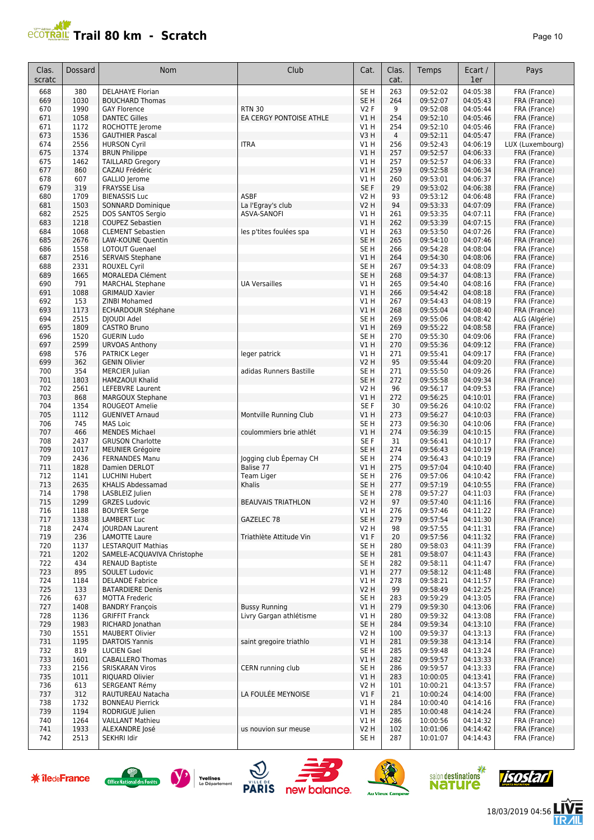

| Clas.<br>scratc | Dossard      | <b>Nom</b>                                        | Club                      | Cat.                               | Clas.<br>cat. | Temps                | Ecart /<br>1er       | Pays                          |
|-----------------|--------------|---------------------------------------------------|---------------------------|------------------------------------|---------------|----------------------|----------------------|-------------------------------|
| 668             | 380          | <b>DELAHAYE Florian</b>                           |                           | SE <sub>H</sub>                    | 263           | 09:52:02             | 04:05:38             | FRA (France)                  |
| 669             | 1030         | <b>BOUCHARD Thomas</b>                            |                           | SE <sub>H</sub>                    | 264           | 09:52:07             | 04:05:43             | FRA (France)                  |
| 670             | 1990         | <b>GAY Florence</b>                               | <b>RTN 30</b>             | <b>V2F</b>                         | 9             | 09:52:08             | 04:05:44             | FRA (France)                  |
| 671             | 1058         | <b>DANTEC Gilles</b>                              | EA CERGY PONTOISE ATHLE   | V1 H                               | 254           | 09:52:10             | 04:05:46             | FRA (France)                  |
| 671<br>673      | 1172<br>1536 | ROCHOTTE Jerome<br><b>GAUTHIER Pascal</b>         |                           | V1 H<br>V3H                        | 254<br>4      | 09:52:10<br>09:52:11 | 04:05:46<br>04:05:47 | FRA (France)<br>FRA (France)  |
| 674             | 2556         | <b>HURSON Cyril</b>                               | <b>ITRA</b>               | V1 H                               | 256           | 09:52:43             | 04:06:19             | LUX (Luxembourg)              |
| 675             | 1374         | <b>BRUN Philippe</b>                              |                           | V1H                                | 257           | 09:52:57             | 04:06:33             | FRA (France)                  |
| 675             | 1462         | <b>TAILLARD Gregory</b>                           |                           | V1 H                               | 257           | 09:52:57             | 04:06:33             | FRA (France)                  |
| 677             | 860          | CAZAU Frédéric                                    |                           | V1H                                | 259           | 09:52:58             | 04:06:34             | FRA (France)                  |
| 678             | 607          | GALLIO Jerome                                     |                           | V1 H                               | 260           | 09:53:01             | 04:06:37             | FRA (France)                  |
| 679             | 319          | <b>FRAYSSE Lisa</b>                               |                           | SE F                               | 29            | 09:53:02             | 04:06:38             | FRA (France)                  |
| 680             | 1709         | <b>BIENASSIS Luc</b>                              | <b>ASBF</b>               | V2 H                               | 93            | 09:53:12             | 04:06:48             | FRA (France)                  |
| 681             | 1503         | SONNARD Dominique                                 | La l'Egray's club         | <b>V2 H</b>                        | 94            | 09:53:33             | 04:07:09             | FRA (France)                  |
| 682<br>683      | 2525<br>1218 | DOS SANTOS Sergio<br><b>COUPEZ Sebastien</b>      | ASVA-SANOFI               | V1 H<br>V1 H                       | 261<br>262    | 09:53:35<br>09:53:39 | 04:07:11<br>04:07:15 | FRA (France)                  |
| 684             | 1068         | <b>CLEMENT Sebastien</b>                          | les p'tites foulées spa   | V1H                                | 263           | 09:53:50             | 04:07:26             | FRA (France)<br>FRA (France)  |
| 685             | 2676         | LAW-KOUNE Quentin                                 |                           | SE <sub>H</sub>                    | 265           | 09:54:10             | 04:07:46             | FRA (France)                  |
| 686             | 1558         | <b>LOTOUT Guenael</b>                             |                           | SE <sub>H</sub>                    | 266           | 09:54:28             | 04:08:04             | FRA (France)                  |
| 687             | 2516         | <b>SERVAIS Stephane</b>                           |                           | V1H                                | 264           | 09:54:30             | 04:08:06             | FRA (France)                  |
| 688             | 2331         | <b>ROUXEL Cyril</b>                               |                           | SE <sub>H</sub>                    | 267           | 09:54:33             | 04:08:09             | FRA (France)                  |
| 689             | 1665         | MORALEDA Clément                                  |                           | SE <sub>H</sub>                    | 268           | 09:54:37             | 04:08:13             | FRA (France)                  |
| 690             | 791          | <b>MARCHAL Stephane</b>                           | <b>UA Versailles</b>      | V1 H                               | 265           | 09:54:40             | 04:08:16             | FRA (France)                  |
| 691             | 1088         | <b>GRIMAUD Xavier</b>                             |                           | V1H                                | 266           | 09:54:42             | 04:08:18             | FRA (France)                  |
| 692             | 153          | <b>ZINBI Mohamed</b>                              |                           | V1H                                | 267           | 09:54:43             | 04:08:19             | FRA (France)                  |
| 693<br>694      | 1173<br>2515 | <b>ECHARDOUR Stéphane</b><br>DJOUDI Adel          |                           | VIH<br>SE <sub>H</sub>             | 268<br>269    | 09:55:04<br>09:55:06 | 04:08:40<br>04:08:42 | FRA (France)<br>ALG (Algérie) |
| 695             | 1809         | <b>CASTRO Bruno</b>                               |                           | V1 H                               | 269           | 09:55:22             | 04:08:58             | FRA (France)                  |
| 696             | 1520         | <b>GUERIN Ludo</b>                                |                           | SE <sub>H</sub>                    | 270           | 09:55:30             | 04:09:06             | FRA (France)                  |
| 697             | 2599         | <b>URVOAS Anthony</b>                             |                           | VIH                                | 270           | 09:55:36             | 04:09:12             | FRA (France)                  |
| 698             | 576          | <b>PATRICK Leger</b>                              | leger patrick             | V1 H                               | 271           | 09:55:41             | 04:09:17             | FRA (France)                  |
| 699             | 362          | <b>GENIN Olivier</b>                              |                           | <b>V2 H</b>                        | 95            | 09:55:44             | 04:09:20             | FRA (France)                  |
| 700             | 354          | <b>MERCIER</b> Julian                             | adidas Runners Bastille   | SE <sub>H</sub>                    | 271           | 09:55:50             | 04:09:26             | FRA (France)                  |
| 701             | 1803         | <b>HAMZAOUI Khalid</b>                            |                           | SE <sub>H</sub>                    | 272           | 09:55:58             | 04:09:34             | FRA (France)                  |
| 702             | 2561         | <b>LEFEBVRE Laurent</b>                           |                           | V2 H                               | 96            | 09:56:17             | 04:09:53             | FRA (France)                  |
| 703<br>704      | 868<br>1354  | <b>MARGOUX Stephane</b><br><b>ROUGEOT Amelie</b>  |                           | V1H<br>SE F                        | 272<br>30     | 09:56:25<br>09:56:26 | 04:10:01<br>04:10:02 | FRA (France)<br>FRA (France)  |
| 705             | 1112         | <b>GUENIVET Arnaud</b>                            | Montville Running Club    | V1 H                               | 273           | 09:56:27             | 04:10:03             | FRA (France)                  |
| 706             | 745          | <b>MAS Loic</b>                                   |                           | SE <sub>H</sub>                    | 273           | 09:56:30             | 04:10:06             | FRA (France)                  |
| 707             | 466          | <b>MENDES Michael</b>                             | coulommiers brie athlét   | V1 H                               | 274           | 09:56:39             | 04:10:15             | FRA (France)                  |
| 708             | 2437         | <b>GRUSON Charlotte</b>                           |                           | SE <sub>F</sub>                    | 31            | 09:56:41             | 04:10:17             | FRA (France)                  |
| 709             | 1017         | <b>MEUNIER Grégoire</b>                           |                           | SE <sub>H</sub>                    | 274           | 09:56:43             | 04:10:19             | FRA (France)                  |
| 709             | 2436         | <b>FERNANDES Manu</b>                             | Jogging club Épernay CH   | SE <sub>H</sub>                    | 274           | 09:56:43             | 04:10:19             | FRA (France)                  |
| 711             | 1828         | Damien DERLOT                                     | Balise 77                 | V1H                                | 275           | 09:57:04             | 04:10:40             | FRA (France)                  |
| 712<br>713      | 1141<br>2635 | <b>LUCHINI Hubert</b><br><b>KHALIS Abdessamad</b> | Team Liger<br>Khalis      | SE <sub>H</sub><br>SE <sub>H</sub> | 276<br>277    | 09:57:06<br>09:57:19 | 04:10:42<br>04:10:55 | FRA (France)<br>FRA (France)  |
| 714             | 1798         | LASBLEIZ Julien                                   |                           | SE <sub>H</sub>                    | 278           | 09:57:27             | 04:11:03             | FRA (France)                  |
| 715             | 1299         | <b>GRZES Ludovic</b>                              | <b>BEAUVAIS TRIATHLON</b> | V2 H                               | 97            | 09:57:40             | 04:11:16             | FRA (France)                  |
| 716             | 1188         | <b>BOUYER Serge</b>                               |                           | V1H                                | 276           | 09:57:46             | 04:11:22             | FRA (France)                  |
| 717             | 1338         | <b>LAMBERT Luc</b>                                | GAZELEC 78                | SE H                               | 279           | 09:57:54             | 04:11:30             | FRA (France)                  |
| 718             | 2474         | <b>JOURDAN Laurent</b>                            |                           | V2 H                               | 98            | 09:57:55             | 04:11:31             | FRA (France)                  |
| 719             | 236          | <b>LAMOTTE Laure</b>                              | Triathlète Attitude Vin   | $VI$ F                             | 20            | 09:57:56             | 04:11:32             | FRA (France)                  |
| 720             | 1137         | <b>LESTARQUIT Mathias</b>                         |                           | SE H                               | 280           | 09:58:03             | 04:11:39             | FRA (France)                  |
| 721             | 1202         | SAMELE-ACQUAVIVA Christophe                       |                           | SE H                               | 281<br>282    | 09:58:07             | 04:11:43<br>04:11:47 | FRA (France)                  |
| 722<br>723      | 434<br>895   | <b>RENAUD Baptiste</b><br>SOULET Ludovic          |                           | SE H<br>V1H                        | 277           | 09:58:11<br>09:58:12 | 04:11:48             | FRA (France)<br>FRA (France)  |
| 724             | 1184         | <b>DELANDE Fabrice</b>                            |                           | V1 H                               | 278           | 09:58:21             | 04:11:57             | FRA (France)                  |
| 725             | 133          | <b>BATARDIERE Denis</b>                           |                           | V2 H                               | 99            | 09:58:49             | 04:12:25             | FRA (France)                  |
| 726             | 637          | <b>MOTTA Frederic</b>                             |                           | SE H                               | 283           | 09:59:29             | 04:13:05             | FRA (France)                  |
| 727             | 1408         | <b>BANDRY Francois</b>                            | <b>Bussy Running</b>      | V1 H                               | 279           | 09:59:30             | 04:13:06             | FRA (France)                  |
| 728             | 1136         | <b>GRIFFIT Franck</b>                             | Livry Gargan athlétisme   | V1 H                               | 280           | 09:59:32             | 04:13:08             | FRA (France)                  |
| 729             | 1983         | RICHARD Jonathan                                  |                           | SE <sub>H</sub>                    | 284           | 09:59:34             | 04:13:10             | FRA (France)                  |
| 730             | 1551         | <b>MAUBERT Olivier</b>                            |                           | V2 H                               | 100           | 09:59:37             | 04:13:13             | FRA (France)                  |
| 731             | 1195         | <b>DARTOIS Yannis</b><br><b>LUCIEN Gael</b>       | saint gregoire triathlo   | V1 H<br>SE H                       | 281           | 09:59:38             | 04:13:14<br>04:13:24 | FRA (France)<br>FRA (France)  |
| 732<br>733      | 819<br>1601  | <b>CABALLERO Thomas</b>                           |                           | V1 H                               | 285<br>282    | 09:59:48<br>09:59:57 | 04:13:33             | FRA (France)                  |
| 733             | 2156         | <b>SRISKARAN Viros</b>                            | CERN running club         | SE H                               | 286           | 09:59:57             | 04:13:33             | FRA (France)                  |
| 735             | 1011         | RIQUARD Olivier                                   |                           | V1 H                               | 283           | 10:00:05             | 04:13:41             | FRA (France)                  |
| 736             | 613          | SERGEANT Rémy                                     |                           | V2 H                               | 101           | 10:00:21             | 04:13:57             | FRA (France)                  |
| 737             | 312          | RAUTUREAU Natacha                                 | LA FOULÉE MEYNOISE        | V1F                                | 21            | 10:00:24             | 04:14:00             | FRA (France)                  |
| 738             | 1732         | <b>BONNEAU Pierrick</b>                           |                           | V1 H                               | 284           | 10:00:40             | 04:14:16             | FRA (France)                  |
| 739             | 1194         | RODRIGUE Julien                                   |                           | V1 H                               | 285           | 10:00:48             | 04:14:24             | FRA (France)                  |
| 740<br>741      | 1264<br>1933 | <b>VAILLANT Mathieu</b>                           |                           | V1 H<br><b>V2 H</b>                | 286<br>102    | 10:00:56<br>10:01:06 | 04:14:32<br>04:14:42 | FRA (France)<br>FRA (France)  |
| 742             | 2513         | ALEXANDRE José<br>SEKHRI Idir                     | us nouvion sur meuse      | SE H                               | 287           | 10:01:07             | 04:14:43             | FRA (France)                  |
|                 |              |                                                   |                           |                                    |               |                      |                      |                               |















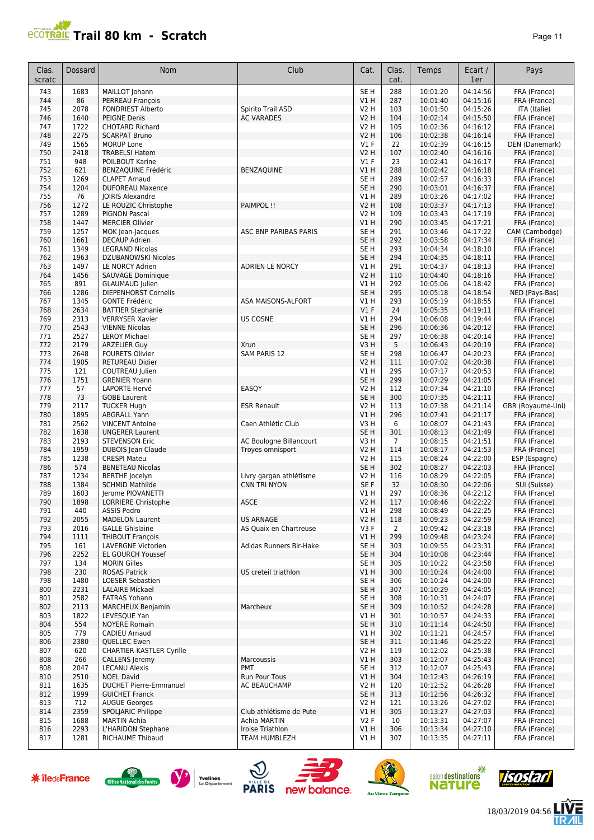## **Trail 80 km - Scratch Page 11 Page 11 Page 11 Page 11**

| Clas.<br>scratc | Dossard      | Nom                                                | Club                                        | Cat.                               | Clas.<br>cat.         | Temps                | Ecart /<br>1er       | Pays                          |
|-----------------|--------------|----------------------------------------------------|---------------------------------------------|------------------------------------|-----------------------|----------------------|----------------------|-------------------------------|
| 743             | 1683         | MAILLOT Johann                                     |                                             | SE <sub>H</sub>                    | 288                   | 10:01:20             | 04:14:56             | FRA (France)                  |
| 744             | 86           | PERREAU François                                   |                                             | V1H                                | 287                   | 10:01:40             | 04:15:16             | FRA (France)                  |
| 745             | 2078         | <b>FONDRIEST Alberto</b>                           | Spirito Trail ASD                           | <b>V2 H</b>                        | 103                   | 10:01:50             | 04:15:26             | ITA (Italie)                  |
| 746<br>747      | 1640<br>1722 | <b>PEIGNE Denis</b><br><b>CHOTARD Richard</b>      | <b>AC VARADES</b>                           | <b>V2 H</b><br>V2 H                | 104<br>105            | 10:02:14<br>10:02:36 | 04:15:50<br>04:16:12 | FRA (France)<br>FRA (France)  |
| 748             | 2275         | <b>SCARPAT Bruno</b>                               |                                             | <b>V2 H</b>                        | 106                   | 10:02:38             | 04:16:14             | FRA (France)                  |
| 749             | 1565         | <b>MORUP Lone</b>                                  |                                             | $VI$ F                             | 22                    | 10:02:39             | 04:16:15             | DEN (Danemark)                |
| 750             | 2418         | <b>TRABELSI Hatem</b>                              |                                             | <b>V2 H</b>                        | 107                   | 10:02:40             | 04:16:16             | FRA (France)                  |
| 751             | 948          | POILBOUT Karine                                    |                                             | $VI$ F                             | 23                    | 10:02:41             | 04:16:17             | FRA (France)                  |
| 752             | 621          | <b>BENZAQUINE Frédéric</b>                         | <b>BENZAQUINE</b>                           | V1 H                               | 288                   | 10:02:42             | 04:16:18             | FRA (France)                  |
| 753<br>754      | 1269<br>1204 | <b>CLAPET Arnaud</b><br><b>DUFOREAU Maxence</b>    |                                             | SE H<br>SE <sub>H</sub>            | 289<br>290            | 10:02:57<br>10:03:01 | 04:16:33<br>04:16:37 | FRA (France)<br>FRA (France)  |
| 755             | 76           | <b>JOIRIS Alexandre</b>                            |                                             | V1H                                | 289                   | 10:03:26             | 04:17:02             | FRA (France)                  |
| 756             | 1272         | LE ROUZIC Christophe                               | PAIMPOL !!                                  | <b>V2 H</b>                        | 108                   | 10:03:37             | 04:17:13             | FRA (France)                  |
| 757             | 1289         | <b>PIGNON Pascal</b>                               |                                             | V2 H                               | 109                   | 10:03:43             | 04:17:19             | FRA (France)                  |
| 758             | 1447         | <b>MERCIER Olivier</b>                             |                                             | V1H                                | 290                   | 10:03:45             | 04:17:21             | FRA (France)                  |
| 759             | 1257         | MOK Jean-Jacques                                   | ASC BNP PARIBAS PARIS                       | SE <sub>H</sub>                    | 291                   | 10:03:46             | 04:17:22             | CAM (Cambodge)                |
| 760<br>761      | 1661<br>1349 | <b>DECAUP Adrien</b><br><b>LEGRAND Nicolas</b>     |                                             | SE <sub>H</sub><br>SE <sub>H</sub> | 292<br>293            | 10:03:58             | 04:17:34<br>04:18:10 | FRA (France)                  |
| 762             | 1963         | DZUBANOWSKI Nicolas                                |                                             | SE <sub>H</sub>                    | 294                   | 10:04:34<br>10:04:35 | 04:18:11             | FRA (France)<br>FRA (France)  |
| 763             | 1497         | <b>LE NORCY Adrien</b>                             | <b>ADRIEN LE NORCY</b>                      | V1 H                               | 291                   | 10:04:37             | 04:18:13             | FRA (France)                  |
| 764             | 1456         | SAUVAGE Dominique                                  |                                             | V2 H                               | 110                   | 10:04:40             | 04:18:16             | FRA (France)                  |
| 765             | 891          | <b>GLAUMAUD Julien</b>                             |                                             | V1 H                               | 292                   | 10:05:06             | 04:18:42             | FRA (France)                  |
| 766             | 1286         | DIEPENHORST Cornelis                               |                                             | SE <sub>H</sub>                    | 295                   | 10:05:18             | 04:18:54             | NED (Pays-Bas)                |
| 767             | 1345         | <b>GONTE Frédéric</b>                              | ASA MAISONS-ALFORT                          | V1 H                               | 293                   | 10:05:19             | 04:18:55             | FRA (France)                  |
| 768<br>769      | 2634<br>2313 | <b>BATTIER Stephanie</b><br><b>VERRYSER Xavier</b> | <b>US COSNE</b>                             | V1F<br>V1 H                        | 24<br>294             | 10:05:35<br>10:06:08 | 04:19:11<br>04:19:44 | FRA (France)<br>FRA (France)  |
| 770             | 2543         | <b>VIENNE Nicolas</b>                              |                                             | SE <sub>H</sub>                    | 296                   | 10:06:36             | 04:20:12             | FRA (France)                  |
| 771             | 2527         | <b>LEROY Michael</b>                               |                                             | SE <sub>H</sub>                    | 297                   | 10:06:38             | 04:20:14             | FRA (France)                  |
| 772             | 2179         | <b>ARZELIER Guy</b>                                | Xrun                                        | V3H                                | 5                     | 10:06:43             | 04:20:19             | FRA (France)                  |
| 773             | 2648         | <b>FOURETS Olivier</b>                             | SAM PARIS 12                                | SE <sub>H</sub>                    | 298                   | 10:06:47             | 04:20:23             | FRA (France)                  |
| 774             | 1905         | <b>RETUREAU Didier</b>                             |                                             | V2 H                               | 111                   | 10:07:02             | 04:20:38             | FRA (France)                  |
| 775             | 121          | COUTREAU Julien                                    |                                             | V1H                                | 295                   | 10:07:17             | 04:20:53             | FRA (France)                  |
| 776<br>777      | 1751<br>57   | <b>GRENIER Yoann</b><br>LAPORTE Hervé              | EASOY                                       | SE <sub>H</sub><br>V2 H            | 299<br>112            | 10:07:29<br>10:07:34 | 04:21:05<br>04:21:10 | FRA (France)<br>FRA (France)  |
| 778             | 73           | <b>GOBE Laurent</b>                                |                                             | SE <sub>H</sub>                    | 300                   | 10:07:35             | 04:21:11             | FRA (France)                  |
| 779             | 2117         | <b>TUCKER Hugh</b>                                 | <b>ESR Renault</b>                          | <b>V2 H</b>                        | 113                   | 10:07:38             | 04:21:14             | GBR (Royaume-Uni)             |
| 780             | 1895         | <b>ABGRALL Yann</b>                                |                                             | V1H                                | 296                   | 10:07:41             | 04:21:17             | FRA (France)                  |
| 781             | 2562         | <b>VINCENT Antoine</b>                             | Caen Athlétic Club                          | V <sub>3</sub> H                   | 6                     | 10:08:07             | 04:21:43             | FRA (France)                  |
| 782             | 1638         | <b>UNGERER Laurent</b>                             |                                             | SE <sub>H</sub>                    | 301                   | 10:08:13             | 04:21:49             | FRA (France)                  |
| 783<br>784      | 2193<br>1959 | <b>STEVENSON Eric</b>                              | AC Boulogne Billancourt<br>Troyes omnisport | V3H<br><b>V2 H</b>                 | $\overline{7}$<br>114 | 10:08:15<br>10:08:17 | 04:21:51<br>04:21:53 | FRA (France)                  |
| 785             | 1238         | DUBOIS Jean Claude<br><b>CRESPI Mateu</b>          |                                             | V2 H                               | 115                   | 10:08:24             | 04:22:00             | FRA (France)<br>ESP (Espagne) |
| 786             | 574          | <b>BENETEAU Nicolas</b>                            |                                             | SE <sub>H</sub>                    | 302                   | 10:08:27             | 04:22:03             | FRA (France)                  |
| 787             | 1234         | <b>BERTHE</b> Jocelyn                              | Livry gargan athlétisme                     | V2 H                               | 116                   | 10:08:29             | 04:22:05             | FRA (France)                  |
| 788             | 1384         | <b>SCHMID Mathilde</b>                             | <b>CNN TRI NYON</b>                         | SE <sub>F</sub>                    | 32                    | 10:08:30             | 04:22:06             | SUI (Suisse)                  |
| 789             | 1603         | Jerome PIOVANETTI                                  |                                             | V1 H                               | 297                   | 10:08:36             | 04:22:12             | FRA (France)                  |
| 790             | 1898         | <b>LORRIERE Christophe</b>                         | ASCE                                        | V2 H                               | 117                   | 10:08:46             | 04:22:22             | FRA (France)                  |
| 791<br>792      | 440<br>2055  | ASSIS Pedro<br><b>MADELON Laurent</b>              | <b>US ARNAGE</b>                            | V1 H<br>V <sub>2</sub> H           | 298<br>118            | 10:08:49<br>10:09:23 | 04:22:25<br>04:22:59 | FRA (France)<br>FRA (France)  |
| 793             | 2016         | <b>GALLE Ghislaine</b>                             | AS Quaix en Chartreuse                      | V3F                                | 2                     | 10:09:42             | 04:23:18             | FRA (France)                  |
| 794             | 1111         | <b>THIBOUT François</b>                            |                                             | V1H                                | 299                   | 10:09:48             | 04:23:24             | FRA (France)                  |
| 795             | 161          | LAVERGNE Victorien                                 | Adidas Runners Bir-Hake                     | SE H                               | 303                   | 10:09:55             | 04:23:31             | FRA (France)                  |
| 796             | 2252         | <b>EL GOURCH Youssef</b>                           |                                             | SE <sub>H</sub>                    | 304                   | 10:10:08             | 04:23:44             | FRA (France)                  |
| 797             | 134          | <b>MORIN Gilles</b>                                |                                             | SE <sub>H</sub>                    | 305                   | 10:10:22             | 04:23:58             | FRA (France)                  |
| 798             | 230          | <b>ROSAS Patrick</b>                               | US creteil triathlon                        | V1H                                | 300                   | 10:10:24             | 04:24:00             | FRA (France)                  |
| 798             | 1480         | LOESER Sebastien<br><b>LALAIRE Mickael</b>         |                                             | SE <sub>H</sub>                    | 306                   | 10:10:24             | 04:24:00             | FRA (France)<br>FRA (France)  |
| 800<br>801      | 2231<br>2582 | <b>FATRAS Yohann</b>                               |                                             | SE H<br>SE H                       | 307<br>308            | 10:10:29<br>10:10:31 | 04:24:05<br>04:24:07 | FRA (France)                  |
| 802             | 2113         | <b>MARCHEUX Benjamin</b>                           | Marcheux                                    | SE H                               | 309                   | 10:10:52             | 04:24:28             | FRA (France)                  |
| 803             | 1822         | LEVESQUE Yan                                       |                                             | V1 H                               | 301                   | 10:10:57             | 04:24:33             | FRA (France)                  |
| 804             | 554          | <b>NOYERE Romain</b>                               |                                             | SE <sub>H</sub>                    | 310                   | 10:11:14             | 04:24:50             | FRA (France)                  |
| 805             | 779          | CADIEU Arnaud                                      |                                             | V1H                                | 302                   | 10:11:21             | 04:24:57             | FRA (France)                  |
| 806             | 2380         | QUELLEC Ewen                                       |                                             | SE H                               | 311                   | 10:11:46             | 04:25:22             | FRA (France)                  |
| 807             | 620          | <b>CHARTIER-KASTLER Cyrille</b>                    |                                             | V2 H                               | 119                   | 10:12:02             | 04:25:38             | FRA (France)                  |
| 808             | 266          | <b>CALLENS</b> Jeremy                              | Marcoussis<br>PMT                           | V1H                                | 303                   | 10:12:07             | 04:25:43             | FRA (France)                  |
| 808<br>810      | 2047<br>2510 | <b>LECANU Alexis</b><br><b>NOEL David</b>          | Run Pour Tous                               | SE H<br>V1H                        | 312<br>304            | 10:12:07<br>10:12:43 | 04:25:43<br>04:26:19 | FRA (France)<br>FRA (France)  |
| 811             | 1635         | <b>DUCHET Pierre-Emmanuel</b>                      | AC BEAUCHAMP                                | V2 H                               | 120                   | 10:12:52             | 04:26:28             | FRA (France)                  |
| 812             | 1999         | <b>GUICHET Franck</b>                              |                                             | SE H                               | 313                   | 10:12:56             | 04:26:32             | FRA (France)                  |
| 813             | 712          | <b>AUGUE Georges</b>                               |                                             | V2 H                               | 121                   | 10:13:26             | 04:27:02             | FRA (France)                  |
| 814             | 2359         | SPOLJARIC Philippe                                 | Club athlétisme de Pute                     | V1 H                               | 305                   | 10:13:27             | 04:27:03             | FRA (France)                  |
| 815             | 1688         | <b>MARTIN Achia</b>                                | Achia MARTIN                                | V2F                                | 10                    | 10:13:31             | 04:27:07             | FRA (France)                  |
| 816             | 2293         | L'HARIDON Stephane                                 | Iroise Triathlon                            | V1H                                | 306                   | 10:13:34             | 04:27:10             | FRA (France)                  |
| 817             | 1281         | <b>RICHAUME Thibaud</b>                            | TEAM HUMBLEZH                               | V1 H                               | 307                   | 10:13:35             | 04:27:11             | FRA (France)                  |















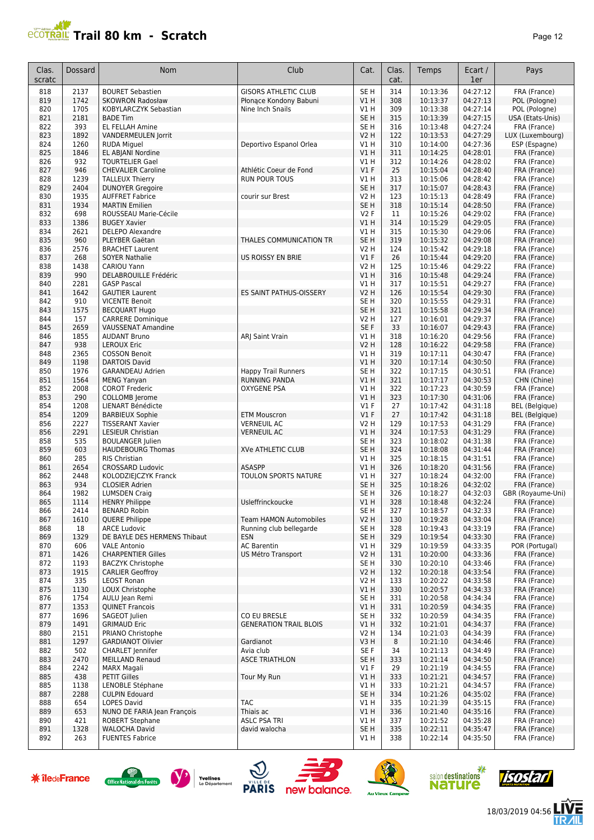# **PROTRAIL Trail 80 km - Scratch**

| Clas.<br>scratc | Dossard      | <b>Nom</b>                                          | Club                                          | Cat.                                | Clas.<br>cat. | Temps                | Ecart /<br>1er       | Pays                             |
|-----------------|--------------|-----------------------------------------------------|-----------------------------------------------|-------------------------------------|---------------|----------------------|----------------------|----------------------------------|
| 818             | 2137         | <b>BOURET Sebastien</b>                             | <b>GISORS ATHLETIC CLUB</b>                   | SE <sub>H</sub>                     | 314           | 10:13:36             | 04:27:12             | FRA (France)                     |
| 819             | 1742         | <b>SKOWRON Radosław</b>                             | Płonące Kondony Babuni                        | V1H                                 | 308           | 10:13:37             | 04:27:13             | POL (Pologne)                    |
| 820             | 1705         | KOBYLARCZYK Sebastian                               | Nine Inch Snails                              | V1H                                 | 309           | 10:13:38             | 04:27:14             | POL (Pologne)                    |
| 821             | 2181<br>393  | <b>BADE Tim</b>                                     |                                               | SE <sub>H</sub>                     | 315           | 10:13:39             | 04:27:15             | USA (Etats-Unis)                 |
| 822<br>823      | 1892         | EL FELLAH Amine<br>VANDERMEULEN Jorrit              |                                               | SE <sub>H</sub><br><b>V2 H</b>      | 316<br>122    | 10:13:48<br>10:13:53 | 04:27:24<br>04:27:29 | FRA (France)<br>LUX (Luxembourg) |
| 824             | 1260         | <b>RUDA Miguel</b>                                  | Deportivo Espanol Orlea                       | V1H                                 | 310           | 10:14:00             | 04:27:36             | ESP (Espagne)                    |
| 825             | 1846         | EL ABJANI Nordine                                   |                                               | V1H                                 | 311           | 10:14:25             | 04:28:01             | FRA (France)                     |
| 826             | 932          | <b>TOURTELIER Gael</b>                              |                                               | V1 H                                | 312           | 10:14:26             | 04:28:02             | FRA (France)                     |
| 827             | 946          | <b>CHEVALIER Caroline</b>                           | Athlétic Coeur de Fond                        | $VI$ F                              | 25            | 10:15:04             | 04:28:40             | FRA (France)                     |
| 828             | 1239         | <b>TALLEUX Thierry</b>                              | <b>RUN POUR TOUS</b>                          | V1 H                                | 313           | 10:15:06             | 04:28:42             | FRA (France)                     |
| 829             | 2404         | <b>DUNOYER Gregoire</b>                             |                                               | SE <sub>H</sub>                     | 317           | 10:15:07             | 04:28:43             | FRA (France)                     |
| 830             | 1935         | <b>AUFFRET Fabrice</b>                              | courir sur Brest                              | <b>V2 H</b>                         | 123           | 10:15:13             | 04:28:49             | FRA (France)                     |
| 831             | 1934<br>698  | <b>MARTIN Emilien</b>                               |                                               | SE <sub>H</sub><br>V2F              | 318           | 10:15:14<br>10:15:26 | 04:28:50<br>04:29:02 | FRA (France)                     |
| 832<br>833      | 1386         | ROUSSEAU Marie-Cécile<br><b>BUGEY Xavier</b>        |                                               | V1H                                 | 11<br>314     | 10:15:29             | 04:29:05             | FRA (France)<br>FRA (France)     |
| 834             | 2621         | <b>DELEPO Alexandre</b>                             |                                               | V1H                                 | 315           | 10:15:30             | 04:29:06             | FRA (France)                     |
| 835             | 960          | PLEYBER Gaëtan                                      | THALES COMMUNICATION TR                       | SE <sub>H</sub>                     | 319           | 10:15:32             | 04:29:08             | FRA (France)                     |
| 836             | 2576         | <b>BRACHET Laurent</b>                              |                                               | <b>V2 H</b>                         | 124           | 10:15:42             | 04:29:18             | FRA (France)                     |
| 837             | 268          | <b>SOYER Nathalie</b>                               | <b>US ROISSY EN BRIE</b>                      | $VI$ F                              | 26            | 10:15:44             | 04:29:20             | FRA (France)                     |
| 838             | 1438         | CARIOU Yann                                         |                                               | V2 H                                | 125           | 10:15:46             | 04:29:22             | FRA (France)                     |
| 839             | 990          | DELABROUILLE Frédéric                               |                                               | V1H                                 | 316           | 10:15:48             | 04:29:24             | FRA (France)                     |
| 840             | 2281         | <b>GASP Pascal</b>                                  |                                               | V1 H                                | 317           | 10:15:51             | 04:29:27             | FRA (France)                     |
| 841             | 1642<br>910  | <b>GAUTIER Laurent</b>                              | ES SAINT PATHUS-OISSERY                       | V <sub>2</sub> H<br>SE <sub>H</sub> | 126<br>320    | 10:15:54             | 04:29:30<br>04:29:31 | FRA (France)                     |
| 842<br>843      | 1575         | <b>VICENTE Benoit</b><br><b>BECQUART Hugo</b>       |                                               | SE <sub>H</sub>                     | 321           | 10:15:55<br>10:15:58 | 04:29:34             | FRA (France)<br>FRA (France)     |
| 844             | 157          | <b>CARRERE Dominique</b>                            |                                               | <b>V2 H</b>                         | 127           | 10:16:01             | 04:29:37             | FRA (France)                     |
| 845             | 2659         | <b>VAUSSENAT Amandine</b>                           |                                               | SE F                                | 33            | 10:16:07             | 04:29:43             | FRA (France)                     |
| 846             | 1855         | <b>AUDANT Bruno</b>                                 | ARJ Saint Vrain                               | V1H                                 | 318           | 10:16:20             | 04:29:56             | FRA (France)                     |
| 847             | 938          | <b>LEROUX Eric</b>                                  |                                               | <b>V2 H</b>                         | 128           | 10:16:22             | 04:29:58             | FRA (France)                     |
| 848             | 2365         | <b>COSSON Benoit</b>                                |                                               | V1 H                                | 319           | 10:17:11             | 04:30:47             | FRA (France)                     |
| 849             | 1198         | <b>DARTOIS David</b>                                |                                               | V1H                                 | 320           | 10:17:14             | 04:30:50             | FRA (France)                     |
| 850             | 1976         | <b>GARANDEAU Adrien</b>                             | <b>Happy Trail Runners</b>                    | SE <sub>H</sub>                     | 322           | 10:17:15             | 04:30:51             | FRA (France)                     |
| 851<br>852      | 1564<br>2008 | <b>MENG Yanyan</b><br><b>COROT Frederic</b>         | <b>RUNNING PANDA</b><br>OXYGENE PSA           | V1H<br>V1 H                         | 321<br>322    | 10:17:17<br>10:17:23 | 04:30:53<br>04:30:59 | CHN (Chine)<br>FRA (France)      |
| 853             | 290          | <b>COLLOMB</b> Jerome                               |                                               | VIH                                 | 323           | 10:17:30             | 04:31:06             | FRA (France)                     |
| 854             | 1208         | LIENART Bénédicte                                   |                                               | V1F                                 | 27            | 10:17:42             | 04:31:18             | <b>BEL</b> (Belgique)            |
| 854             | 1209         | <b>BARBIEUX Sophie</b>                              | <b>ETM Mouscron</b>                           | $VI$ F                              | 27            | 10:17:42             | 04:31:18             | <b>BEL</b> (Belgique)            |
| 856             | 2227         | <b>TISSERANT Xavier</b>                             | <b>VERNEUIL AC</b>                            | <b>V2 H</b>                         | 129           | 10:17:53             | 04:31:29             | FRA (France)                     |
| 856             | 2291         | <b>LESIEUR Christian</b>                            | <b>VERNEUIL AC</b>                            | V1H                                 | 324           | 10:17:53             | 04:31:29             | FRA (France)                     |
| 858             | 535          | <b>BOULANGER Julien</b>                             |                                               | SE <sub>H</sub>                     | 323           | 10:18:02             | 04:31:38             | FRA (France)                     |
| 859             | 603          | <b>HAUDEBOURG Thomas</b>                            | <b>XVe ATHLETIC CLUB</b>                      | SE <sub>H</sub>                     | 324           | 10:18:08             | 04:31:44             | FRA (France)                     |
| 860<br>861      | 285<br>2654  | RIS Christian<br><b>CROSSARD Ludovic</b>            | <b>ASASPP</b>                                 | V1H<br>VIH                          | 325<br>326    | 10:18:15<br>10:18:20 | 04:31:51<br>04:31:56 | FRA (France)<br>FRA (France)     |
| 862             | 2448         | KOLODZIEJCZYK Franck                                | TOULON SPORTS NATURE                          | V1 H                                | 327           | 10:18:24             | 04:32:00             | FRA (France)                     |
| 863             | 934          | <b>CLOSIER Adrien</b>                               |                                               | SE <sub>H</sub>                     | 325           | 10:18:26             | 04:32:02             | FRA (France)                     |
| 864             | 1982         | <b>LUMSDEN Craig</b>                                |                                               | SE H                                | 326           | 10:18:27             | 04:32:03             | GBR (Royaume-Uni)                |
| 865             | 1114         | <b>HENRY Philippe</b>                               | Usleffrinckoucke                              | V1 H                                | 328           | 10:18:48             | 04:32:24             | FRA (France)                     |
| 866             | 2414         | BENARD Robin                                        |                                               | SE H                                | 327           | 10:18:57             | 04:32:33             | FRA (France)                     |
| 867             | 1610         | <b>QUERE Philippe</b>                               | <b>Team HAMON Automobiles</b>                 | V <sub>2</sub> H                    | 130           | 10:19:28             | 04:33:04             | FRA (France)                     |
| 868             | 18           | <b>ARCE Ludovic</b>                                 | Running club bellegarde                       | SE <sub>H</sub>                     | 328           | 10:19:43             | 04:33:19             | FRA (France)                     |
| 869<br>870      | 1329<br>606  | DE BAYLE DES HERMENS Thibaut<br><b>VALE Antonio</b> | <b>ESN</b><br><b>AC Barentin</b>              | SE <sub>H</sub><br>V1 H             | 329<br>329    | 10:19:54<br>10:19:59 | 04:33:30<br>04:33:35 | FRA (France)<br>POR (Portugal)   |
| 871             | 1426         | <b>CHARPENTIER Gilles</b>                           | US Métro Transport                            | <b>V2 H</b>                         | 131           | 10:20:00             | 04:33:36             | FRA (France)                     |
| 872             | 1193         | <b>BACZYK Christophe</b>                            |                                               | SE H                                | 330           | 10:20:10             | 04:33:46             | FRA (France)                     |
| 873             | 1915         | <b>CARLIER Geoffroy</b>                             |                                               | <b>V2 H</b>                         | 132           | 10:20:18             | 04:33:54             | FRA (France)                     |
| 874             | 335          | <b>LEOST Ronan</b>                                  |                                               | V2 H                                | 133           | 10:20:22             | 04:33:58             | FRA (France)                     |
| 875             | 1130         | LOUX Christophe                                     |                                               | V1H                                 | 330           | 10:20:57             | 04:34:33             | FRA (France)                     |
| 876             | 1754         | AULU Jean Remi                                      |                                               | SE H                                | 331           | 10:20:58             | 04:34:34             | FRA (France)                     |
| 877             | 1353         | <b>QUINET Francois</b>                              |                                               | V1H                                 | 331           | 10:20:59             | 04:34:35             | FRA (France)                     |
| 877             | 1696         | <b>SAGEOT</b> Julien                                | CO EU BRESLE<br><b>GENERATION TRAIL BLOIS</b> | SE H                                | 332           | 10:20:59             | 04:34:35             | FRA (France)                     |
| 879<br>880      | 1491<br>2151 | <b>GRIMAUD Eric</b><br>PRIANO Christophe            |                                               | V1H<br>V2 H                         | 332<br>134    | 10:21:01<br>10:21:03 | 04:34:37<br>04:34:39 | FRA (France)<br>FRA (France)     |
| 881             | 1297         | <b>GARDIANOT Olivier</b>                            | Gardianot                                     | V3H                                 | 8             | 10:21:10             | 04:34:46             | FRA (France)                     |
| 882             | 502          | <b>CHARLET</b> Jennifer                             | Avia club                                     | SE F                                | 34            | 10:21:13             | 04:34:49             | FRA (France)                     |
| 883             | 2470         | <b>MEILLAND Renaud</b>                              | <b>ASCE TRIATHLON</b>                         | SE <sub>H</sub>                     | 333           | 10:21:14             | 04:34:50             | FRA (France)                     |
| 884             | 2242         | <b>MARX Magali</b>                                  |                                               | $VI$ F                              | 29            | 10:21:19             | 04:34:55             | FRA (France)                     |
| 885             | 438          | <b>PETIT Gilles</b>                                 | Tour My Run                                   | V1H                                 | 333           | 10:21:21             | 04:34:57             | FRA (France)                     |
| 885             | 1138         | LENOBLE Stéphane                                    |                                               | V1 H                                | 333           | 10:21:21             | 04:34:57             | FRA (France)                     |
| 887             | 2288         | <b>CULPIN Edouard</b>                               |                                               | SE H                                | 334           | 10:21:26             | 04:35:02             | FRA (France)                     |
| 888<br>889      | 654<br>653   | <b>LOPES David</b><br>NUNO DE FARIA Jean François   | <b>TAC</b><br>Thiais ac                       | V1 H<br>V1H                         | 335<br>336    | 10:21:39<br>10:21:40 | 04:35:15<br>04:35:16 | FRA (France)<br>FRA (France)     |
| 890             | 421          | <b>ROBERT Stephane</b>                              | <b>ASLC PSA TRI</b>                           | V1 H                                | 337           | 10:21:52             | 04:35:28             | FRA (France)                     |
| 891             | 1328         | <b>WALOCHA David</b>                                | david walocha                                 | SE H                                | 335           | 10:22:11             | 04:35:47             | FRA (France)                     |
| 892             | 263          | <b>FUENTES Fabrice</b>                              |                                               | V1 H                                | 338           | 10:22:14             | 04:35:50             | FRA (France)                     |
|                 |              |                                                     |                                               |                                     |               |                      |                      |                                  |













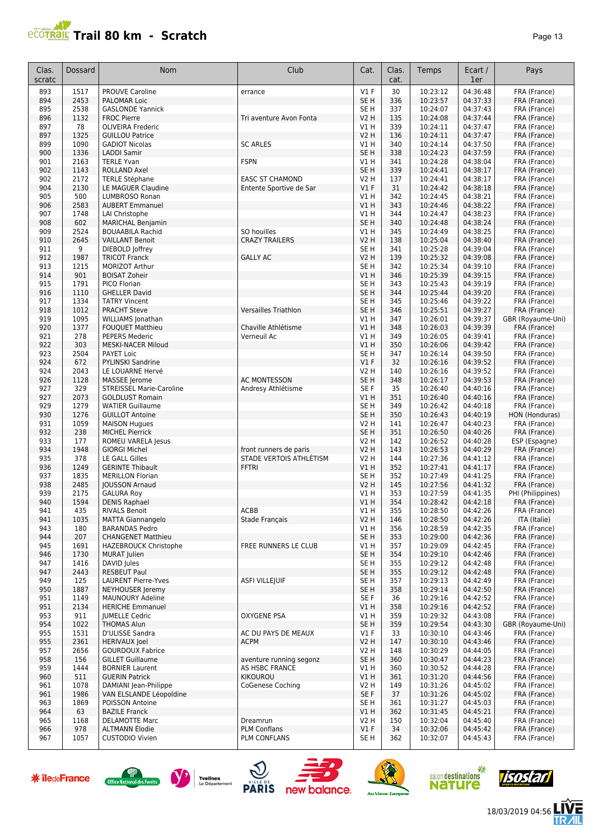## **Trail 80 km - Scratch Page 13** Page 13

| Clas.<br>scratc | <b>Dossard</b> | Nom                             | Club                        | Cat.            | Clas.<br>cat. | Temps    | Ecart /<br>1er | Pays              |
|-----------------|----------------|---------------------------------|-----------------------------|-----------------|---------------|----------|----------------|-------------------|
| 893             | 1517           | <b>PROUVE Caroline</b>          | errance                     | $VI$ F          | 30            | 10:23:12 | 04:36:48       | FRA (France)      |
| 894             | 2453           | PALOMAR Loic                    |                             | SE H            | 336           | 10:23:57 | 04:37:33       | FRA (France)      |
| 895             | 2538           | <b>GASLONDE Yannick</b>         |                             | SE <sub>H</sub> | 337           | 10:24:07 | 04:37:43       | FRA (France)      |
| 896             | 1132           | <b>FROC Pierre</b>              | Tri aventure Avon Fonta     | <b>V2 H</b>     | 135           | 10:24:08 | 04:37:44       | FRA (France)      |
| 897             | 78             | <b>OLIVEIRA Frederic</b>        |                             | V1H             | 339           | 10:24:11 | 04:37:47       | FRA (France)      |
| 897             | 1325           | <b>GUILLOU Patrice</b>          |                             | <b>V2 H</b>     | 136           | 10:24:11 | 04:37:47       | FRA (France)      |
| 899             | 1090           | <b>GADIOT Nicolas</b>           | <b>SC ARLES</b>             | V1 H            | 340           | 10:24:14 | 04:37:50       | FRA (France)      |
| 900             | 1336           | <b>LADDI Samir</b>              |                             | SE <sub>H</sub> | 338           | 10:24:23 | 04:37:59       | FRA (France)      |
| 901             | 2163           | <b>TERLE Yvan</b>               | <b>FSPN</b>                 | V1 H            | 341           | 10:24:28 | 04:38:04       | FRA (France)      |
| 902             | 1143           | <b>ROLLAND Axel</b>             |                             | SE <sub>H</sub> | 339           | 10:24:41 | 04:38:17       | FRA (France)      |
| 902             | 2172           | <b>TERLE Stéphane</b>           | <b>EASC ST CHAMOND</b>      | V2 H            | 137           | 10:24:41 | 04:38:17       | FRA (France)      |
| 904             | 2130           | LE MAGUER Claudine              | Entente Sportive de Sar     | $VI$ F          | 31            | 10:24:42 | 04:38:18       | FRA (France)      |
| 905             | 500            | LUMBROSO Ronan                  |                             | V1 H            | 342           | 10:24:45 | 04:38:21       | FRA (France)      |
| 906             | 2583           | <b>AUBERT Emmanuel</b>          |                             | VIH             | 343           | 10:24:46 | 04:38:22       | FRA (France)      |
| 907             | 1748           | LAI Christophe                  |                             | V1H             | 344           | 10:24:47 | 04:38:23       | FRA (France)      |
| 908             | 602            | <b>MARICHAL Benjamin</b>        |                             | SE <sub>H</sub> | 340           | 10:24:48 | 04:38:24       | FRA (France)      |
| 909             | 2524           | <b>BOUAABILA Rachid</b>         | SO houilles                 | V1H             | 345           | 10:24:49 | 04:38:25       | FRA (France)      |
| 910             | 2645           | <b>VAILLANT Benoit</b>          | <b>CRAZY TRAILERS</b>       | <b>V2 H</b>     | 138           | 10:25:04 | 04:38:40       | FRA (France)      |
| 911             | 9              | DIEBOLD Joffrey                 |                             | SE <sub>H</sub> | 341           | 10:25:28 | 04:39:04       | FRA (France)      |
| 912             | 1987           | <b>TRICOT Franck</b>            | <b>GALLY AC</b>             | <b>V2 H</b>     | 139           | 10:25:32 | 04:39:08       | FRA (France)      |
| 913             | 1215           | MORIZOT Arthur                  |                             | SE <sub>H</sub> | 342           | 10:25:34 | 04:39:10       | FRA (France)      |
| 914             | 901            | <b>BOISAT Zoheir</b>            |                             | VIH             | 346           | 10:25:39 | 04:39:15       | FRA (France)      |
| 915             | 1791           | PICO Florian                    |                             | SE <sub>H</sub> | 343           | 10:25:43 | 04:39:19       | FRA (France)      |
| 916             | 1110           | <b>GHELLER David</b>            |                             | SE <sub>H</sub> | 344           | 10:25:44 | 04:39:20       | FRA (France)      |
| 917             | 1334           | <b>TATRY Vincent</b>            |                             | SE H            | 345           | 10:25:46 | 04:39:22       | FRA (France)      |
| 918             | 1012           | <b>PRACHT Steve</b>             | <b>Versailles Triathlon</b> | SE <sub>H</sub> | 346           | 10:25:51 | 04:39:27       | FRA (France)      |
| 919             | 1095           | <b>WILLIAMS</b> Jonathan        |                             | V1 H            | 347           | 10:26:01 | 04:39:37       | GBR (Royaume-Uni) |
| 920             | 1377           | <b>FOUQUET Matthieu</b>         | Chaville Athlétisme         | V1H             | 348           | 10:26:03 | 04:39:39       | FRA (France)      |
| 921             | 278            | <b>PEPERS Mederic</b>           | Verneuil Ac                 | V1H             | 349           | 10:26:05 | 04:39:41       | FRA (France)      |
| 922             | 303            | <b>MESKI-NACER Miloud</b>       |                             | V1H             | 350           | 10:26:06 | 04:39:42       | FRA (France)      |
| 923             | 2504           | PAYET Loic                      |                             | SE <sub>H</sub> | 347           | 10:26:14 | 04:39:50       | FRA (France)      |
| 924             | 672            | PYLINSKI Sandrine               |                             | $VI$ F          | 32            | 10:26:16 | 04:39:52       | FRA (France)      |
| 924             | 2043           | LE LOUARNE Hervé                |                             | V2 H            | 140           | 10:26:16 | 04:39:52       | FRA (France)      |
| 926             | 1128           | MASSEE Jerome                   | <b>AC MONTESSON</b>         | SE <sub>H</sub> | 348           | 10:26:17 | 04:39:53       | FRA (France)      |
| 927             | 329            | <b>STREISSEL Marie-Caroline</b> | Andresy Athlétisme          | SE F            | 35            | 10:26:40 | 04:40:16       | FRA (France)      |
| 927             | 2073           | <b>GOLDLUST Romain</b>          |                             | V1 H            | 351           | 10:26:40 | 04:40:16       | FRA (France)      |
| 929             | 1279           | <b>WATIER Guillaume</b>         |                             | SE H            | 349           | 10:26:42 | 04:40:18       | FRA (France)      |
| 930             | 1276           | <b>GUILLOT Antoine</b>          |                             | SE <sub>H</sub> | 350           | 10:26:43 | 04:40:19       | HON (Honduras)    |
| 931             | 1059           | <b>MAISON Hugues</b>            |                             | <b>V2 H</b>     | 141           | 10:26:47 | 04:40:23       | FRA (France)      |
| 932             | 238            | <b>MICHEL Pierrick</b>          |                             | SE <sub>H</sub> | 351           | 10:26:50 | 04:40:26       | FRA (France)      |
| 933             | 177            | ROMEU VARELA Jesus              |                             | <b>V2 H</b>     | 142           | 10:26:52 | 04:40:28       | ESP (Espagne)     |
| 934             | 1948           | <b>GIORGI Michel</b>            | front runners de paris      | <b>V2 H</b>     | 143           | 10:26:53 | 04:40:29       | FRA (France)      |
| 935             | 378            | <b>LE GALL Gilles</b>           | STADE VERTOIS ATHLÉTISM     | <b>V2 H</b>     | 144           | 10:27:36 | 04:41:12       | FRA (France)      |
| 936             | 1249           | <b>GERINTE Thibault</b>         | <b>FFTRI</b>                | V1H             | 352           | 10:27:41 | 04:41:17       | FRA (France)      |
| 937             | 1835           | <b>MERILLON Florian</b>         |                             | SE <sub>H</sub> | 352           | 10:27:49 | 04:41:25       | FRA (France)      |
| 938             | 2485           | <b>JOUSSON Arnaud</b>           |                             | <b>V2 H</b>     | 145           | 10:27:56 | 04:41:32       | FRA (France)      |
| 939             | 2175           | <b>GALURA Roy</b>               |                             | V1 H            | 353           | 10:27:59 | 04:41:35       | PHI (Philippines) |
| 940             | 1594           | <b>DENIS Raphael</b>            |                             | V1 H            | 354           | 10:28:42 | 04:42:18       | FRA (France)      |
| 941             | 435            | <b>RIVALS Benoit</b>            | ACBB                        | V1 H            | 355           | 10:28:50 | 04:42:26       | FRA (France)      |
| 941             | 1035           | <b>MATTA Giannangelo</b>        | Stade Français              | <b>V2 H</b>     | 146           | 10:28:50 | 04:42:26       | ITA (Italie)      |
| 943             | 180            | <b>BARANDAS Pedro</b>           |                             | V1 H            | 356           | 10:28:59 | 04:42:35       | FRA (France)      |
| 944             | 207            | <b>CHANGENET Matthieu</b>       |                             | SE <sub>H</sub> | 353           | 10:29:00 | 04:42:36       | FRA (France)      |
| 945             | 1691           | HAZEBROUCK Christophe           | <b>FREE RUNNERS LE CLUB</b> | V1 H            | 357           | 10:29:09 | 04:42:45       | FRA (France)      |
| 946             | 1730           | <b>MURAT</b> Julien             |                             | SE <sub>H</sub> | 354           | 10:29:10 | 04:42:46       | FRA (France)      |
| 947             | 1416           | DAVID Jules                     |                             | SE H            | 355           | 10:29:12 | 04:42:48       | FRA (France)      |
| 947             | 2443           | <b>RESBEUT Paul</b>             |                             | SE <sub>H</sub> | 355           | 10:29:12 | 04:42:48       | FRA (France)      |
| 949             | 125            | <b>LAURENT Pierre-Yves</b>      | ASFI VILLEJUIF              | SE H            | 357           | 10:29:13 | 04:42:49       | FRA (France)      |
| 950             | 1887           | NEYHOUSER Jeremy                |                             | SE <sub>H</sub> | 358           | 10:29:14 | 04:42:50       | FRA (France)      |
| 951             | 1149           | <b>MAUNOURY Adeline</b>         |                             | SE F            | 36            | 10:29:16 | 04:42:52       | FRA (France)      |
| 951             | 2134           | <b>HERICHE Emmanuel</b>         |                             | VIH             | 358           | 10:29:16 | 04:42:52       | FRA (France)      |
| 953             | 911            | <b>JUMELLE Cedric</b>           | <b>OXYGENE PSA</b>          | V1H             | 359           | 10:29:32 | 04:43:08       | FRA (France)      |
| 954             | 1022           | <b>THOMAS Alun</b>              |                             | SE <sub>H</sub> | 359           | 10:29:54 | 04:43:30       | GBR (Royaume-Uni) |
| 955             | 1531           | D'ULISSE Sandra                 | AC DU PAYS DE MEAUX         | $VI$ F          | 33            | 10:30:10 | 04:43:46       | FRA (France)      |
| 955             | 2361           | <b>HERIVAUX Joel</b>            | <b>ACPM</b>                 | <b>V2 H</b>     | 147           | 10:30:10 | 04:43:46       | FRA (France)      |
| 957             | 2656           | <b>GOURDOUX Fabrice</b>         |                             | <b>V2 H</b>     | 148           | 10:30:29 | 04:44:05       | FRA (France)      |
| 958             | 156            | <b>GILLET Guillaume</b>         | aventure running segonz     | SE <sub>H</sub> | 360           | 10:30:47 | 04:44:23       | FRA (France)      |
| 959             | 1444           | <b>BORNIER Laurent</b>          | AS HSBC FRANCE              | V1 H            | 360           | 10:30:52 | 04:44:28       | FRA (France)      |
| 960             | 511            | <b>GUERIN Patrick</b>           | <b>KIKOUROU</b>             | V1H             | 361           | 10:31:20 | 04:44:56       | FRA (France)      |
| 961             | 1078           | DAMIANI Jean-Philippe           | CoGenese Coching            | V2 H            | 149           | 10:31:26 | 04:45:02       | FRA (France)      |
| 961             | 1986           | VAN ELSLANDE Léopoldine         |                             | SE F            | 37            | 10:31:26 | 04:45:02       | FRA (France)      |
| 963             | 1869           | POISSON Antoine                 |                             | SE H            | 361           | 10:31:27 | 04:45:03       | FRA (France)      |
| 964             | 63             | <b>BAZILE Franck</b>            |                             | VIH             | 362           | 10:31:45 | 04:45:21       | FRA (France)      |
| 965             | 1168           | <b>DELAMOTTE Marc</b>           | Dreamrun                    | V2 H            | 150           | 10:32:04 | 04:45:40       | FRA (France)      |
| 966             | 978            | ALTMANN Élodie                  | <b>PLM Conflans</b>         | $VI$ F          | 34            | 10:32:06 | 04:45:42       | FRA (France)      |
| 967             | 1057           | <b>CUSTODIO Vivien</b>          | PLM CONFLANS                | SE H            | 362           | 10:32:07 | 04:45:43       | FRA (France)      |

















信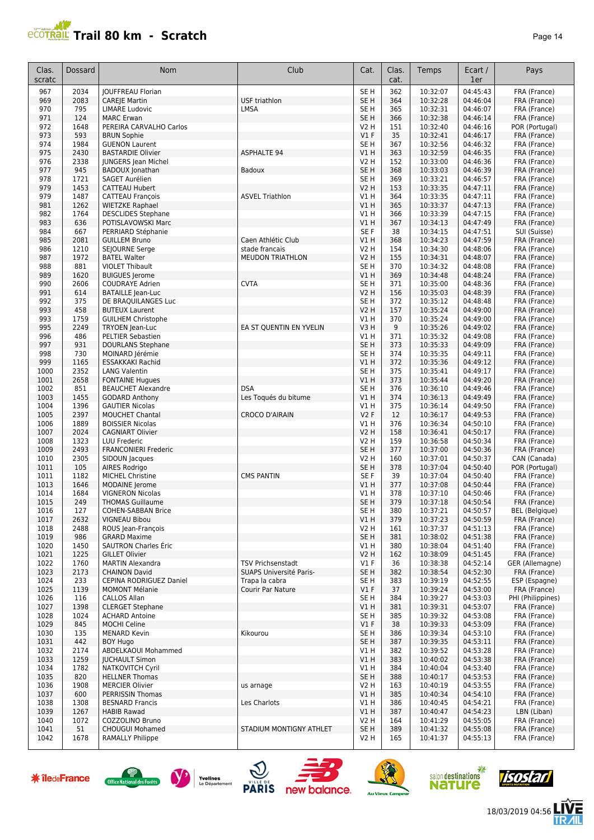

| Clas.<br>scratc | Dossard     | Nom                                      | Club                     | Cat.            | Clas.<br>cat. | Temps                | Ecart /<br>1er       | Pays                         |
|-----------------|-------------|------------------------------------------|--------------------------|-----------------|---------------|----------------------|----------------------|------------------------------|
| 967             | 2034        | <b>JOUFFREAU Florian</b>                 |                          | SE <sub>H</sub> | 362           | 10:32:07             | 04:45:43             | FRA (France)                 |
| 969             | 2083        | <b>CAREJE Martin</b>                     | <b>USF triathlon</b>     | SE <sub>H</sub> | 364           | 10:32:28             | 04:46:04             | FRA (France)                 |
| 970             | 795         | <b>LIMARE Ludovic</b>                    | LMSA                     | SE H            | 365           | 10:32:31             | 04:46:07             | FRA (France)                 |
| 971             | 124         | <b>MARC Erwan</b>                        |                          | SE <sub>H</sub> | 366           | 10:32:38             | 04:46:14             | FRA (France)                 |
| 972             | 1648        | PEREIRA CARVALHO Carlos                  |                          | <b>V2 H</b>     | 151           | 10:32:40             | 04:46:16             | POR (Portugal)               |
| 973             | 593         | <b>BRUN Sophie</b>                       |                          | $VI$ F          | 35            | 10:32:41             | 04:46:17             | FRA (France)                 |
| 974             | 1984        | <b>GUENON Laurent</b>                    |                          | SE <sub>H</sub> | 367           | 10:32:56             | 04:46:32             | FRA (France)                 |
| 975             | 2430        | <b>BASTARDIE Olivier</b>                 | <b>ASPHALTE 94</b>       | VIH             | 363           | 10:32:59             | 04:46:35             | FRA (France)                 |
| 976             | 2338        | <b>JUNGERS Jean Michel</b>               |                          | <b>V2 H</b>     | 152           | 10:33:00             | 04:46:36             | FRA (France)                 |
| 977             | 945         | <b>BADOUX</b> Jonathan                   | Badoux                   | SE <sub>H</sub> | 368           | 10:33:03             | 04:46:39             | FRA (France)                 |
| 978             | 1721        | SAGET Aurélien                           |                          | SE <sub>H</sub> | 369           | 10:33:21             | 04:46:57             | FRA (France)                 |
| 979             | 1453        | <b>CATTEAU Hubert</b>                    |                          | <b>V2 H</b>     | 153           | 10:33:35             | 04:47:11             | FRA (France)                 |
| 979             | 1487        | <b>CATTEAU François</b>                  | <b>ASVEL Triathlon</b>   | V1H             | 364           | 10:33:35             | 04:47:11             | FRA (France)                 |
| 981             | 1262        | <b>WIETZKE Raphael</b>                   |                          | V1H             | 365           | 10:33:37             | 04:47:13             | FRA (France)                 |
| 982             | 1764        | <b>DESCLIDES Stephane</b>                |                          | V1 H            | 366           | 10:33:39             | 04:47:15             | FRA (France)                 |
| 983             | 636         | POTISLAVOWSKI Marc                       |                          | V1 H            | 367           | 10:34:13             | 04:47:49             | FRA (France)                 |
| 984             | 667         | PERRIARD Stéphanie                       |                          | SE F            | 38            | 10:34:15             | 04:47:51             | SUI (Suisse)                 |
| 985             | 2081        | <b>GUILLEM Bruno</b>                     | Caen Athlétic Club       | V1 H            | 368           | 10:34:23             | 04:47:59             | FRA (France)                 |
| 986             | 1210        | SEJOURNE Serge                           | stade francais           | V2 H            | 154           | 10:34:30             | 04:48:06             | FRA (France)                 |
| 987             | 1972        | <b>BATEL Walter</b>                      | <b>MEUDON TRIATHLON</b>  | V2 H            | 155           | 10:34:31             | 04:48:07             | FRA (France)                 |
| 988             | 881         | <b>VIOLET Thibault</b>                   |                          | SE <sub>H</sub> | 370           | 10:34:32             | 04:48:08             | FRA (France)                 |
| 989             | 1620        | <b>BUIGUES</b> Jerome                    |                          | V1H             | 369           | 10:34:48             | 04:48:24             | FRA (France)                 |
| 990             | 2606        | <b>COUDRAYE Adrien</b>                   | <b>CVTA</b>              | SE <sub>H</sub> | 371           | 10:35:00             | 04:48:36             | FRA (France)                 |
| 991             | 614         | <b>BATAILLE Jean-Luc</b>                 |                          | <b>V2 H</b>     | 156           | 10:35:03             | 04:48:39             | FRA (France)                 |
| 992             | 375         | DE BRAQUILANGES Luc                      |                          | SE <sub>H</sub> | 372           | 10:35:12             | 04:48:48             | FRA (France)                 |
| 993             | 458         | <b>BUTEUX Laurent</b>                    |                          | <b>V2 H</b>     | 157           | 10:35:24             | 04:49:00             | FRA (France)                 |
| 993             | 1759        | <b>GUILHEM Christophe</b>                |                          | V1 H            | 370           | 10:35:24             | 04:49:00             | FRA (France)                 |
| 995             | 2249        | <b>TRYOEN Jean-Luc</b>                   | EA ST QUENTIN EN YVELIN  | V3H             | 9             | 10:35:26             | 04:49:02             | FRA (France)                 |
| 996             | 486         | <b>PELTIER Sebastien</b>                 |                          | V1 H            | 371           | 10:35:32             | 04:49:08             | FRA (France)                 |
| 997             | 931         | <b>DOURLANS Stephane</b>                 |                          | SE <sub>H</sub> | 373           | 10:35:33             | 04:49:09             | FRA (France)                 |
| 998             | 730         | MOINARD Jérémie                          |                          | SE H            | 374           | 10:35:35             | 04:49:11             | FRA (France)                 |
| 999             | 1165        | <b>ESSAKKAKI Rachid</b>                  |                          | V1 H            | 372           | 10:35:36             | 04:49:12             | FRA (France)                 |
| 1000            | 2352        | <b>LANG Valentin</b>                     |                          | SE <sub>H</sub> | 375           | 10:35:41             | 04:49:17             | FRA (France)                 |
| 1001            | 2658        | <b>FONTAINE Hugues</b>                   |                          | V1H             | 373           | 10:35:44             | 04:49:20             | FRA (France)                 |
| 1002            | 851         | <b>BEAUCHET Alexandre</b>                | <b>DSA</b>               | SE H            | 376           | 10:36:10             | 04:49:46             | FRA (France)                 |
| 1003            | 1455        | <b>GODARD Anthony</b>                    | Les Toqués du bitume     | VIH             | 374           | 10:36:13             | 04:49:49             | FRA (France)                 |
| 1004            | 1396        | <b>GAUTIER Nicolas</b>                   |                          | V1 H            | 375           | 10:36:14             | 04:49:50             | FRA (France)                 |
| 1005            | 2397        | MOUCHET Chantal                          | <b>CROCO D'AIRAIN</b>    | <b>V2F</b>      | 12            | 10:36:17             | 04:49:53             | FRA (France)                 |
| 1006            | 1889        | <b>BOISSIER Nicolas</b>                  |                          | V1H             | 376           | 10:36:34             | 04:50:10             | FRA (France)                 |
| 1007            | 2024        | <b>CAGNIART Olivier</b>                  |                          | <b>V2 H</b>     | 158           | 10:36:41             | 04:50:17             | FRA (France)                 |
| 1008            | 1323        | <b>LUU Frederic</b>                      |                          | V2 H            | 159           | 10:36:58             | 04:50:34             | FRA (France)                 |
| 1009            | 2493        | <b>FRANCONIERI Frederic</b>              |                          | SE <sub>H</sub> | 377           | 10:37:00             | 04:50:36             | FRA (France)                 |
| 1010            | 2305<br>105 | SIDOUN Jacques                           |                          | V2 H<br>SE H    | 160           | 10:37:01             | 04:50:37             | CAN (Canada)                 |
| 1011<br>1011    | 1182        | AIRES Rodrigo<br><b>MICHEL Christine</b> | <b>CMS PANTIN</b>        | SE F            | 378<br>39     | 10:37:04             | 04:50:40<br>04:50:40 | POR (Portugal)               |
| 1013            | 1646        | MODAINE Jerome                           |                          | VIH             | 377           | 10:37:04<br>10:37:08 | 04:50:44             | FRA (France)<br>FRA (France) |
| 1014            | 1684        | <b>VIGNERON Nicolas</b>                  |                          | V1 H            | 378           | 10:37:10             | 04:50:46             | FRA (France)                 |
| 1015            | 249         | <b>THOMAS Guillaume</b>                  |                          | SE <sub>H</sub> | 379           | 10:37:18             | 04:50:54             | FRA (France)                 |
| 1016            | 127         | <b>COHEN-SABBAN Brice</b>                |                          | SE H            | 380           | 10:37:21             | 04:50:57             | <b>BEL</b> (Belgique)        |
| 1017            | 2632        | <b>VIGNEAU Bibou</b>                     |                          | V1H             | 379           | 10:37:23             | 04:50:59             | FRA (France)                 |
| 1018            | 2488        | ROUS Jean-François                       |                          | V2 H            | 161           | 10:37:37             | 04:51:13             | FRA (France)                 |
| 1019            | 986         | <b>GRARD Maxime</b>                      |                          | SE H            | 381           | 10:38:02             | 04:51:38             | FRA (France)                 |
| 1020            | 1450        | <b>SAUTRON Charles Éric</b>              |                          | V1 H            | 380           | 10:38:04             | 04:51:40             | FRA (France)                 |
| 1021            | 1225        | <b>GILLET Olivier</b>                    |                          | <b>V2 H</b>     | 162           | 10:38:09             | 04:51:45             | FRA (France)                 |
| 1022            | 1760        | <b>MARTIN Alexandra</b>                  | <b>TSV Prichsenstadt</b> | $VI$ F          | 36            | 10:38:38             | 04:52:14             | GER (Allemagne)              |
| 1023            | 2173        | <b>CHAINON David</b>                     | SUAPS Université Paris-  | SE <sub>H</sub> | 382           | 10:38:54             | 04:52:30             | FRA (France)                 |
| 1024            | 233         | CEPINA RODRIGUEZ Daniel                  | Trapa la cabra           | SE H            | 383           | 10:39:19             | 04:52:55             | ESP (Espagne)                |
| 1025            | 1139        | <b>MOMONT Mélanie</b>                    | Courir Par Nature        | V1F             | 37            | 10:39:24             | 04:53:00             | FRA (France)                 |
| 1026            | 116         | <b>CALLOS Allan</b>                      |                          | SE H            | 384           | 10:39:27             | 04:53:03             | PHI (Philippines)            |
| 1027            | 1398        | <b>CLERGET Stephane</b>                  |                          | V1 H            | 381           | 10:39:31             | 04:53:07             | FRA (France)                 |
| 1028            | 1024        | <b>ACHARD Antoine</b>                    |                          | SE H            | 385           | 10:39:32             | 04:53:08             | FRA (France)                 |
| 1029            | 845         | <b>MOCHI Celine</b>                      |                          | V1F             | 38            | 10:39:33             | 04:53:09             | FRA (France)                 |
| 1030            | 135         | <b>MENARD Kevin</b>                      | Kikourou                 | SE H            | 386           | 10:39:34             | 04:53:10             | FRA (France)                 |
| 1031            | 442         | <b>BOY Hugo</b>                          |                          | SE <sub>H</sub> | 387           | 10:39:35             | 04:53:11             | FRA (France)                 |
| 1032            | 2174        | ABDELKAOUI Mohammed                      |                          | V1 H            | 382           | 10:39:52             | 04:53:28             | FRA (France)                 |
| 1033            | 1259        | <b>IUCHAULT Simon</b>                    |                          | V1 H            | 383           | 10:40:02             | 04:53:38             | FRA (France)                 |
| 1034            | 1782        | <b>NATKOVITCH Cyril</b>                  |                          | V1 H            | 384           | 10:40:04             | 04:53:40             | FRA (France)                 |
| 1035            | 820         | <b>HELLNER Thomas</b>                    |                          | SE <sub>H</sub> | 388           | 10:40:17             | 04:53:53             | FRA (France)                 |
| 1036            | 1908        | <b>MERCIER Olivier</b>                   | us arnage                | V2 H            | 163           | 10:40:19             | 04:53:55             | FRA (France)                 |
| 1037            | 600         | PERRISSIN Thomas                         |                          | V1H             | 385           | 10:40:34             | 04:54:10             | FRA (France)                 |
| 1038            | 1308        | <b>BESNARD Francis</b>                   | Les Charlots             | V1 H            | 386           | 10:40:45             | 04:54:21             | FRA (France)                 |
| 1039            | 1267        | <b>HABIB Rawad</b>                       |                          | VIH             | 387           | 10:40:47             | 04:54:23             | LBN (Liban)                  |
| 1040            | 1072        | COZZOLINO Bruno                          |                          | V2 H            | 164           | 10:41:29             | 04:55:05             | FRA (France)                 |
| 1041            | 51          | <b>CHOUGUI Mohamed</b>                   | STADIUM MONTIGNY ATHLET  | SE <sub>H</sub> | 389           | 10:41:32             | 04:55:08             | FRA (France)                 |
| 1042            | 1678        | <b>RAMALLY Philippe</b>                  |                          | V2 H            | 165           | 10:41:37             | 04:55:13             | FRA (France)                 |













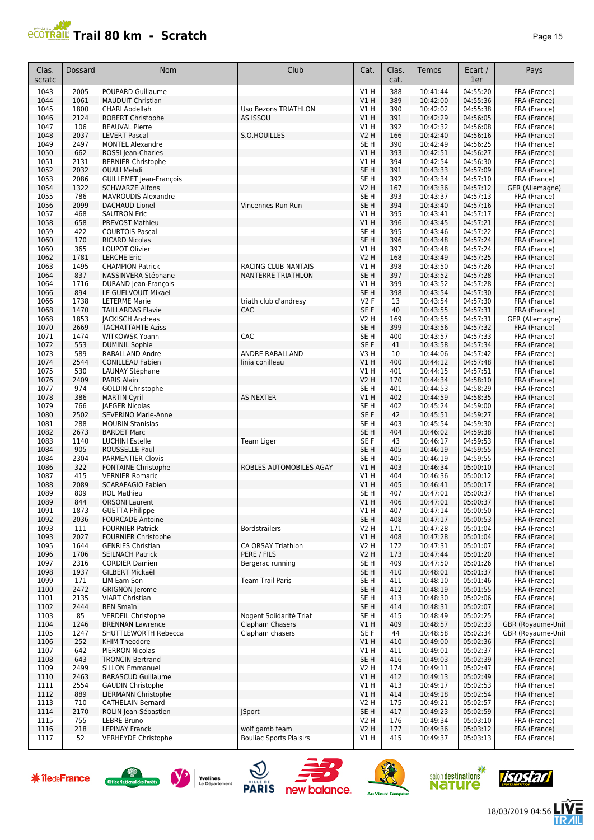## **Trail 80 km - Scratch Page 15** and **Page 15** and Page 15

| Clas.<br>scratc | Dossard      | <b>Nom</b>                                          | Club                                             | Cat.                   | Clas.<br>cat. | Temps                | Ecart /<br>1er       | Pays                            |
|-----------------|--------------|-----------------------------------------------------|--------------------------------------------------|------------------------|---------------|----------------------|----------------------|---------------------------------|
| 1043            | 2005         | POUPARD Guillaume                                   |                                                  | V1H                    | 388           | 10:41:44             | 04:55:20             | FRA (France)                    |
| 1044            | 1061         | <b>MAUDUIT Christian</b>                            |                                                  | <b>V1 H</b>            | 389           | 10:42:00             | 04:55:36             | FRA (France)                    |
| 1045            | 1800         | CHARI Abdellah                                      | Uso Bezons TRIATHLON                             | <b>V1 H</b>            | 390           | 10:42:02             | 04:55:38             | FRA (France)                    |
| 1046            | 2124         | <b>ROBERT Christophe</b>                            | AS ISSOU                                         | <b>V1 H</b>            | 391           | 10:42:29             | 04:56:05             | FRA (France)                    |
| 1047            | 106          | <b>BEAUVAL Pierre</b>                               | S.O.HOUILLES                                     | V1H                    | 392           | 10:42:32             | 04:56:08<br>04:56:16 | FRA (France)                    |
| 1048<br>1049    | 2037<br>2497 | <b>LEVERT Pascal</b><br><b>MONTEL Alexandre</b>     |                                                  | V2 H<br>SE H           | 166<br>390    | 10:42:40<br>10:42:49 | 04:56:25             | FRA (France)<br>FRA (France)    |
| 1050            | 662          | ROSSI Jean-Charles                                  |                                                  | V1 H                   | 393           | 10:42:51             | 04:56:27             | FRA (France)                    |
| 1051            | 2131         | <b>BERNIER Christophe</b>                           |                                                  | V1H                    | 394           | 10:42:54             | 04:56:30             | FRA (France)                    |
| 1052            | 2032         | <b>OUALI Mehdi</b>                                  |                                                  | SE <sub>H</sub>        | 391           | 10:43:33             | 04:57:09             | FRA (France)                    |
| 1053            | 2086         | <b>GUILLEMET Jean-François</b>                      |                                                  | SE <sub>H</sub>        | 392           | 10:43:34             | 04:57:10             | FRA (France)                    |
| 1054            | 1322         | <b>SCHWARZE Alfons</b>                              |                                                  | <b>V2 H</b>            | 167           | 10:43:36             | 04:57:12             | GER (Allemagne)                 |
| 1055            | 786          | <b>MAVROUDIS Alexandre</b>                          |                                                  | SE <sub>H</sub>        | 393           | 10:43:37             | 04:57:13             | FRA (France)                    |
| 1056            | 2099         | <b>DACHAUD Lionel</b>                               | Vincennes Run Run                                | SE <sub>H</sub>        | 394           | 10:43:40             | 04:57:16             | FRA (France)                    |
| 1057            | 468          | <b>SAUTRON Eric</b>                                 |                                                  | V1 H                   | 395           | 10:43:41             | 04:57:17             | FRA (France)                    |
| 1058<br>1059    | 658<br>422   | PREVOST Mathieu<br><b>COURTOIS Pascal</b>           |                                                  | V1H<br>SE <sub>H</sub> | 396<br>395    | 10:43:45<br>10:43:46 | 04:57:21<br>04:57:22 | FRA (France)<br>FRA (France)    |
| 1060            | 170          | <b>RICARD Nicolas</b>                               |                                                  | SE <sub>H</sub>        | 396           | 10:43:48             | 04:57:24             | FRA (France)                    |
| 1060            | 365          | LOUPOT Olivier                                      |                                                  | V1 H                   | 397           | 10:43:48             | 04:57:24             | FRA (France)                    |
| 1062            | 1781         | <b>LERCHE Eric</b>                                  |                                                  | V2 H                   | 168           | 10:43:49             | 04:57:25             | FRA (France)                    |
| 1063            | 1495         | <b>CHAMPION Patrick</b>                             | <b>RACING CLUB NANTAIS</b>                       | V1 H                   | 398           | 10:43:50             | 04:57:26             | FRA (France)                    |
| 1064            | 837          | NASSINVERA Stéphane                                 | <b>NANTERRE TRIATHLON</b>                        | SE <sub>H</sub>        | 397           | 10:43:52             | 04:57:28             | FRA (France)                    |
| 1064            | 1716         | DURAND Jean-François                                |                                                  | V1 H                   | 399           | 10:43:52             | 04:57:28             | FRA (France)                    |
| 1066            | 894          | LE GUELVOUIT Mikael                                 |                                                  | SE <sub>H</sub>        | 398           | 10:43:54             | 04:57:30             | FRA (France)                    |
| 1066            | 1738         | <b>LETERME Marie</b>                                | triath club d'andresy                            | <b>V2F</b>             | 13            | 10:43:54             | 04:57:30             | FRA (France)                    |
| 1068<br>1068    | 1470<br>1853 | <b>TAILLARDAS Flavie</b><br><b>JACKISCH Andreas</b> | CAC                                              | SE F<br>V2 H           | 40<br>169     | 10:43:55<br>10:43:55 | 04:57:31<br>04:57:31 | FRA (France)<br>GER (Allemagne) |
| 1070            | 2669         | <b>TACHATTAHTE Aziss</b>                            |                                                  | SE <sub>H</sub>        | 399           | 10:43:56             | 04:57:32             | FRA (France)                    |
| 1071            | 1474         | <b>WITKOWSK Yoann</b>                               | CAC                                              | SE H                   | 400           | 10:43:57             | 04:57:33             | FRA (France)                    |
| 1072            | 553          | <b>DUMINIL Sophie</b>                               |                                                  | SE F                   | 41            | 10:43:58             | 04:57:34             | FRA (France)                    |
| 1073            | 589          | RABALLAND Andre                                     | ANDRE RABALLAND                                  | V3 H                   | 10            | 10:44:06             | 04:57:42             | FRA (France)                    |
| 1074            | 2544         | <b>CONILLEAU Fabien</b>                             | linia conilleau                                  | V1 H                   | 400           | 10:44:12             | 04:57:48             | FRA (France)                    |
| 1075            | 530          | LAUNAY Stéphane                                     |                                                  | <b>V1 H</b>            | 401           | 10:44:15             | 04:57:51             | FRA (France)                    |
| 1076            | 2409         | <b>PARIS Alain</b>                                  |                                                  | <b>V2 H</b>            | 170           | 10:44:34             | 04:58:10             | FRA (France)                    |
| 1077            | 974          | <b>GOLDIN Christophe</b>                            |                                                  | SE H                   | 401           | 10:44:53             | 04:58:29             | FRA (France)                    |
| 1078<br>1079    | 386<br>766   | <b>MARTIN Cyril</b><br><b>JAEGER Nicolas</b>        | <b>AS NEXTER</b>                                 | V1H<br>SE H            | 402<br>402    | 10:44:59<br>10:45:24 | 04:58:35<br>04:59:00 | FRA (France)<br>FRA (France)    |
| 1080            | 2502         | SEVERINO Marie-Anne                                 |                                                  | SE F                   | 42            | 10:45:51             | 04:59:27             | FRA (France)                    |
| 1081            | 288          | <b>MOURIN Stanislas</b>                             |                                                  | SE <sub>H</sub>        | 403           | 10:45:54             | 04:59:30             | FRA (France)                    |
| 1082            | 2673         | <b>BARDET Marc</b>                                  |                                                  | SE <sub>H</sub>        | 404           | 10:46:02             | 04:59:38             | FRA (France)                    |
| 1083            | 1140         | <b>LUCHINI Estelle</b>                              | Team Liger                                       | SE F                   | 43            | 10:46:17             | 04:59:53             | FRA (France)                    |
| 1084            | 905          | ROUSSELLE Paul                                      |                                                  | SE <sub>H</sub>        | 405           | 10:46:19             | 04:59:55             | FRA (France)                    |
| 1084            | 2304         | <b>PARMENTIER Clovis</b>                            |                                                  | SE H                   | 405           | 10:46:19             | 04:59:55             | FRA (France)                    |
| 1086            | 322          | <b>FONTAINE Christophe</b>                          | ROBLES AUTOMOBILES AGAY                          | V1 H                   | 403           | 10:46:34             | 05:00:10             | FRA (France)                    |
| 1087            | 415          | <b>VERNIER Romaric</b>                              |                                                  | V1 H                   | 404           | 10:46:36             | 05:00:12             | FRA (France)                    |
| 1088<br>1089    | 2089<br>809  | <b>SCARAFAGIO Fabien</b><br><b>ROL Mathieu</b>      |                                                  | V1H<br>SE H            | 405<br>407    | 10:46:41<br>10:47:01 | 05:00:17<br>05:00:37 | FRA (France)<br>FRA (France)    |
| 1089            | 844          | <b>ORSONI Laurent</b>                               |                                                  | V1H                    | 406           | 10:47:01             | 05:00:37             | FRA (France)                    |
| 1091            | 1873         | <b>GUETTA Philippe</b>                              |                                                  | VI H                   | 407           | 10:47:14             | 05:00:50             | FRA (France)                    |
| 1092            | 2036         | <b>FOURCADE Antoine</b>                             |                                                  | SE <sub>H</sub>        | 408           | 10:47:17             | 05:00:53             | FRA (France)                    |
| 1093            | 111          | <b>FOURNIER Patrick</b>                             | <b>Bordstrailers</b>                             | <b>V2 H</b>            | 171           | 10:47:28             | 05:01:04             | FRA (France)                    |
| 1093            | 2027         | <b>FOURNIER Christophe</b>                          |                                                  | V1H                    | 408           | 10:47:28             | 05:01:04             | FRA (France)                    |
| 1095            | 1644         | <b>GENRIES Christian</b>                            | CA ORSAY Triathlon                               | V2H                    | 172           | 10:47:31             | 05:01:07             | FRA (France)                    |
| 1096            | 1706         | <b>SEILNACH Patrick</b>                             | PERE / FILS                                      | V2 H                   | 173           | 10:47:44             | 05:01:20             | FRA (France)                    |
| 1097<br>1098    | 2316<br>1937 | <b>CORDIER Damien</b><br>GILBERT Mickaël            | Bergerac running                                 | SE H<br>SE H           | 409<br>410    | 10:47:50<br>10:48:01 | 05:01:26<br>05:01:37 | FRA (France)<br>FRA (France)    |
| 1099            | 171          | LIM Eam Son                                         | <b>Team Trail Paris</b>                          | SE H                   | 411           | 10:48:10             | 05:01:46             | FRA (France)                    |
| 1100            | 2472         | <b>GRIGNON Jerome</b>                               |                                                  | SE H                   | 412           | 10:48:19             | 05:01:55             | FRA (France)                    |
| 1101            | 2135         | <b>VIART Christian</b>                              |                                                  | SE H                   | 413           | 10:48:30             | 05:02:06             | FRA (France)                    |
| 1102            | 2444         | <b>BEN Smain</b>                                    |                                                  | SE H                   | 414           | 10:48:31             | 05:02:07             | FRA (France)                    |
| 1103            | 85           | <b>VERDEIL Christophe</b>                           | Nogent Solidarité Triat                          | SE H                   | 415           | 10:48:49             | 05:02:25             | FRA (France)                    |
| 1104            | 1246         | <b>BRENNAN Lawrence</b>                             | Clapham Chasers                                  | V1 H                   | 409           | 10:48:57             | 05:02:33             | GBR (Royaume-Uni)               |
| 1105            | 1247         | SHUTTLEWORTH Rebecca                                | Clapham chasers                                  | SE F                   | 44            | 10:48:58             | 05:02:34             | GBR (Royaume-Uni)               |
| 1106            | 252          | KHIM Theodore                                       |                                                  | V1 H                   | 410           | 10:49:00             | 05:02:36             | FRA (France)                    |
| 1107<br>1108    | 642<br>643   | <b>PIERRON Nicolas</b><br><b>TRONCIN Bertrand</b>   |                                                  | V1 H<br>SE H           | 411<br>416    | 10:49:01<br>10:49:03 | 05:02:37<br>05:02:39 | FRA (France)<br>FRA (France)    |
| 1109            | 2499         | <b>SILLON Emmanuel</b>                              |                                                  | V2 H                   | 174           | 10:49:11             | 05:02:47             | FRA (France)                    |
| 1110            | 2463         | <b>BARASCUD Guillaume</b>                           |                                                  | V1 H                   | 412           | 10:49:13             | 05:02:49             | FRA (France)                    |
| 1111            | 2554         | <b>GAUDIN Christophe</b>                            |                                                  | V1 H                   | 413           | 10:49:17             | 05:02:53             | FRA (France)                    |
| 1112            | 889          | <b>LIERMANN Christophe</b>                          |                                                  | V1 H                   | 414           | 10:49:18             | 05:02:54             | FRA (France)                    |
| 1113            | 710          | <b>CATHELAIN Bernard</b>                            |                                                  | V2 H                   | 175           | 10:49:21             | 05:02:57             | FRA (France)                    |
| 1114            | 2170         | ROLIN Jean-Sébastien                                | <b>JSport</b>                                    | SE H                   | 417           | 10:49:23             | 05:02:59             | FRA (France)                    |
| 1115            | 755          | LEBRE Bruno                                         |                                                  | V2 H                   | 176           | 10:49:34             | 05:03:10             | FRA (France)                    |
| 1116<br>1117    | 218<br>52    | <b>LEPINAY Franck</b><br><b>VERHEYDE Christophe</b> | wolf gamb team<br><b>Bouliac Sports Plaisirs</b> | V2H<br>V1 H            | 177<br>415    | 10:49:36<br>10:49:37 | 05:03:12<br>05:03:13 | FRA (France)<br>FRA (France)    |
|                 |              |                                                     |                                                  |                        |               |                      |                      |                                 |















18/03/2019 04:56

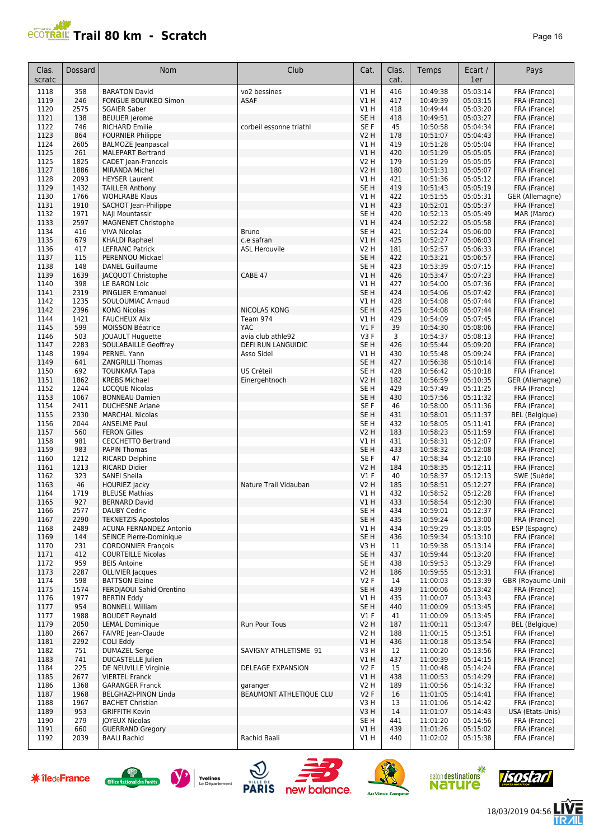

| Clas.<br>scratc | Dossard      | <b>Nom</b>                                        | Club                      | Cat.                    | Clas.<br>cat. | Temps                | Ecart /<br>1er       | Pays                              |
|-----------------|--------------|---------------------------------------------------|---------------------------|-------------------------|---------------|----------------------|----------------------|-----------------------------------|
| 1118            | 358          | <b>BARATON David</b>                              | vo2 bessines              | V1 H                    | 416           | 10:49:38             | 05:03:14             | FRA (France)                      |
| 1119            | 246          | FONGUE BOUNKEO Simon                              | <b>ASAF</b>               | V1H                     | 417           | 10:49:39             | 05:03:15             | FRA (France)                      |
| 1120            | 2575         | <b>SGAIER Saber</b>                               |                           | V1 H                    | 418           | 10:49:44             | 05:03:20             | FRA (France)                      |
| 1121            | 138<br>746   | <b>BEULIER Jerome</b>                             | corbeil essonne triathl   | SE <sub>H</sub><br>SE F | 418<br>45     | 10:49:51             | 05:03:27<br>05:04:34 | FRA (France)                      |
| 1122<br>1123    | 864          | <b>RICHARD Emilie</b><br><b>FOURNIER Philippe</b> |                           | V2 H                    | 178           | 10:50:58<br>10:51:07 | 05:04:43             | FRA (France)<br>FRA (France)      |
| 1124            | 2605         | <b>BALMOZE</b> Jeanpascal                         |                           | V1 H                    | 419           | 10:51:28             | 05:05:04             | FRA (France)                      |
| 1125            | 261          | <b>MALEPART Bertrand</b>                          |                           | V1H                     | 420           | 10:51:29             | 05:05:05             | FRA (France)                      |
| 1125            | 1825         | <b>CADET</b> Jean-Francois                        |                           | <b>V2 H</b>             | 179           | 10:51:29             | 05:05:05             | FRA (France)                      |
| 1127            | 1886         | <b>MIRANDA Michel</b>                             |                           | <b>V2 H</b>             | 180           | 10:51:31             | 05:05:07             | FRA (France)                      |
| 1128            | 2093         | <b>HEYSER Laurent</b>                             |                           | V1H                     | 421           | 10:51:36             | 05:05:12             | FRA (France)                      |
| 1129<br>1130    | 1432<br>1766 | <b>TAILLER Anthony</b><br><b>WOHLRABE Klaus</b>   |                           | SE <sub>H</sub><br>V1H  | 419<br>422    | 10:51:43<br>10:51:55 | 05:05:19<br>05:05:31 | FRA (France)<br>GER (Allemagne)   |
| 1131            | 1910         | SACHOT Jean-Philippe                              |                           | VIH                     | 423           | 10:52:01             | 05:05:37             | FRA (France)                      |
| 1132            | 1971         | NAJI Mountassir                                   |                           | SE H                    | 420           | 10:52:13             | 05:05:49             | MAR (Maroc)                       |
| 1133            | 2597         | <b>MAGNENET Christophe</b>                        |                           | V1 H                    | 424           | 10:52:22             | 05:05:58             | FRA (France)                      |
| 1134            | 416          | <b>VIVA Nicolas</b>                               | <b>Bruno</b>              | SE <sub>H</sub>         | 421           | 10:52:24             | 05:06:00             | FRA (France)                      |
| 1135            | 679          | <b>KHALDI Raphael</b>                             | c.e safran                | VIH                     | 425           | 10:52:27             | 05:06:03             | FRA (France)                      |
| 1136            | 417          | <b>LEFRANC Patrick</b>                            | <b>ASL Herouvile</b>      | <b>V2 H</b>             | 181           | 10:52:57             | 05:06:33             | FRA (France)                      |
| 1137            | 115          | <b>PERENNOU Mickael</b>                           |                           | SE <sub>H</sub>         | 422           | 10:53:21             | 05:06:57             | FRA (France)                      |
| 1138<br>1139    | 148<br>1639  | <b>DANEL Guillaume</b><br>JACQUOT Christophe      | CABE 47                   | SE <sub>H</sub><br>V1H  | 423<br>426    | 10:53:39<br>10:53:47 | 05:07:15<br>05:07:23 | FRA (France)                      |
| 1140            | 398          | LE BARON Loic                                     |                           | V1 H                    | 427           | 10:54:00             | 05:07:36             | FRA (France)<br>FRA (France)      |
| 1141            | 2319         | <b>PINGLIER Emmanuel</b>                          |                           | SE <sub>H</sub>         | 424           | 10:54:06             | 05:07:42             | FRA (France)                      |
| 1142            | 1235         | SOULOUMIAC Arnaud                                 |                           | V1 H                    | 428           | 10:54:08             | 05:07:44             | FRA (France)                      |
| 1142            | 2396         | <b>KONG Nicolas</b>                               | <b>NICOLAS KONG</b>       | SE <sub>H</sub>         | 425           | 10:54:08             | 05:07:44             | FRA (France)                      |
| 1144            | 1421         | <b>FAUCHEUX Alix</b>                              | Team 974                  | V1 H                    | 429           | 10:54:09             | 05:07:45             | FRA (France)                      |
| 1145            | 599          | <b>MOISSON Béatrice</b>                           | YAC                       | $VI$ F                  | 39            | 10:54:30             | 05:08:06             | FRA (France)                      |
| 1146            | 503          | JOUAULT Huguette                                  | avia club athle92         | V3F                     | 3             | 10:54:37             | 05:08:13             | FRA (France)                      |
| 1147            | 2283         | SOULABAILLE Geoffrey                              | <b>DEFI RUN LANGUIDIC</b> | SE <sub>H</sub>         | 426           | 10:55:44             | 05:09:20             | FRA (France)                      |
| 1148<br>1149    | 1994<br>641  | PERNEL Yann<br><b>ZANGRILLI Thomas</b>            | Asso Sidel                | V1 H<br>SE <sub>H</sub> | 430<br>427    | 10:55:48<br>10:56:38 | 05:09:24<br>05:10:14 | FRA (France)<br>FRA (France)      |
| 1150            | 692          | <b>TOUNKARA Tapa</b>                              | US Créteil                | SE <sub>H</sub>         | 428           | 10:56:42             | 05:10:18             | FRA (France)                      |
| 1151            | 1862         | <b>KREBS Michael</b>                              | Einergehtnoch             | <b>V2 H</b>             | 182           | 10:56:59             | 05:10:35             | GER (Allemagne)                   |
| 1152            | 1244         | <b>LOCQUE Nicolas</b>                             |                           | SE <sub>H</sub>         | 429           | 10:57:49             | 05:11:25             | FRA (France)                      |
| 1153            | 1067         | <b>BONNEAU Damien</b>                             |                           | SE <sub>H</sub>         | 430           | 10:57:56             | 05:11:32             | FRA (France)                      |
| 1154            | 2411         | <b>DUCHESNE Ariane</b>                            |                           | SE F                    | 46            | 10:58:00             | 05:11:36             | FRA (France)                      |
| 1155            | 2330         | <b>MARCHAL Nicolas</b>                            |                           | SE <sub>H</sub>         | 431           | 10:58:01             | 05:11:37             | <b>BEL</b> (Belgique)             |
| 1156            | 2044         | <b>ANSELME Paul</b>                               |                           | SE <sub>H</sub>         | 432           | 10:58:05             | 05:11:41             | FRA (France)                      |
| 1157<br>1158    | 560<br>981   | <b>FERON Gilles</b><br><b>CECCHETTO Bertrand</b>  |                           | V2 H<br>V1 H            | 183<br>431    | 10:58:23<br>10:58:31 | 05:11:59<br>05:12:07 | FRA (France)<br>FRA (France)      |
| 1159            | 983          | <b>PAPIN Thomas</b>                               |                           | SE <sub>H</sub>         | 433           | 10:58:32             | 05:12:08             | FRA (France)                      |
| 1160            | 1212         | <b>RICARD Delphine</b>                            |                           | SE F                    | 47            | 10:58:34             | 05:12:10             | FRA (France)                      |
| 1161            | 1213         | <b>RICARD Didier</b>                              |                           | <b>V2 H</b>             | 184           | 10:58:35             | 05:12:11             | FRA (France)                      |
| 1162            | 323          | <b>SANEI Sheila</b>                               |                           | $VI$ F                  | 40            | 10:58:37             | 05:12:13             | SWE (Suède)                       |
| 1163            | 46           | <b>HOURIEZ Jacky</b>                              | Nature Trail Vidauban     | <b>V2 H</b>             | 185           | 10:58:51             | 05:12:27             | FRA (France)                      |
| 1164            | 1719         | <b>BLEUSE Mathias</b>                             |                           | V1 H                    | 432           | 10:58:52             | 05:12:28             | FRA (France)                      |
| 1165<br>1166    | 927<br>2577  | <b>BERNARD David</b><br><b>DAUBY Cedric</b>       |                           | V1H<br>SE <sub>H</sub>  | 433<br>434    | 10:58:54<br>10:59:01 | 05:12:30<br>05:12:37 | FRA (France)<br>FRA (France)      |
| 1167            | 2290         | <b>TEKNETZIS Apostolos</b>                        |                           | SE H                    | 435           | 10:59:24             | 05:13:00             | FRA (France)                      |
| 1168            | 2489         | <b>ACUNA FERNANDEZ Antonio</b>                    |                           | V1 H                    | 434           | 10:59:29             | 05:13:05             | ESP (Espagne)                     |
| 1169            | 144          | SEINCE Pierre-Dominique                           |                           | SE H                    | 436           | 10:59:34             | 05:13:10             | FRA (France)                      |
| 1170            | 231          | <b>CORDONNIER François</b>                        |                           | V3 H                    | 11            | 10:59:38             | 05:13:14             | FRA (France)                      |
| 1171            | 412          | <b>COURTEILLE Nicolas</b>                         |                           | SE H                    | 437           | 10:59:44             | 05:13:20             | FRA (France)                      |
| 1172            | 959          | <b>BEIS Antoine</b>                               |                           | SE H                    | 438           | 10:59:53             | 05:13:29             | FRA (France)                      |
| 1173            | 2287         | OLLIVIER Jacques                                  |                           | V2 H                    | 186           | 10:59:55             | 05:13:31             | FRA (France)                      |
| 1174<br>1175    | 598<br>1574  | <b>BATTSON Elaine</b><br>FERDIAOUI Sahid Orentino |                           | V2F<br>SE H             | 14<br>439     | 11:00:03<br>11:00:06 | 05:13:39<br>05:13:42 | GBR (Royaume-Uni)<br>FRA (France) |
| 1176            | 1977         | <b>BERTIN Eddy</b>                                |                           | V1 H                    | 435           | 11:00:07             | 05:13:43             | FRA (France)                      |
| 1177            | 954          | <b>BONNELL William</b>                            |                           | SE <sub>H</sub>         | 440           | 11:00:09             | 05:13:45             | FRA (France)                      |
| 1177            | 1988         | <b>BOUDET Reynald</b>                             |                           | $VI$ F                  | 41            | 11:00:09             | 05:13:45             | FRA (France)                      |
| 1179            | 2050         | <b>LEMAL Dominique</b>                            | Run Pour Tous             | V <sub>2</sub> H        | 187           | 11:00:11             | 05:13:47             | <b>BEL</b> (Belgique)             |
| 1180            | 2667         | FAIVRE Jean-Claude                                |                           | V2 H                    | 188           | 11:00:15             | 05:13:51             | FRA (France)                      |
| 1181            | 2292         | <b>COLI Eddy</b>                                  |                           | V1 H                    | 436           | 11:00:18             | 05:13:54             | FRA (France)                      |
| 1182            | 751          | <b>DUMAZEL Serge</b>                              | SAVIGNY ATHLETISME 91     | V3H                     | 12            | 11:00:20             | 05:13:56             | FRA (France)                      |
| 1183<br>1184    | 741<br>225   | <b>DUCASTELLE Julien</b><br>DE NEUVILLE Virginie  | DELEAGE EXPANSION         | V1 H<br>V2F             | 437<br>15     | 11:00:39<br>11:00:48 | 05:14:15<br>05:14:24 | FRA (France)<br>FRA (France)      |
| 1185            | 2677         | <b>VIERTEL Franck</b>                             |                           | VIH                     | 438           | 11:00:53             | 05:14:29             | FRA (France)                      |
| 1186            | 1368         | <b>GARANGER Franck</b>                            | garanger                  | <b>V2 H</b>             | 189           | 11:00:56             | 05:14:32             | FRA (France)                      |
| 1187            | 1968         | BELGHAZI-PINON Linda                              | BEAUMONT ATHLETIQUE CLU   | V2F                     | 16            | 11:01:05             | 05:14:41             | FRA (France)                      |
| 1188            | 1967         | <b>BACHET Christian</b>                           |                           | V3H                     | 13            | 11:01:06             | 05:14:42             | FRA (France)                      |
| 1189            | 953          | <b>GRIFFITH Kevin</b>                             |                           | V3H                     | 14            | 11:01:07             | 05:14:43             | USA (Etats-Unis)                  |
| 1190            | 279          | JOYEUX Nicolas                                    |                           | SE H                    | 441           | 11:01:20             | 05:14:56             | FRA (France)                      |
| 1191<br>1192    | 660<br>2039  | <b>GUERRAND Gregory</b><br><b>BAALI Rachid</b>    | Rachid Baali              | V1H<br>V1 H             | 439<br>440    | 11:01:26<br>11:02:02 | 05:15:02<br>05:15:38 | FRA (France)<br>FRA (France)      |
|                 |              |                                                   |                           |                         |               |                      |                      |                                   |















信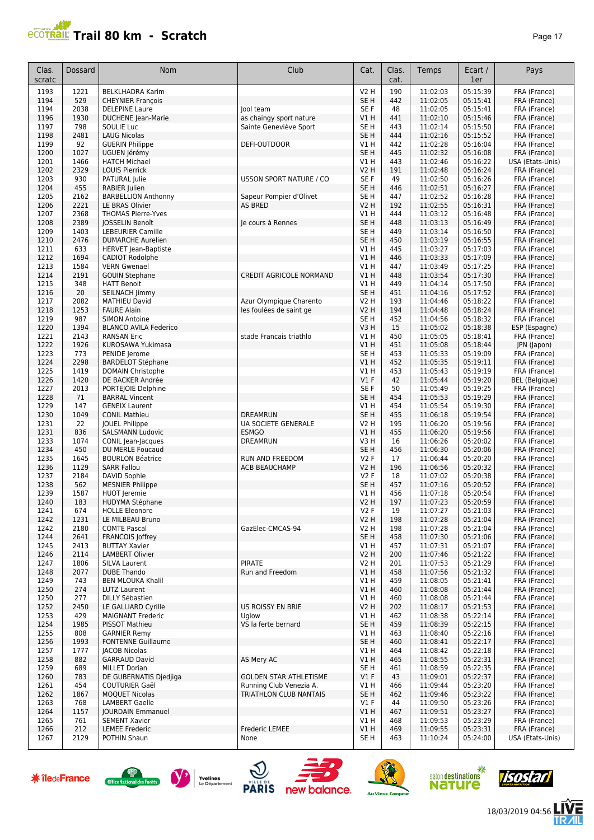## **PCOTRAL Trail 80 km - Scratch**

| c<br>н |  |
|--------|--|
|--------|--|

| Clas.<br>scratc | Dossard      | <b>Nom</b>                                              | Club                              | Cat.                     | Clas.<br>cat. | Temps                | Ecart /<br>1er       | Pays                         |
|-----------------|--------------|---------------------------------------------------------|-----------------------------------|--------------------------|---------------|----------------------|----------------------|------------------------------|
| 1193            | 1221         | <b>BELKLHADRA Karim</b>                                 |                                   | <b>V2 H</b>              | 190           | 11:02:03             | 05:15:39             | FRA (France)                 |
| 1194            | 529          | <b>CHEYNIER François</b>                                |                                   | SE <sub>H</sub>          | 442           | 11:02:05             | 05:15:41             | FRA (France)                 |
| 1194            | 2038         | <b>DELEPINE Laure</b>                                   | lool team                         | SE F                     | 48            | 11:02:05             | 05:15:41             | FRA (France)                 |
| 1196            | 1930         | <b>DUCHENE</b> Jean-Marie                               | as chaingy sport nature           | VIH                      | 441           | 11:02:10             | 05:15:46             | FRA (France)                 |
| 1197            | 798          | SOULIE Luc                                              | Sainte Geneviève Sport            | SE H                     | 443           | 11:02:14             | 05:15:50             | FRA (France)                 |
| 1198            | 2481         | <b>LAUG Nicolas</b>                                     |                                   | SE <sub>H</sub>          | 444           | 11:02:16             | 05:15:52             | FRA (France)                 |
| 1199<br>1200    | 92<br>1027   | <b>GUERIN Philippe</b>                                  | DEFI-OUTDOOR                      | V1H<br>SE <sub>H</sub>   | 442<br>445    | 11:02:28<br>11:02:32 | 05:16:04<br>05:16:08 | FRA (France)<br>FRA (France) |
| 1201            | 1466         | UGUEN Jérémy<br><b>HATCH Michael</b>                    |                                   | V1 H                     | 443           | 11:02:46             | 05:16:22             | USA (Etats-Unis)             |
| 1202            | 2329         | <b>LOUIS Pierrick</b>                                   |                                   | <b>V2 H</b>              | 191           | 11:02:48             | 05:16:24             | FRA (France)                 |
| 1203            | 930          | PATURAL Julie                                           | <b>USSON SPORT NATURE / CO</b>    | SE F                     | 49            | 11:02:50             | 05:16:26             | FRA (France)                 |
| 1204            | 455          | RABIER Julien                                           |                                   | SE <sub>H</sub>          | 446           | 11:02:51             | 05:16:27             | FRA (France)                 |
| 1205            | 2162         | <b>BARBELLION Anthonny</b>                              | Sapeur Pompier d'Olivet           | SE <sub>H</sub>          | 447           | 11:02:52             | 05:16:28             | FRA (France)                 |
| 1206            | 2221         | LE BRAS Olivier                                         | <b>AS BRED</b>                    | <b>V2 H</b>              | 192           | 11:02:55             | 05:16:31             | FRA (France)                 |
| 1207            | 2368         | <b>THOMAS Pierre-Yves</b>                               |                                   | V1H                      | 444           | 11:03:12             | 05:16:48             | FRA (France)                 |
| 1208            | 2389         | <b>JOSSELIN Benoît</b>                                  | le cours à Rennes                 | SE <sub>H</sub>          | 448           | 11:03:13             | 05:16:49             | FRA (France)                 |
| 1209            | 1403         | <b>LEBEURIER Camille</b>                                |                                   | SE <sub>H</sub>          | 449           | 11:03:14             | 05:16:50             | FRA (France)                 |
| 1210<br>1211    | 2476<br>633  | <b>DUMARCHE Aurelien</b><br><b>HERVET</b> Jean-Baptiste |                                   | SE <sub>H</sub><br>V1H   | 450<br>445    | 11:03:19<br>11:03:27 | 05:16:55<br>05:17:03 | FRA (France)<br>FRA (France) |
| 1212            | 1694         | CADIOT Rodolphe                                         |                                   | VIH                      | 446           | 11:03:33             | 05:17:09             | FRA (France)                 |
| 1213            | 1584         | <b>VERN Gwenael</b>                                     |                                   | V1 H                     | 447           | 11:03:49             | 05:17:25             | FRA (France)                 |
| 1214            | 2191         | <b>GOUIN Stephane</b>                                   | <b>CREDIT AGRICOLE NORMAND</b>    | VIH                      | 448           | 11:03:54             | 05:17:30             | FRA (France)                 |
| 1215            | 348          | <b>HATT Benoit</b>                                      |                                   | V1 H                     | 449           | 11:04:14             | 05:17:50             | FRA (France)                 |
| 1216            | 20           | SEILNACH Jimmy                                          |                                   | SE <sub>H</sub>          | 451           | 11:04:16             | 05:17:52             | FRA (France)                 |
| 1217            | 2082         | <b>MATHIEU David</b>                                    | Azur Olympique Charento           | V2 H                     | 193           | 11:04:46             | 05:18:22             | FRA (France)                 |
| 1218            | 1253         | <b>FAURE Alain</b>                                      | les foulées de saint ge           | <b>V2 H</b>              | 194           | 11:04:48             | 05:18:24             | FRA (France)                 |
| 1219            | 987          | <b>SIMON Antoine</b>                                    |                                   | SE <sub>H</sub>          | 452           | 11:04:56             | 05:18:32             | FRA (France)                 |
| 1220            | 1394         | <b>BLANCO AVILA Federico</b>                            |                                   | V3H                      | 15            | 11:05:02             | 05:18:38             | ESP (Espagne)                |
| 1221            | 2143<br>1926 | <b>RANSAN Eric</b>                                      | stade Francais triathlo           | V1 H                     | 450           | 11:05:05             | 05:18:41             | FRA (France)                 |
| 1222<br>1223    | 773          | KUROSAWA Yukimasa<br>PENIDE Jerome                      |                                   | V1H<br>SE <sub>H</sub>   | 451<br>453    | 11:05:08<br>11:05:33 | 05:18:44<br>05:19:09 | JPN (Japon)<br>FRA (France)  |
| 1224            | 2298         | <b>BARDELOT Stéphane</b>                                |                                   | V1H                      | 452           | 11:05:35             | 05:19:11             | FRA (France)                 |
| 1225            | 1419         | DOMAIN Christophe                                       |                                   | V1H                      | 453           | 11:05:43             | 05:19:19             | FRA (France)                 |
| 1226            | 1420         | DE BACKER Andrée                                        |                                   | V1F                      | 42            | 11:05:44             | 05:19:20             | <b>BEL</b> (Belgique)        |
| 1227            | 2013         | PORTEJOIE Delphine                                      |                                   | SE F                     | 50            | 11:05:49             | 05:19:25             | FRA (France)                 |
| 1228            | 71           | <b>BARRAL Vincent</b>                                   |                                   | SE <sub>H</sub>          | 454           | 11:05:53             | 05:19:29             | FRA (France)                 |
| 1229            | 147          | <b>GENEIX Laurent</b>                                   |                                   | V1 H                     | 454           | 11:05:54             | 05:19:30             | FRA (France)                 |
| 1230            | 1049         | <b>CONIL Mathieu</b>                                    | <b>DREAMRUN</b>                   | SE <sub>H</sub>          | 455           | 11:06:18             | 05:19:54             | FRA (France)                 |
| 1231            | 22           | JOUEL Philippe                                          | <b>UA SOCIETE GENERALE</b>        | <b>V2 H</b>              | 195           | 11:06:20             | 05:19:56             | FRA (France)                 |
| 1231<br>1233    | 836<br>1074  | <b>SALSMANN Ludovic</b><br>CONIL Jean-Jacques           | <b>ESMGO</b><br>DREAMRUN          | VIH<br>V3H               | 455<br>16     | 11:06:20<br>11:06:26 | 05:19:56<br>05:20:02 | FRA (France)<br>FRA (France) |
| 1234            | 450          | DU MERLE Foucaud                                        |                                   | SE <sub>H</sub>          | 456           | 11:06:30             | 05:20:06             | FRA (France)                 |
| 1235            | 1645         | <b>BOURLON Béatrice</b>                                 | RUN AND FREEDOM                   | V2F                      | 17            | 11:06:44             | 05:20:20             | FRA (France)                 |
| 1236            | 1129         | <b>SARR Fallou</b>                                      | <b>ACB BEAUCHAMP</b>              | V2 H                     | 196           | 11:06:56             | 05:20:32             | FRA (France)                 |
| 1237            | 2184         | DAVID Sophie                                            |                                   | V2F                      | 18            | 11:07:02             | 05:20:38             | FRA (France)                 |
| 1238            | 562          | <b>MESNIER Philippe</b>                                 |                                   | SE <sub>H</sub>          | 457           | 11:07:16             | 05:20:52             | FRA (France)                 |
| 1239            | 1587         | HUOT Jeremie                                            |                                   | V1 H                     | 456           | 11:07:18             | 05:20:54             | FRA (France)                 |
| 1240            | 183          | <b>HUDYMA Stéphane</b>                                  |                                   | V2 H                     | 197           | 11:07:23             | 05:20:59             | FRA (France)                 |
| 1241            | 674          | <b>HOLLE Eleonore</b>                                   |                                   | V2 F                     | 19            | 11:07:27             | 05:21:03             | FRA (France)                 |
| 1242<br>1242    | 1231         | LE MILBEAU Bruno<br><b>COMTE Pascal</b>                 | GazElec-CMCAS-94                  | V <sub>2</sub> H<br>V2 H | 198<br>198    | 11:07:28             | 05:21:04<br>05:21:04 | FRA (France)                 |
| 1244            | 2180<br>2641 | <b>FRANCOIS Joffrey</b>                                 |                                   | SE <sub>H</sub>          | 458           | 11:07:28<br>11:07:30 | 05:21:06             | FRA (France)<br>FRA (France) |
| 1245            | 2413         | <b>BUTTAY Xavier</b>                                    |                                   | V1 H                     | 457           | 11:07:31             | 05:21:07             | FRA (France)                 |
| 1246            | 2114         | <b>LAMBERT Olivier</b>                                  |                                   | <b>V2 H</b>              | 200           | 11:07:46             | 05:21:22             | FRA (France)                 |
| 1247            | 1806         | SILVA Laurent                                           | PIRATE                            | V2 H                     | 201           | 11:07:53             | 05:21:29             | FRA (France)                 |
| 1248            | 2077         | <b>DUBE Thando</b>                                      | Run and Freedom                   | V1 H                     | 458           | 11:07:56             | 05:21:32             | FRA (France)                 |
| 1249            | 743          | <b>BEN MLOUKA Khalil</b>                                |                                   | V1H                      | 459           | 11:08:05             | 05:21:41             | FRA (France)                 |
| 1250            | 274          | LUTZ Laurent                                            |                                   | VIH                      | 460           | 11:08:08             | 05:21:44             | FRA (France)                 |
| 1250            | 277          | DILLY Sébastien                                         |                                   | V1 H                     | 460           | 11:08:08             | 05:21:44             | FRA (France)                 |
| 1252            | 2450         | LE GALLIARD Cyrille<br><b>MAIGNANT Frederic</b>         | <b>US ROISSY EN BRIE</b><br>Ualow | <b>V2 H</b>              | 202           | 11:08:17             | 05:21:53             | FRA (France)                 |
| 1253<br>1254    | 429<br>1985  | <b>PISSOT Mathieu</b>                                   | VS la ferte bernard               | V1 H<br>SE <sub>H</sub>  | 462<br>459    | 11:08:38<br>11:08:39 | 05:22:14<br>05:22:15 | FRA (France)<br>FRA (France) |
| 1255            | 808          | <b>GARNIER Remy</b>                                     |                                   | V1 H                     | 463           | 11:08:40             | 05:22:16             | FRA (France)                 |
| 1256            | 1993         | <b>FONTENNE Guillaume</b>                               |                                   | SE <sub>H</sub>          | 460           | 11:08:41             | 05:22:17             | FRA (France)                 |
| 1257            | 1777         | <b>JACOB Nicolas</b>                                    |                                   | V1H                      | 464           | 11:08:42             | 05:22:18             | FRA (France)                 |
| 1258            | 882          | <b>GARRAUD David</b>                                    | AS Mery AC                        | V1H                      | 465           | 11:08:55             | 05:22:31             | FRA (France)                 |
| 1259            | 689          | <b>MILLET Dorian</b>                                    |                                   | SE <sub>H</sub>          | 461           | 11:08:59             | 05:22:35             | FRA (France)                 |
| 1260            | 783          | DE GUBERNATIS Djedjiga                                  | <b>GOLDEN STAR ATHLETISME</b>     | V1F                      | 43            | 11:09:01             | 05:22:37             | FRA (France)                 |
| 1261            | 454          | <b>COUTURIER Gaël</b>                                   | Running Club Venezia A.           | V1 H                     | 466           | 11:09:44             | 05:23:20             | FRA (France)                 |
| 1262            | 1867         | <b>MOQUET Nicolas</b>                                   | TRIATHLON CLUB NANTAIS            | SE <sub>H</sub>          | 462           | 11:09:46             | 05:23:22             | FRA (France)                 |
| 1263<br>1264    | 768<br>1157  | <b>LAMBERT Gaelle</b><br><b>JOURDAIN Emmanuel</b>       |                                   | $VI$ F<br>V1H            | 44<br>467     | 11:09:50<br>11:09:51 | 05:23:26<br>05:23:27 | FRA (France)<br>FRA (France) |
| 1265            | 761          | <b>SEMENT Xavier</b>                                    |                                   | V1 H                     | 468           | 11:09:53             | 05:23:29             | FRA (France)                 |
| 1266            | 212          | <b>LEMEE Frederic</b>                                   | Frederic LEMEE                    | V1H                      | 469           | 11:09:55             | 05:23:31             | FRA (France)                 |
| 1267            | 2129         | POTHIN Shaun                                            | None                              | SE H                     | 463           | 11:10:24             | 05:24:00             | USA (Etats-Unis)             |















18/03/2019 04:56

人<br>加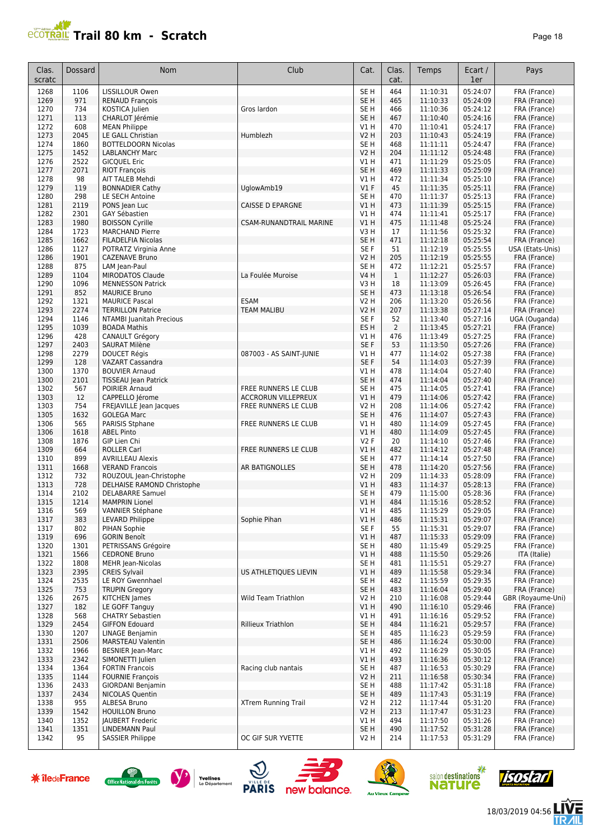

| Clas.<br>scratc | Dossard      | <b>Nom</b>                                          | Club                           | Cat.                   | Clas.<br>cat.  | Temps                | Ecart /<br>1er       | Pays                         |
|-----------------|--------------|-----------------------------------------------------|--------------------------------|------------------------|----------------|----------------------|----------------------|------------------------------|
| 1268            | 1106         | LISSILLOUR Owen                                     |                                | SE <sub>H</sub>        | 464            | 11:10:31             | 05:24:07             | FRA (France)                 |
| 1269            | 971          | <b>RENAUD François</b>                              |                                | SE H                   | 465            | 11:10:33             | 05:24:09             | FRA (France)                 |
| 1270            | 734          | KOSTICA Julien                                      | Gros lardon                    | SE H                   | 466            | 11:10:36             | 05:24:12             | FRA (France)                 |
| 1271            | 113          | CHARLOT Jérémie                                     |                                | SE <sub>H</sub>        | 467            | 11:10:40             | 05:24:16             | FRA (France)                 |
| 1272            | 608          | <b>MEAN Philippe</b>                                |                                | V1 H                   | 470            | 11:10:41             | 05:24:17             | FRA (France)                 |
| 1273<br>1274    | 2045<br>1860 | LE GALL Christian<br><b>BOTTELDOORN Nicolas</b>     | Humblezh                       | V2 H<br>SE H           | 203<br>468     | 11:10:43             | 05:24:19<br>05:24:47 | FRA (France)                 |
| 1275            | 1452         | <b>LABLANCHY Marc</b>                               |                                | <b>V2 H</b>            | 204            | 11:11:11<br>11:11:12 | 05:24:48             | FRA (France)<br>FRA (France) |
| 1276            | 2522         | <b>GICQUEL Eric</b>                                 |                                | V1 H                   | 471            | 11:11:29             | 05:25:05             | FRA (France)                 |
| 1277            | 2071         | <b>RIOT François</b>                                |                                | SE <sub>H</sub>        | 469            | 11:11:33             | 05:25:09             | FRA (France)                 |
| 1278            | 98           | AIT TALEB Mehdi                                     |                                | VIH                    | 472            | 11:11:34             | 05:25:10             | FRA (France)                 |
| 1279            | 119          | <b>BONNADIER Cathy</b>                              | UglowAmb19                     | $VI$ F                 | 45             | 11:11:35             | 05:25:11             | FRA (France)                 |
| 1280            | 298          | LE SECH Antoine                                     |                                | SE <sub>H</sub>        | 470            | 11:11:37             | 05:25:13             | FRA (France)                 |
| 1281            | 2119         | PONS Jean Luc                                       | <b>CAISSE D EPARGNE</b>        | V1 H                   | 473            | 11:11:39             | 05:25:15             | FRA (France)                 |
| 1282            | 2301         | GAY Sébastien                                       |                                | <b>V1 H</b>            | 474            | 11:11:41             | 05:25:17             | FRA (France)                 |
| 1283            | 1980         | <b>BOISSON Cyrille</b>                              | <b>CSAM-RUNANDTRAIL MARINE</b> | V1H                    | 475            | 11:11:48             | 05:25:24             | FRA (France)                 |
| 1284<br>1285    | 1723<br>1662 | <b>MARCHAND Pierre</b><br><b>FILADELFIA Nicolas</b> |                                | V3H<br>SE <sub>H</sub> | 17<br>471      | 11:11:56<br>11:12:18 | 05:25:32<br>05:25:54 | FRA (France)<br>FRA (France) |
| 1286            | 1127         | POTRATZ Virginia Anne                               |                                | SE <sub>F</sub>        | 51             | 11:12:19             | 05:25:55             | USA (Etats-Unis)             |
| 1286            | 1901         | CAZENAVE Bruno                                      |                                | V2 H                   | 205            | 11:12:19             | 05:25:55             | FRA (France)                 |
| 1288            | 875          | LAM Jean-Paul                                       |                                | SE <sub>H</sub>        | 472            | 11:12:21             | 05:25:57             | FRA (France)                 |
| 1289            | 1104         | <b>MIRODATOS Claude</b>                             | La Foulée Muroise              | <b>V4 H</b>            | $\mathbf{1}$   | 11:12:27             | 05:26:03             | FRA (France)                 |
| 1290            | 1096         | <b>MENNESSON Patrick</b>                            |                                | V3 H                   | 18             | 11:13:09             | 05:26:45             | FRA (France)                 |
| 1291            | 852          | <b>MAURICE Bruno</b>                                |                                | SE H                   | 473            | 11:13:18             | 05:26:54             | FRA (France)                 |
| 1292            | 1321         | <b>MAURICE Pascal</b>                               | <b>ESAM</b>                    | V2 H                   | 206            | 11:13:20             | 05:26:56             | FRA (France)                 |
| 1293            | 2274         | <b>TERRILLON Patrice</b>                            | <b>TEAM MALIBU</b>             | V2 H                   | 207            | 11:13:38             | 05:27:14             | FRA (France)                 |
| 1294            | 1146         | <b>NTAMBI Juanitah Precious</b>                     |                                | SE F                   | 52             | 11:13:40             | 05:27:16             | UGA (Ouganda)                |
| 1295            | 1039         | <b>BOADA Mathis</b>                                 |                                | ES <sub>H</sub>        | $\overline{2}$ | 11:13:45             | 05:27:21             | FRA (France)                 |
| 1296<br>1297    | 428<br>2403  | <b>CANAULT Grégory</b><br><b>SAURAT Milène</b>      |                                | V1 H<br>SE F           | 476<br>53      | 11:13:49<br>11:13:50 | 05:27:25<br>05:27:26 | FRA (France)<br>FRA (France) |
| 1298            | 2279         | <b>DOUCET Régis</b>                                 | 087003 - AS SAINT-JUNIE        | V1 H                   | 477            | 11:14:02             | 05:27:38             | FRA (France)                 |
| 1299            | 128          | <b>VAZART Cassandra</b>                             |                                | SE F                   | 54             | 11:14:03             | 05:27:39             | FRA (France)                 |
| 1300            | 1370         | <b>BOUVIER Arnaud</b>                               |                                | V1 H                   | 478            | 11:14:04             | 05:27:40             | FRA (France)                 |
| 1300            | 2101         | TISSEAU Jean Patrick                                |                                | SE <sub>H</sub>        | 474            | 11:14:04             | 05:27:40             | FRA (France)                 |
| 1302            | 567          | POIRIER Arnaud                                      | FREE RUNNERS LE CLUB           | SE H                   | 475            | 11:14:05             | 05:27:41             | FRA (France)                 |
| 1303            | 12           | CAPPELLO Jérome                                     | <b>ACCRORUN VILLEPREUX</b>     | V1 H                   | 479            | 11:14:06             | 05:27:42             | FRA (France)                 |
| 1303            | 754          | FREJAVILLE Jean Jacques                             | FREE RUNNERS LE CLUB           | V2 H                   | 208            | 11:14:06             | 05:27:42             | FRA (France)                 |
| 1305            | 1632         | <b>GOLEGA Marc</b>                                  |                                | SE <sub>H</sub>        | 476            | 11:14:07             | 05:27:43             | FRA (France)                 |
| 1306            | 565<br>1618  | PARISIS Stphane                                     | FREE RUNNERS LE CLUB           | V1 H                   | 480<br>480     | 11:14:09             | 05:27:45             | FRA (France)                 |
| 1306<br>1308    | 1876         | <b>ABEL Pinto</b><br>GIP Lien Chi                   |                                | V1 H<br><b>V2F</b>     | 20             | 11:14:09<br>11:14:10 | 05:27:45<br>05:27:46 | FRA (France)<br>FRA (France) |
| 1309            | 664          | <b>ROLLER Carl</b>                                  | FREE RUNNERS LE CLUB           | VIH                    | 482            | 11:14:12             | 05:27:48             | FRA (France)                 |
| 1310            | 899          | <b>AVRILLEAU Alexis</b>                             |                                | SE H                   | 477            | 11:14:14             | 05:27:50             | FRA (France)                 |
| 1311            | 1668         | <b>VERAND Francois</b>                              | AR BATIGNOLLES                 | SE <sub>H</sub>        | 478            | 11:14:20             | 05:27:56             | FRA (France)                 |
| 1312            | 732          | ROUZOUL Jean-Christophe                             |                                | V2 H                   | 209            | 11:14:33             | 05:28:09             | FRA (France)                 |
| 1313            | 728          | DELHAISE RAMOND Christophe                          |                                | V1 H                   | 483            | 11:14:37             | 05:28:13             | FRA (France)                 |
| 1314            | 2102         | <b>DELABARRE Samuel</b>                             |                                | SE <sub>H</sub>        | 479            | 11:15:00             | 05:28:36             | FRA (France)                 |
| 1315            | 1214         | <b>MAMPRIN Lionel</b>                               |                                | V1 H                   | 484            | 11:15:16             | 05:28:52             | FRA (France)                 |
| 1316            | 569          | VANNIER Stéphane                                    |                                | V1 H                   | 485            | 11:15:29             | 05:29:05             | FRA (France)                 |
| 1317<br>1317    | 383<br>802   | LEVARD Philippe<br>PIHAN Sophie                     | Sophie Pihan                   | V1 H<br>SE F           | 486<br>55      | 11:15:31<br>11:15:31 | 05:29:07<br>05:29:07 | FRA (France)<br>FRA (France) |
| 1319            | 696          | <b>GORIN Benoît</b>                                 |                                | V1 H                   | 487            | 11:15:33             | 05:29:09             | FRA (France)                 |
| 1320            | 1301         | PETRISSANS Grégoire                                 |                                | SE H                   | 480            | 11:15:49             | 05:29:25             | FRA (France)                 |
| 1321            | 1566         | <b>CEDRONE Bruno</b>                                |                                | VIH                    | 488            | 11:15:50             | 05:29:26             | ITA (Italie)                 |
| 1322            | 1808         | <b>MEHR Jean-Nicolas</b>                            |                                | SE H                   | 481            | 11:15:51             | 05:29:27             | FRA (France)                 |
| 1323            | 2395         | <b>CREIS Sylvail</b>                                | US ATHLETIQUES LIEVIN          | V1 H                   | 489            | 11:15:58             | 05:29:34             | FRA (France)                 |
| 1324            | 2535         | LE ROY Gwennhael                                    |                                | SE <sub>H</sub>        | 482            | 11:15:59             | 05:29:35             | FRA (France)                 |
| 1325            | 753          | <b>TRUPIN Gregory</b>                               |                                | SE <sub>H</sub>        | 483            | 11:16:04             | 05:29:40             | FRA (France)                 |
| 1326            | 2675         | KITCHEN James                                       | Wild Team Triathlon            | V2 H                   | 210            | 11:16:08             | 05:29:44             | GBR (Royaume-Uni)            |
| 1327            | 182          | LE GOFF Tanguy                                      |                                | V1 H                   | 490            | 11:16:10             | 05:29:46<br>05:29:52 | FRA (France)                 |
| 1328            | 568          | <b>CHATRY Sebastien</b><br><b>GIFFON Edouard</b>    |                                | V1 H<br>SE H           | 491            | 11:16:16             |                      | FRA (France)<br>FRA (France) |
| 1329<br>1330    | 2454<br>1207 | LINAGE Benjamin                                     | Rillieux Triathlon             | SE H                   | 484<br>485     | 11:16:21<br>11:16:23 | 05:29:57<br>05:29:59 | FRA (France)                 |
| 1331            | 2506         | <b>MARSTEAU Valentin</b>                            |                                | SE H                   | 486            | 11:16:24             | 05:30:00             | FRA (France)                 |
| 1332            | 1966         | <b>BESNIER Jean-Marc</b>                            |                                | V1 H                   | 492            | 11:16:29             | 05:30:05             | FRA (France)                 |
| 1333            | 2342         | SIMONETTI Julien                                    |                                | V1 H                   | 493            | 11:16:36             | 05:30:12             | FRA (France)                 |
| 1334            | 1364         | <b>FORTIN Francois</b>                              | Racing club nantais            | SE H                   | 487            | 11:16:53             | 05:30:29             | FRA (France)                 |
| 1335            | 1144         | <b>FOURNIE François</b>                             |                                | V2 H                   | 211            | 11:16:58             | 05:30:34             | FRA (France)                 |
| 1336            | 2433         | <b>GIORDANI Benjamin</b>                            |                                | SE H                   | 488            | 11:17:42             | 05:31:18             | FRA (France)                 |
| 1337            | 2434         | <b>NICOLAS Quentin</b>                              |                                | SE H                   | 489            | 11:17:43             | 05:31:19             | FRA (France)                 |
| 1338            | 955          | ALBESA Bruno                                        | XTrem Running Trail            | V2 H                   | 212            | 11:17:44             | 05:31:20             | FRA (France)                 |
| 1339<br>1340    | 1542<br>1352 | <b>HOUILLON Bruno</b><br><b>JAUBERT Frederic</b>    |                                | V2 H<br>V1 H           | 213<br>494     | 11:17:47<br>11:17:50 | 05:31:23<br>05:31:26 | FRA (France)<br>FRA (France) |
| 1341            | 1351         | LINDEMANN Paul                                      |                                | SE H                   | 490            | 11:17:52             | 05:31:28             | FRA (France)                 |
| 1342            | 95           | <b>SASSIER Philippe</b>                             | OC GIF SUR YVETTE              | V2 H                   | 214            | 11:17:53             | 05:31:29             | FRA (France)                 |
|                 |              |                                                     |                                |                        |                |                      |                      |                              |

















信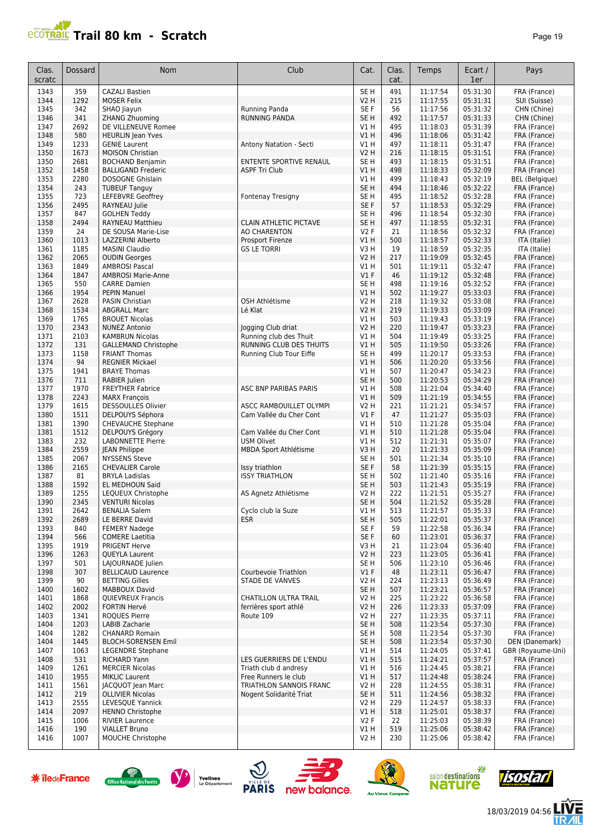## **Trail 80 km - Scratch Page 19** Page 19

| Clas.<br>scratc | Dossard      | <b>Nom</b>                                          | Club                                               | Cat.                               | Clas.<br>cat. | Temps                | Ecart /<br>1er       | Pays                         |
|-----------------|--------------|-----------------------------------------------------|----------------------------------------------------|------------------------------------|---------------|----------------------|----------------------|------------------------------|
| 1343            | 359          | <b>CAZALI Bastien</b>                               |                                                    | SE H                               | 491           | 11:17:54             | 05:31:30             | FRA (France)                 |
| 1344            | 1292         | <b>MOSER Felix</b>                                  |                                                    | <b>V2 H</b>                        | 215           | 11:17:55             | 05:31:31             | SUI (Suisse)                 |
| 1345            | 342          | SHAO Jiayun                                         | <b>Running Panda</b>                               | SE F                               | 56            | 11:17:56             | 05:31:32             | CHN (Chine)                  |
| 1346            | 341          | <b>ZHANG Zhuoming</b>                               | <b>RUNNING PANDA</b>                               | SE <sub>H</sub>                    | 492           | 11:17:57             | 05:31:33             | CHN (Chine)                  |
| 1347<br>1348    | 2692<br>580  | DE VILLENEUVE Romee<br><b>HEURLIN</b> Jean Yves     |                                                    | V1 H<br>V1 H                       | 495<br>496    | 11:18:03<br>11:18:06 | 05:31:39<br>05:31:42 | FRA (France)<br>FRA (France) |
| 1349            | 1233         | <b>GENIE Laurent</b>                                | Antony Natation - Secti                            | V1 H                               | 497           | 11:18:11             | 05:31:47             | FRA (France)                 |
| 1350            | 1673         | <b>MOISON Christian</b>                             |                                                    | <b>V2 H</b>                        | 216           | 11:18:15             | 05:31:51             | FRA (France)                 |
| 1350            | 2681         | <b>BOCHAND Benjamin</b>                             | ENTENTE SPORTIVE RENAUL                            | SE <sub>H</sub>                    | 493           | 11:18:15             | 05:31:51             | FRA (France)                 |
| 1352            | 1458         | <b>BALLIGAND Frederic</b>                           | <b>ASPF Tri Club</b>                               | V1H                                | 498           | 11:18:33             | 05:32:09             | FRA (France)                 |
| 1353            | 2280         | DOSOGNE Ghislain                                    |                                                    | V1 H                               | 499           | 11:18:43             | 05:32:19             | <b>BEL</b> (Belgique)        |
| 1354            | 243          | <b>TUBEUF Tanguy</b>                                |                                                    | SE <sub>H</sub>                    | 494           | 11:18:46             | 05:32:22             | FRA (France)                 |
| 1355<br>1356    | 723<br>2495  | LEFEBVRE Geoffrey<br>RAYNEAU Julie                  | Fontenay Tresigny                                  | SE <sub>H</sub><br>SE F            | 495<br>57     | 11:18:52<br>11:18:53 | 05:32:28<br>05:32:29 | FRA (France)<br>FRA (France) |
| 1357            | 847          | <b>GOLHEN Teddy</b>                                 |                                                    | SE <sub>H</sub>                    | 496           | 11:18:54             | 05:32:30             | FRA (France)                 |
| 1358            | 2494         | RAYNEAU Matthieu                                    | <b>CLAIN ATHLETIC PICTAVE</b>                      | SE <sub>H</sub>                    | 497           | 11:18:55             | 05:32:31             | FRA (France)                 |
| 1359            | 24           | DE SOUSA Marie-Lise                                 | AO CHARENTON                                       | V2F                                | 21            | 11:18:56             | 05:32:32             | FRA (France)                 |
| 1360            | 1013         | LAZZERINI Alberto                                   | Prosport Firenze                                   | V1H                                | 500           | 11:18:57             | 05:32:33             | ITA (Italie)                 |
| 1361            | 1185         | <b>MASINI Claudio</b>                               | <b>GS LE TORRI</b>                                 | V3H                                | 19            | 11:18:59             | 05:32:35             | ITA (Italie)                 |
| 1362            | 2065         | <b>OUDIN Georges</b>                                |                                                    | <b>V2 H</b>                        | 217           | 11:19:09             | 05:32:45             | FRA (France)                 |
| 1363<br>1364    | 1849<br>1847 | <b>AMBROSI Pascal</b><br><b>AMBROSI Marie-Anne</b>  |                                                    | V1H<br>V1F                         | 501<br>46     | 11:19:11<br>11:19:12 | 05:32:47<br>05:32:48 | FRA (France)<br>FRA (France) |
| 1365            | 550          | <b>CARRE Damien</b>                                 |                                                    | SE <sub>H</sub>                    | 498           | 11:19:16             | 05:32:52             | FRA (France)                 |
| 1366            | 1954         | <b>PEPIN Manuel</b>                                 |                                                    | V1H                                | 502           | 11:19:27             | 05:33:03             | FRA (France)                 |
| 1367            | 2628         | <b>PASIN Christian</b>                              | OSH Athlétisme                                     | <b>V2 H</b>                        | 218           | 11:19:32             | 05:33:08             | FRA (France)                 |
| 1368            | 1534         | <b>ABGRALL Marc</b>                                 | Lé Klat                                            | <b>V2 H</b>                        | 219           | 11:19:33             | 05:33:09             | FRA (France)                 |
| 1369            | 1765         | <b>BROUET Nicolas</b>                               |                                                    | V1 H                               | 503           | 11:19:43             | 05:33:19             | FRA (France)                 |
| 1370            | 2343         | <b>NUNEZ Antonio</b>                                | Jogging Club driat                                 | <b>V2 H</b>                        | 220           | 11:19:47             | 05:33:23             | FRA (France)                 |
| 1371            | 2103         | <b>KAMBRUN Nicolas</b>                              | Running club des Thuit                             | V1 H                               | 504           | 11:19:49             | 05:33:25             | FRA (France)                 |
| 1372<br>1373    | 131<br>1158  | <b>GALLEMAND Christophe</b><br><b>FRIANT Thomas</b> | RUNNING CLUB DES THUITS<br>Running Club Tour Eiffe | V1 H<br>SE <sub>H</sub>            | 505<br>499    | 11:19:50<br>11:20:17 | 05:33:26<br>05:33:53 | FRA (France)<br>FRA (France) |
| 1374            | 94           | <b>REGNIER Mickael</b>                              |                                                    | VIH                                | 506           | 11:20:20             | 05:33:56             | FRA (France)                 |
| 1375            | 1941         | <b>BRAYE Thomas</b>                                 |                                                    | V1H                                | 507           | 11:20:47             | 05:34:23             | FRA (France)                 |
| 1376            | 711          | RABIER Julien                                       |                                                    | SE <sub>H</sub>                    | 500           | 11:20:53             | 05:34:29             | FRA (France)                 |
| 1377            | 1970         | <b>FREYTHER Fabrice</b>                             | ASC BNP PARIBAS PARIS                              | V1 H                               | 508           | 11:21:04             | 05:34:40             | FRA (France)                 |
| 1378            | 2243         | <b>MARX François</b>                                |                                                    | V1H                                | 509           | 11:21:19             | 05:34:55             | FRA (France)                 |
| 1379            | 1615         | DESSOULLES Olivier                                  | ASCC RAMBOUILLET OLYMPI                            | V2 H                               | 221           | 11:21:21             | 05:34:57             | FRA (France)                 |
| 1380<br>1381    | 1511<br>1390 | DELPOUYS Séphora<br><b>CHEVAUCHE Stephane</b>       | Cam Vallée du Cher Cont                            | $VI$ F<br>V1 H                     | 47<br>510     | 11:21:27<br>11:21:28 | 05:35:03<br>05:35:04 | FRA (France)<br>FRA (France) |
| 1381            | 1512         | DELPOUYS Grégory                                    | Cam Vallée du Cher Cont                            | <b>V1 H</b>                        | 510           | 11:21:28             | 05:35:04             | FRA (France)                 |
| 1383            | 232          | <b>LABONNETTE Pierre</b>                            | <b>USM Olivet</b>                                  | V1 H                               | 512           | 11:21:31             | 05:35:07             | FRA (France)                 |
| 1384            | 2559         | <b>JEAN Philippe</b>                                | MBDA Sport Athlétisme                              | V3H                                | 20            | 11:21:33             | 05:35:09             | FRA (France)                 |
| 1385            | 2067         | <b>NYSSENS Steve</b>                                |                                                    | SE <sub>H</sub>                    | 501           | 11:21:34             | 05:35:10             | FRA (France)                 |
| 1386            | 2165         | <b>CHEVALIER Carole</b>                             | Issy triathlon                                     | SE F                               | 58            | 11:21:39             | 05:35:15             | FRA (France)                 |
| 1387<br>1388    | 81<br>1592   | <b>BRYLA Ladislas</b>                               | <b>ISSY TRIATHLON</b>                              | SE <sub>H</sub><br>SE <sub>H</sub> | 502<br>503    | 11:21:40<br>11:21:43 | 05:35:16<br>05:35:19 | FRA (France)                 |
| 1389            | 1255         | EL MEDHOUN Said<br>LEQUEUX Christophe               | AS Agnetz Athlétisme                               | V2 H                               | 222           | 11:21:51             | 05:35:27             | FRA (France)<br>FRA (France) |
| 1390            | 2345         | <b>VENTURI Nicolas</b>                              |                                                    | SE <sub>H</sub>                    | 504           | 11:21:52             | 05:35:28             | FRA (France)                 |
| 1391            | 2642         | <b>BENALIA Salem</b>                                | Cyclo club la Suze                                 | $VI$ H                             | 513           | 11:21:57             | 05:35:33             | FRA (France)                 |
| 1392            | 2689         | LE BERRE David                                      | <b>ESR</b>                                         | SE <sub>H</sub>                    | 505           | 11:22:01             | 05:35:37             | FRA (France)                 |
| 1393            | 840          | <b>FEMERY Nadege</b>                                |                                                    | SE F                               | 59            | 11:22:58             | 05:36:34             | FRA (France)                 |
| 1394            | 566          | <b>COMERE</b> Laetitia                              |                                                    | SE F                               | 60            | 11:23:01             | 05:36:37             | FRA (France)                 |
| 1395<br>1396    | 1919<br>1263 | PRIGENT Herve<br><b>QUEYLA Laurent</b>              |                                                    | V3H<br>V2 H                        | 21<br>223     | 11:23:04<br>11:23:05 | 05:36:40<br>05:36:41 | FRA (France)<br>FRA (France) |
| 1397            | 501          | LAJOURNADE Julien                                   |                                                    | SE H                               | 506           | 11:23:10             | 05:36:46             | FRA (France)                 |
| 1398            | 307          | <b>BELLICAUD Laurence</b>                           | Courbevoie Triathlon                               | $VI$ F                             | 48            | 11:23:11             | 05:36:47             | FRA (France)                 |
| 1399            | 90           | <b>BETTING Gilles</b>                               | STADE DE VANVES                                    | V2 H                               | 224           | 11:23:13             | 05:36:49             | FRA (France)                 |
| 1400            | 1602         | <b>MABBOUX David</b>                                |                                                    | SE <sub>H</sub>                    | 507           | 11:23:21             | 05:36:57             | FRA (France)                 |
| 1401            | 1868         | QUIEVREUX Francis                                   | CHATILLON ULTRA TRAIL                              | V2 H                               | 225           | 11:23:22             | 05:36:58             | FRA (France)                 |
| 1402            | 2002         | <b>FORTIN Hervé</b>                                 | ferrières sport athlé                              | <b>V2 H</b>                        | 226           | 11:23:33             | 05:37:09             | FRA (France)                 |
| 1403            | 1341<br>1203 | <b>ROQUES Pierre</b><br><b>LABIB Zacharie</b>       | Route 109                                          | V2 H<br>SE <sub>H</sub>            | 227           | 11:23:35<br>11:23:54 | 05:37:11<br>05:37:30 | FRA (France)<br>FRA (France) |
| 1404<br>1404    | 1282         | CHANARD Romain                                      |                                                    | SE <sub>H</sub>                    | 508<br>508    | 11:23:54             | 05:37:30             | FRA (France)                 |
| 1404            | 1445         | <b>BLOCH-SORENSEN Emil</b>                          |                                                    | SE H                               | 508           | 11:23:54             | 05:37:30             | DEN (Danemark)               |
| 1407            | 1063         | LEGENDRE Stephane                                   |                                                    | V1H                                | 514           | 11:24:05             | 05:37:41             | GBR (Royaume-Uni)            |
| 1408            | 531          | RICHARD Yann                                        | LES GUERRIERS DE L'ENDU                            | V1H                                | 515           | 11:24:21             | 05:37:57             | FRA (France)                 |
| 1409            | 1261         | <b>MERCIER Nicolas</b>                              | Triath club d andresy                              | V1 H                               | 516           | 11:24:45             | 05:38:21             | FRA (France)                 |
| 1410<br>1411    | 1955<br>1561 | <b>MIKLIC Laurent</b>                               | Free Runners le club<br>TRIATHLON SANNOIS FRANC    | V1H<br><b>V2 H</b>                 | 517<br>228    | 11:24:48             | 05:38:24             | FRA (France)                 |
| 1412            | 219          | JACQUOT Jean Marc<br><b>OLLIVIER Nicolas</b>        | Nogent Solidarité Triat                            | SE H                               | 511           | 11:24:55<br>11:24:56 | 05:38:31<br>05:38:32 | FRA (France)<br>FRA (France) |
| 1413            | 2555         | LEVESQUE Yannick                                    |                                                    | <b>V2 H</b>                        | 229           | 11:24:57             | 05:38:33             | FRA (France)                 |
| 1414            | 2097         | <b>HENNO Christophe</b>                             |                                                    | V1H                                | 518           | 11:25:01             | 05:38:37             | FRA (France)                 |
| 1415            | 1006         | <b>RIVIER Laurence</b>                              |                                                    | V2F                                | 22            | 11:25:03             | 05:38:39             | FRA (France)                 |
| 1416            | 190          | <b>VIALLET Bruno</b>                                |                                                    | V1H                                | 519           | 11:25:06             | 05:38:42             | FRA (France)                 |
| 1416            | 1007         | MOUCHE Christophe                                   |                                                    | V2 H                               | 230           | 11:25:06             | 05:38:42             | FRA (France)                 |















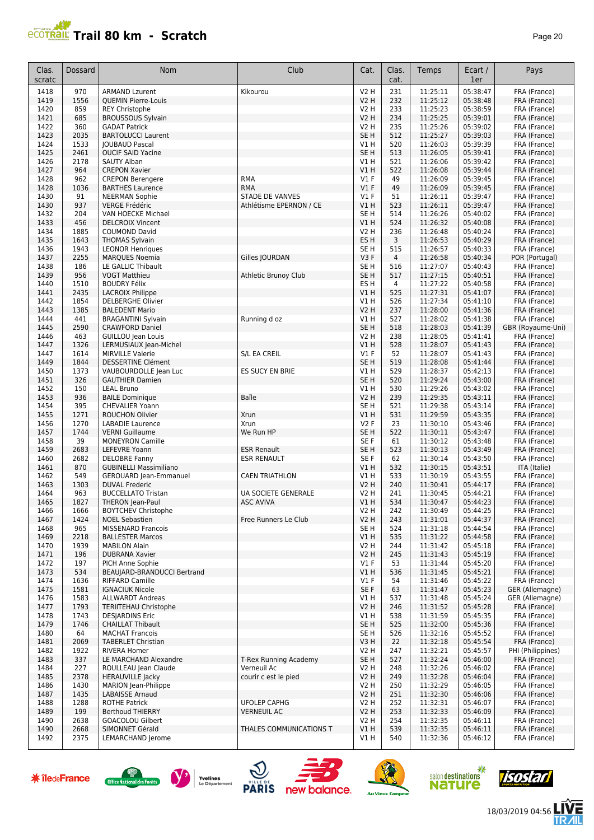

| Clas.<br>scratc | Dossard      | Nom                                                     | Club                                 | Cat.                           | Clas.<br>cat.         | Temps                | Ecart /<br>1er       | Pays                            |
|-----------------|--------------|---------------------------------------------------------|--------------------------------------|--------------------------------|-----------------------|----------------------|----------------------|---------------------------------|
| 1418            | 970          | <b>ARMAND Lzurent</b>                                   | Kikourou                             | <b>V2 H</b>                    | 231                   | 11:25:11             | 05:38:47             | FRA (France)                    |
| 1419            | 1556         | <b>QUEMIN Pierre-Louis</b>                              |                                      | <b>V2 H</b>                    | 232                   | 11:25:12             | 05:38:48             | FRA (France)                    |
| 1420            | 859          | <b>REY Christophe</b>                                   |                                      | <b>V2 H</b>                    | 233                   | 11:25:23             | 05:38:59             | FRA (France)                    |
| 1421            | 685          | <b>BROUSSOUS Sylvain</b>                                |                                      | <b>V2 H</b>                    | 234                   | 11:25:25             | 05:39:01             | FRA (France)                    |
| 1422<br>1423    | 360<br>2035  | <b>GADAT Patrick</b><br><b>BARTOLUCCI Laurent</b>       |                                      | <b>V2 H</b><br>SE <sub>H</sub> | 235<br>512            | 11:25:26<br>11:25:27 | 05:39:02<br>05:39:03 | FRA (France)<br>FRA (France)    |
| 1424            | 1533         | <b>JOUBAUD Pascal</b>                                   |                                      | V1H                            | 520                   | 11:26:03             | 05:39:39             | FRA (France)                    |
| 1425            | 2461         | <b>OUCIF SAID Yacine</b>                                |                                      | SE <sub>H</sub>                | 513                   | 11:26:05             | 05:39:41             | FRA (France)                    |
| 1426            | 2178         | <b>SAUTY Alban</b>                                      |                                      | V1 H                           | 521                   | 11:26:06             | 05:39:42             | FRA (France)                    |
| 1427            | 964          | <b>CREPON Xavier</b>                                    |                                      | VIH                            | 522                   | 11:26:08             | 05:39:44             | FRA (France)                    |
| 1428            | 962          | <b>CREPON Berengere</b>                                 | <b>RMA</b>                           | V1 F                           | 49                    | 11:26:09             | 05:39:45             | FRA (France)                    |
| 1428            | 1036<br>91   | <b>BARTHES Laurence</b>                                 | <b>RMA</b><br><b>STADE DE VANVES</b> | $VI$ F<br>$VI$ F               | 49<br>51              | 11:26:09             | 05:39:45<br>05:39:47 | FRA (France)                    |
| 1430<br>1430    | 937          | <b>NEERMAN Sophie</b><br><b>VERGE Frédéric</b>          | Athlétisme EPERNON / CE              | V1H                            | 523                   | 11:26:11<br>11:26:11 | 05:39:47             | FRA (France)<br>FRA (France)    |
| 1432            | 204          | VAN HOECKE Michael                                      |                                      | SE <sub>H</sub>                | 514                   | 11:26:26             | 05:40:02             | FRA (France)                    |
| 1433            | 456          | <b>DELCROIX Vincent</b>                                 |                                      | V1H                            | 524                   | 11:26:32             | 05:40:08             | FRA (France)                    |
| 1434            | 1885         | <b>COUMOND David</b>                                    |                                      | <b>V2 H</b>                    | 236                   | 11:26:48             | 05:40:24             | FRA (France)                    |
| 1435            | 1643         | <b>THOMAS Sylvain</b>                                   |                                      | ES H                           | 3                     | 11:26:53             | 05:40:29             | FRA (France)                    |
| 1436            | 1943         | <b>LEONOR Henriques</b>                                 |                                      | SE <sub>H</sub>                | 515                   | 11:26:57             | 05:40:33             | FRA (France)                    |
| 1437            | 2255         | <b>MARQUES Noemia</b>                                   | Gilles   OURDAN                      | V3F<br>SE <sub>H</sub>         | $\overline{4}$<br>516 | 11:26:58<br>11:27:07 | 05:40:34<br>05:40:43 | POR (Portugal)                  |
| 1438<br>1439    | 186<br>956   | LE GALLIC Thibault<br><b>VOGT Matthieu</b>              | Athletic Brunoy Club                 | SE <sub>H</sub>                | 517                   | 11:27:15             | 05:40:51             | FRA (France)<br>FRA (France)    |
| 1440            | 1510         | <b>BOUDRY Félix</b>                                     |                                      | ES H                           | 4                     | 11:27:22             | 05:40:58             | FRA (France)                    |
| 1441            | 2435         | <b>LACROIX Philippe</b>                                 |                                      | V1 H                           | 525                   | 11:27:31             | 05:41:07             | FRA (France)                    |
| 1442            | 1854         | <b>DELBERGHE Olivier</b>                                |                                      | V1 H                           | 526                   | 11:27:34             | 05:41:10             | FRA (France)                    |
| 1443            | 1385         | <b>BALEDENT Mario</b>                                   |                                      | <b>V2 H</b>                    | 237                   | 11:28:00             | 05:41:36             | FRA (France)                    |
| 1444            | 441          | <b>BRAGANTINI Sylvain</b>                               | Running d oz                         | V1 H                           | 527                   | 11:28:02             | 05:41:38             | FRA (France)                    |
| 1445            | 2590         | <b>CRAWFORD Daniel</b>                                  |                                      | SE <sub>H</sub>                | 518                   | 11:28:03             | 05:41:39             | GBR (Royaume-Uni)               |
| 1446            | 463          | GUILLOU Jean Louis                                      |                                      | V2 H                           | 238                   | 11:28:05             | 05:41:41             | FRA (France)                    |
| 1447            | 1326         | LERMUSIAUX Jean-Michel                                  |                                      | V1H                            | 528                   | 11:28:07             | 05:41:43             | FRA (France)                    |
| 1447<br>1449    | 1614<br>1844 | <b>MIRVILLE Valerie</b>                                 | S/L EA CREIL                         | $VI$ F<br>SE <sub>H</sub>      | 52<br>519             | 11:28:07<br>11:28:08 | 05:41:43<br>05:41:44 | FRA (France)                    |
| 1450            | 1373         | <b>DESSERTINE Clément</b><br>VAUBOURDOLLE Jean Luc      | ES SUCY EN BRIE                      | V1H                            | 529                   | 11:28:37             | 05:42:13             | FRA (France)<br>FRA (France)    |
| 1451            | 326          | <b>GAUTHIER Damien</b>                                  |                                      | SE <sub>H</sub>                | 520                   | 11:29:24             | 05:43:00             | FRA (France)                    |
| 1452            | 150          | <b>LEAL Bruno</b>                                       |                                      | V1 H                           | 530                   | 11:29:26             | 05:43:02             | FRA (France)                    |
| 1453            | 936          | <b>BAILE Dominique</b>                                  | Baïle                                | V2 H                           | 239                   | 11:29:35             | 05:43:11             | FRA (France)                    |
| 1454            | 395          | <b>CHEVALIER Yoann</b>                                  |                                      | SE H                           | 521                   | 11:29:38             | 05:43:14             | FRA (France)                    |
| 1455            | 1271         | <b>ROUCHON Olivier</b>                                  | Xrun                                 | V1H                            | 531                   | 11:29:59             | 05:43:35             | FRA (France)                    |
| 1456            | 1270         | <b>LABADIE Laurence</b>                                 | Xrun                                 | V2F                            | 23                    | 11:30:10             | 05:43:46             | FRA (France)                    |
| 1457            | 1744         | <b>VERNI Guillaume</b>                                  | We Run HP                            | SE <sub>H</sub>                | 522                   | 11:30:11             | 05:43:47             | FRA (France)                    |
| 1458<br>1459    | 39<br>2683   | <b>MONEYRON Camille</b><br>LEFEVRE Yoann                | <b>ESR Renault</b>                   | SE F<br>SE <sub>H</sub>        | 61<br>523             | 11:30:12<br>11:30:13 | 05:43:48<br>05:43:49 | FRA (France)<br>FRA (France)    |
| 1460            | 2682         | <b>DELOBRE Fanny</b>                                    | <b>ESR RENAULT</b>                   | SE F                           | 62                    | 11:30:14             | 05:43:50             | FRA (France)                    |
| 1461            | 870          | <b>GUBINELLI Massimiliano</b>                           |                                      | VIH                            | 532                   | 11:30:15             | 05:43:51             | ITA (Italie)                    |
| 1462            | 549          | <b>GEROUARD Jean-Emmanuel</b>                           | <b>CAEN TRIATHLON</b>                | V1H                            | 533                   | 11:30:19             | 05:43:55             | FRA (France)                    |
| 1463            | 1303         | <b>DUVAL Frederic</b>                                   |                                      | <b>V2 H</b>                    | 240                   | 11:30:41             | 05:44:17             | FRA (France)                    |
| 1464            | 963          | <b>BUCCELLATO Tristan</b>                               | UA SOCIETE GENERALE                  | V2 H                           | 241                   | 11:30:45             | 05:44:21             | FRA (France)                    |
| 1465            | 1827         | THERON Jean-Paul                                        | <b>ASC AVIVA</b>                     | V1 H                           | 534                   | 11:30:47             | 05:44:23             | FRA (France)                    |
| 1466            | 1666         | <b>BOYTCHEV Christophe</b>                              |                                      | V2 H                           | 242                   | 11:30:49             | 05:44:25             | FRA (France)                    |
| 1467<br>1468    | 1424<br>965  | <b>NOEL Sebastien</b><br><b>MISSENARD Francois</b>      | Free Runners Le Club                 | <b>V2 H</b><br>SE <sub>H</sub> | 243<br>524            | 11:31:01<br>11:31:18 | 05:44:37<br>05:44:54 | FRA (France)<br>FRA (France)    |
| 1469            | 2218         | <b>BALLESTER Marcos</b>                                 |                                      | V1H                            | 535                   | 11:31:22             | 05:44:58             | FRA (France)                    |
| 1470            | 1939         | <b>MABILON Alain</b>                                    |                                      | V2 H                           | 244                   | 11:31:42             | 05:45:18             | FRA (France)                    |
| 1471            | 196          | <b>DUBRANA Xavier</b>                                   |                                      | <b>V2 H</b>                    | 245                   | 11:31:43             | 05:45:19             | FRA (France)                    |
| 1472            | 197          | PICH Anne Sophie                                        |                                      | V1F                            | 53                    | 11:31:44             | 05:45:20             | FRA (France)                    |
| 1473            | 534          | BEAUJARD-BRANDUCCI Bertrand                             |                                      | V1 H                           | 536                   | 11:31:45             | 05:45:21             | FRA (France)                    |
| 1474            | 1636         | <b>RIFFARD Camille</b>                                  |                                      | V1F                            | 54                    | 11:31:46             | 05:45:22             | FRA (France)                    |
| 1475            | 1581         | <b>IGNACIUK Nicole</b>                                  |                                      | SE F                           | 63                    | 11:31:47             | 05:45:23             | GER (Allemagne)                 |
| 1476<br>1477    | 1583<br>1793 | <b>ALLWARDT Andreas</b><br><b>TERIITEHAU Christophe</b> |                                      | V1 H<br>V2 H                   | 537<br>246            | 11:31:48<br>11:31:52 | 05:45:24<br>05:45:28 | GER (Allemagne)<br>FRA (France) |
| 1478            | 1743         | <b>DESJARDINS Eric</b>                                  |                                      | V1 H                           | 538                   | 11:31:59             | 05:45:35             | FRA (France)                    |
| 1479            | 1746         | <b>CHAILLAT Thibault</b>                                |                                      | SE <sub>H</sub>                | 525                   | 11:32:00             | 05:45:36             | FRA (France)                    |
| 1480            | 64           | <b>MACHAT Francois</b>                                  |                                      | SE H                           | 526                   | 11:32:16             | 05:45:52             | FRA (France)                    |
| 1481            | 2069         | <b>TABERLET Christian</b>                               |                                      | V3H                            | 22                    | 11:32:18             | 05:45:54             | FRA (France)                    |
| 1482            | 1922         | <b>RIVERA Homer</b>                                     |                                      | <b>V2 H</b>                    | 247                   | 11:32:21             | 05:45:57             | PHI (Philippines)               |
| 1483            | 337          | LE MARCHAND Alexandre                                   | T-Rex Running Academy                | SE <sub>H</sub>                | 527                   | 11:32:24             | 05:46:00             | FRA (France)                    |
| 1484            | 227          | ROULLEAU Jean Claude                                    | Verneuil Ac                          | V2 H                           | 248                   | 11:32:26             | 05:46:02             | FRA (France)                    |
| 1485            | 2378         | <b>HERAUVILLE Jacky</b>                                 | courir c est le pied                 | <b>V2 H</b>                    | 249                   | 11:32:28             | 05:46:04             | FRA (France)                    |
| 1486<br>1487    | 1430<br>1435 | <b>MARION</b> Jean-Philippe<br>LABAISSE Arnaud          |                                      | V2 H<br><b>V2 H</b>            | 250<br>251            | 11:32:29<br>11:32:30 | 05:46:05<br>05:46:06 | FRA (France)<br>FRA (France)    |
| 1488            | 1288         | <b>ROTHE Patrick</b>                                    | <b>UFOLEP CAPHG</b>                  | <b>V2 H</b>                    | 252                   | 11:32:31             | 05:46:07             | FRA (France)                    |
| 1489            | 199          | <b>Berthoud THIERRY</b>                                 | <b>VERNEUIL AC</b>                   | V2 H                           | 253                   | 11:32:33             | 05:46:09             | FRA (France)                    |
| 1490            | 2638         | GOACOLOU Gilbert                                        |                                      | V2 H                           | 254                   | 11:32:35             | 05:46:11             | FRA (France)                    |
| 1490            | 2668         | SIMONNET Gérald                                         | THALES COMMUNICATIONS T              | V1 H                           | 539                   | 11:32:35             | 05:46:11             | FRA (France)                    |
| 1492            | 2375         | LEMARCHAND Jerome                                       |                                      | V1 H                           | 540                   | 11:32:36             | 05:46:12             | FRA (France)                    |













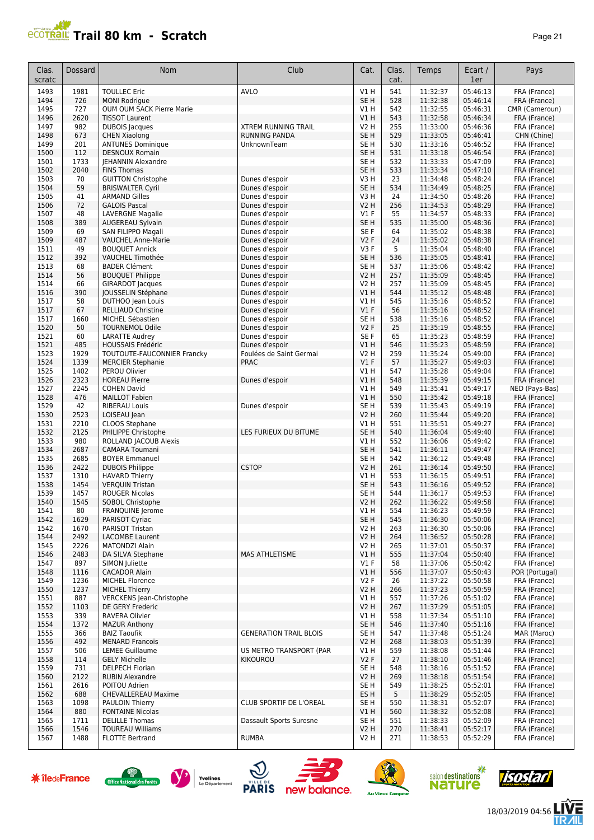# **PROTRAIL Trail 80 km - Scratch**

| ۷<br>,<br>н |  |
|-------------|--|
|-------------|--|

| Clas.<br>scratc | Dossard      | <b>Nom</b>                                               | Club                             | Cat.                               | Clas.<br>cat. | Temps                | Ecart /<br>1er       | Pays                         |
|-----------------|--------------|----------------------------------------------------------|----------------------------------|------------------------------------|---------------|----------------------|----------------------|------------------------------|
| 1493            | 1981         | <b>TOULLEC Eric</b>                                      | <b>AVLO</b>                      | V1H                                | 541           | 11:32:37             | 05:46:13             | FRA (France)                 |
| 1494            | 726          | <b>MONI Rodrigue</b>                                     |                                  | SE <sub>H</sub>                    | 528           | 11:32:38             | 05:46:14             | FRA (France)                 |
| 1495            | 727          | OUM OUM SACK Pierre Marie                                |                                  | V1 H                               | 542           | 11:32:55             | 05:46:31             | CMR (Cameroun)               |
| 1496            | 2620         | <b>TISSOT Laurent</b>                                    |                                  | V1H                                | 543           | 11:32:58             | 05:46:34             | FRA (France)                 |
| 1497            | 982          | <b>DUBOIS</b> Jacques                                    | <b>XTREM RUNNING TRAIL</b>       | V2 H                               | 255           | 11:33:00             | 05:46:36             | FRA (France)                 |
| 1498            | 673          | <b>CHEN Xiaolong</b>                                     | <b>RUNNING PANDA</b>             | SE <sub>H</sub>                    | 529           | 11:33:05             | 05:46:41             | CHN (Chine)                  |
| 1499<br>1500    | 201<br>112   | <b>ANTUNES Dominique</b><br><b>DESNOUX Romain</b>        | UnknownTeam                      | SE <sub>H</sub><br>SE <sub>H</sub> | 530<br>531    | 11:33:16<br>11:33:18 | 05:46:52<br>05:46:54 | FRA (France)<br>FRA (France) |
| 1501            | 1733         | <b>JEHANNIN Alexandre</b>                                |                                  | SE <sub>H</sub>                    | 532           | 11:33:33             | 05:47:09             | FRA (France)                 |
| 1502            | 2040         | <b>FINS Thomas</b>                                       |                                  | SE <sub>H</sub>                    | 533           | 11:33:34             | 05:47:10             | FRA (France)                 |
| 1503            | 70           | <b>GUITTON Christophe</b>                                | Dunes d'espoir                   | V3H                                | 23            | 11:34:48             | 05:48:24             | FRA (France)                 |
| 1504            | 59           | <b>BRISWALTER Cyril</b>                                  | Dunes d'espoir                   | SE <sub>H</sub>                    | 534           | 11:34:49             | 05:48:25             | FRA (France)                 |
| 1505            | 41           | <b>ARMAND Gilles</b>                                     | Dunes d'espoir                   | V3H                                | 24            | 11:34:50             | 05:48:26             | FRA (France)                 |
| 1506            | 72           | <b>GALOIS Pascal</b>                                     | Dunes d'espoir                   | V2 H                               | 256           | 11:34:53             | 05:48:29             | FRA (France)                 |
| 1507            | 48           | <b>LAVERGNE Magalie</b>                                  | Dunes d'espoir                   | $VI$ F                             | 55            | 11:34:57             | 05:48:33             | FRA (France)                 |
| 1508            | 389          | AUGEREAU Sylvain                                         | Dunes d'espoir                   | SE <sub>H</sub>                    | 535           | 11:35:00             | 05:48:36             | FRA (France)                 |
| 1509            | 69           | SAN FILIPPO Magali                                       | Dunes d'espoir                   | SE <sub>F</sub>                    | 64            | 11:35:02             | 05:48:38             | FRA (France)                 |
| 1509            | 487          | <b>VAUCHEL Anne-Marie</b>                                | Dunes d'espoir                   | V2F                                | 24            | 11:35:02             | 05:48:38             | FRA (France)                 |
| 1511<br>1512    | 49<br>392    | <b>BOUQUET Annick</b><br>VAUCHEL Timothée                | Dunes d'espoir<br>Dunes d'espoir | V3F<br>SE <sub>H</sub>             | 5<br>536      | 11:35:04<br>11:35:05 | 05:48:40<br>05:48:41 | FRA (France)<br>FRA (France) |
| 1513            | 68           | <b>BADER Clément</b>                                     | Dunes d'espoir                   | SE H                               | 537           | 11:35:06             | 05:48:42             | FRA (France)                 |
| 1514            | 56           | <b>BOUQUET Philippe</b>                                  | Dunes d'espoir                   | <b>V2 H</b>                        | 257           | 11:35:09             | 05:48:45             | FRA (France)                 |
| 1514            | 66           | <b>GIRARDOT Jacques</b>                                  | Dunes d'espoir                   | <b>V2 H</b>                        | 257           | 11:35:09             | 05:48:45             | FRA (France)                 |
| 1516            | 390          | <b>JOUSSELIN Stéphane</b>                                | Dunes d'espoir                   | V1H                                | 544           | 11:35:12             | 05:48:48             | FRA (France)                 |
| 1517            | 58           | DUTHOO Jean Louis                                        | Dunes d'espoir                   | V1H                                | 545           | 11:35:16             | 05:48:52             | FRA (France)                 |
| 1517            | 67           | <b>RELLIAUD Christine</b>                                | Dunes d'espoir                   | $VI$ F                             | 56            | 11:35:16             | 05:48:52             | FRA (France)                 |
| 1517            | 1660         | MICHEL Sébastien                                         | Dunes d'espoir                   | SE H                               | 538           | 11:35:16             | 05:48:52             | FRA (France)                 |
| 1520            | 50           | <b>TOURNEMOL Odile</b>                                   | Dunes d'espoir                   | <b>V2F</b>                         | 25            | 11:35:19             | 05:48:55             | FRA (France)                 |
| 1521            | 60           | <b>LARATTE Audrey</b>                                    | Dunes d'espoir                   | SE <sub>F</sub>                    | 65            | 11:35:23             | 05:48:59             | FRA (France)                 |
| 1521            | 485          | <b>HOUSSAIS Frédéric</b>                                 | Dunes d'espoir                   | VIH                                | 546           | 11:35:23             | 05:48:59             | FRA (France)                 |
| 1523            | 1929         | TOUTOUTE-FAUCONNIER Francky                              | Foulées de Saint Germai          | <b>V2 H</b>                        | 259           | 11:35:24             | 05:49:00             | FRA (France)                 |
| 1524<br>1525    | 1339<br>1402 | <b>MERCIER Stephanie</b>                                 | <b>PRAC</b>                      | V1F<br>V1H                         | 57<br>547     | 11:35:27<br>11:35:28 | 05:49:03<br>05:49:04 | FRA (France)                 |
| 1526            | 2323         | PEROU Olivier<br><b>HOREAU Pierre</b>                    | Dunes d'espoir                   | VIH                                | 548           | 11:35:39             | 05:49:15             | FRA (France)<br>FRA (France) |
| 1527            | 2245         | <b>COHEN David</b>                                       |                                  | V1H                                | 549           | 11:35:41             | 05:49:17             | NED (Pays-Bas)               |
| 1528            | 476          | <b>MAILLOT Fabien</b>                                    |                                  | VIH                                | 550           | 11:35:42             | 05:49:18             | FRA (France)                 |
| 1529            | 42           | <b>RIBERAU Louis</b>                                     | Dunes d'espoir                   | SE <sub>H</sub>                    | 539           | 11:35:43             | 05:49:19             | FRA (France)                 |
| 1530            | 2523         | LOISEAU Jean                                             |                                  | V2 H                               | 260           | 11:35:44             | 05:49:20             | FRA (France)                 |
| 1531            | 2210         | CLOOS Stephane                                           |                                  | V1 H                               | 551           | 11:35:51             | 05:49:27             | FRA (France)                 |
| 1532            | 2125         | PHILIPPE Christophe                                      | LES FURIEUX DU BITUME            | SE <sub>H</sub>                    | 540           | 11:36:04             | 05:49:40             | FRA (France)                 |
| 1533            | 980          | ROLLAND JACOUB Alexis                                    |                                  | V1H                                | 552           | 11:36:06             | 05:49:42             | FRA (France)                 |
| 1534            | 2687         | <b>CAMARA Toumani</b>                                    |                                  | SE <sub>H</sub>                    | 541           | 11:36:11             | 05:49:47             | FRA (France)                 |
| 1535            | 2685         | <b>BOYER Emmanuel</b>                                    |                                  | SE <sub>H</sub>                    | 542           | 11:36:12             | 05:49:48             | FRA (France)                 |
| 1536            | 2422         | <b>DUBOIS Philippe</b>                                   | <b>CSTOP</b>                     | V2 H                               | 261           | 11:36:14             | 05:49:50             | FRA (France)                 |
| 1537<br>1538    | 1310<br>1454 | <b>HAVARD Thierry</b><br><b>VERQUIN Tristan</b>          |                                  | V1H<br>SE <sub>H</sub>             | 553<br>543    | 11:36:15<br>11:36:16 | 05:49:51<br>05:49:52 | FRA (France)<br>FRA (France) |
| 1539            | 1457         | <b>ROUGER Nicolas</b>                                    |                                  | SE <sub>H</sub>                    | 544           | 11:36:17             | 05:49:53             | FRA (France)                 |
| 1540            | 1545         | SOBOL Christophe                                         |                                  | V2 H                               | 262           | 11:36:22             | 05:49:58             | FRA (France)                 |
| 1541            | 80           | FRANQUINE Jerome                                         |                                  | V1 H                               | 554           | 11:36:23             | 05:49:59             | FRA (France)                 |
| 1542            | 1629         | PARISOT Cyriac                                           |                                  | SE <sub>H</sub>                    | 545           | 11:36:30             | 05:50:06             | FRA (France)                 |
| 1542            | 1670         | PARISOT Tristan                                          |                                  | V2 H                               | 263           | 11:36:30             | 05:50:06             | FRA (France)                 |
| 1544            | 2492         | <b>LACOMBE Laurent</b>                                   |                                  | V2 H                               | 264           | 11:36:52             | 05:50:28             | FRA (France)                 |
| 1545            | 2226         | <b>MATONDZI Alain</b>                                    |                                  | V2 H                               | 265           | 11:37:01             | 05:50:37             | FRA (France)                 |
| 1546            | 2483         | DA SILVA Stephane                                        | MAS ATHLETISME                   | V1H                                | 555           | 11:37:04             | 05:50:40             | FRA (France)                 |
| 1547            | 897          | SIMON Juliette                                           |                                  | $VI$ F                             | 58            | 11:37:06             | 05:50:42             | FRA (France)                 |
| 1548            | 1116         | <b>CACADOR Alain</b>                                     |                                  | V1 H                               | 556           | 11:37:07             | 05:50:43             | POR (Portugal)               |
| 1549            | 1236         | <b>MICHEL Florence</b>                                   |                                  | V2F                                | 26            | 11:37:22             | 05:50:58             | FRA (France)                 |
| 1550<br>1551    | 1237<br>887  | <b>MICHEL Thierry</b><br><b>VERCKENS Jean-Christophe</b> |                                  | <b>V2 H</b><br>V1 H                | 266<br>557    | 11:37:23<br>11:37:26 | 05:50:59<br>05:51:02 | FRA (France)<br>FRA (France) |
| 1552            | 1103         | DE GERY Frederic                                         |                                  | <b>V2 H</b>                        | 267           | 11:37:29             | 05:51:05             | FRA (France)                 |
| 1553            | 339          | RAVERA Olivier                                           |                                  | V1H                                | 558           | 11:37:34             | 05:51:10             | FRA (France)                 |
| 1554            | 1372         | <b>MAZUR Anthony</b>                                     |                                  | SE <sub>H</sub>                    | 546           | 11:37:40             | 05:51:16             | FRA (France)                 |
| 1555            | 366          | <b>BAIZ Taoufik</b>                                      | <b>GENERATION TRAIL BLOIS</b>    | SE H                               | 547           | 11:37:48             | 05:51:24             | MAR (Maroc)                  |
| 1556            | 492          | <b>MENARD Francois</b>                                   |                                  | V <sub>2</sub> H                   | 268           | 11:38:03             | 05:51:39             | FRA (France)                 |
| 1557            | 506          | LEMEE Guillaume                                          | US METRO TRANSPORT (PAR          | V1H                                | 559           | 11:38:08             | 05:51:44             | FRA (France)                 |
| 1558            | 114          | <b>GELY Michelle</b>                                     | KIKOUROU                         | V2F                                | 27            | 11:38:10             | 05:51:46             | FRA (France)                 |
| 1559            | 731          | <b>DELPECH Florian</b>                                   |                                  | SE H                               | 548           | 11:38:16             | 05:51:52             | FRA (France)                 |
| 1560            | 2122         | <b>RUBIN Alexandre</b>                                   |                                  | <b>V2 H</b>                        | 269           | 11:38:18             | 05:51:54             | FRA (France)                 |
| 1561            | 2616         | POITOU Adrien                                            |                                  | SE H                               | 549           | 11:38:25             | 05:52:01             | FRA (France)                 |
| 1562            | 688          | <b>CHEVALLEREAU Maxime</b>                               |                                  | ES H                               | 5             | 11:38:29             | 05:52:05             | FRA (France)                 |
| 1563<br>1564    | 1098<br>880  | <b>PAULOIN Thierry</b><br><b>FONTAINE Nicolas</b>        | CLUB SPORTIF DE L'OREAL          | SE H<br>V1 H                       | 550<br>560    | 11:38:31<br>11:38:32 | 05:52:07<br>05:52:08 | FRA (France)<br>FRA (France) |
| 1565            | 1711         | <b>DELILLE Thomas</b>                                    | Dassault Sports Suresne          | SE H                               | 551           | 11:38:33             | 05:52:09             | FRA (France)                 |
| 1566            | 1546         | <b>TOUREAU Williams</b>                                  |                                  | <b>V2 H</b>                        | 270           | 11:38:41             | 05:52:17             | FRA (France)                 |
| 1567            | 1488         | <b>FLOTTE Bertrand</b>                                   | <b>RUMBA</b>                     | V2 H                               | 271           | 11:38:53             | 05:52:29             | FRA (France)                 |
|                 |              |                                                          |                                  |                                    |               |                      |                      |                              |

















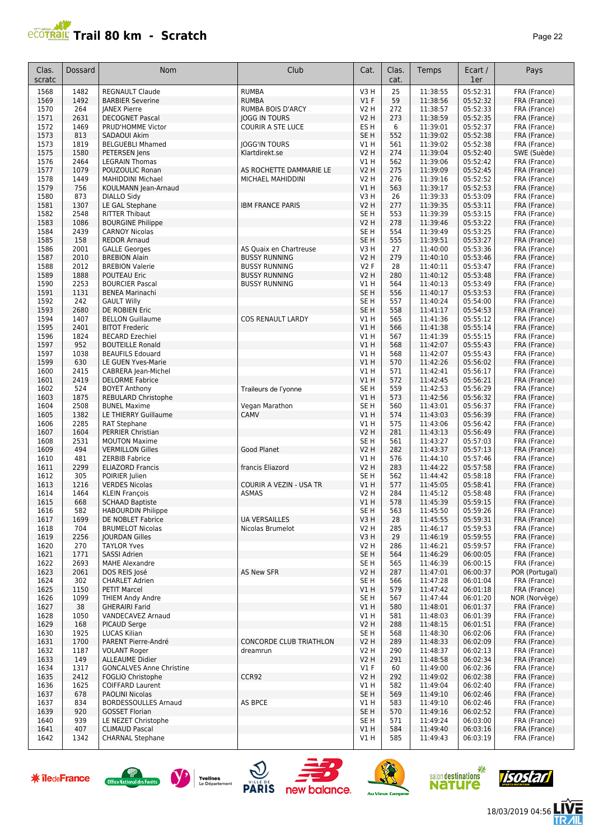## **PCOTRAIL Trail 80 km - Scratch Page 22**

| Clas.<br>scratc | <b>Dossard</b> | <b>Nom</b>                                           | Club                                         | Cat.                    | Clas.<br>cat. | Temps                | Ecart /<br>1er       | Pays                         |
|-----------------|----------------|------------------------------------------------------|----------------------------------------------|-------------------------|---------------|----------------------|----------------------|------------------------------|
| 1568            | 1482           | <b>REGNAULT Claude</b>                               | <b>RUMBA</b>                                 | V3H                     | 25            | 11:38:55             | 05:52:31             | FRA (France)                 |
| 1569            | 1492           | <b>BARBIER Severine</b>                              | <b>RUMBA</b>                                 | $VI$ F                  | 59            | 11:38:56             | 05:52:32             | FRA (France)                 |
| 1570            | 264            | <b>JANEX Pierre</b>                                  | <b>RUMBA BOIS D'ARCY</b>                     | <b>V2 H</b>             | 272           | 11:38:57             | 05:52:33             | FRA (France)                 |
| 1571            | 2631           | <b>DECOGNET Pascal</b>                               | <b>JOGG IN TOURS</b>                         | <b>V2 H</b>             | 273           | 11:38:59             | 05:52:35             | FRA (France)                 |
| 1572            | 1469           | PRUD'HOMME Victor                                    | <b>COURIR A STE LUCE</b>                     | ES H                    | 6             | 11:39:01             | 05:52:37             | FRA (France)                 |
| 1573            | 813            | SADAOUI Akim                                         |                                              | SE <sub>H</sub>         | 552           | 11:39:02             | 05:52:38             | FRA (France)                 |
| 1573<br>1575    | 1819<br>1580   | <b>BELGUEBLI Mhamed</b>                              | <b>JOGG'IN TOURS</b>                         | V1 H<br><b>V2 H</b>     | 561<br>274    | 11:39:02<br>11:39:04 | 05:52:38<br>05:52:40 | FRA (France)                 |
| 1576            | 2464           | PETERSEN Jens<br><b>LEGRAIN Thomas</b>               | Klartdirekt.se                               | V1 H                    | 562           | 11:39:06             | 05:52:42             | SWE (Suède)<br>FRA (France)  |
| 1577            | 1079           | POUZOULIC Ronan                                      | AS ROCHETTE DAMMARIE LE                      | <b>V2 H</b>             | 275           | 11:39:09             | 05:52:45             | FRA (France)                 |
| 1578            | 1449           | <b>MAHIDDINI Michael</b>                             | MICHAEL MAHIDDINI                            | V2 H                    | 276           | 11:39:16             | 05:52:52             | FRA (France)                 |
| 1579            | 756            | KOULMANN Jean-Arnaud                                 |                                              | V1H                     | 563           | 11:39:17             | 05:52:53             | FRA (France)                 |
| 1580            | 873            | <b>DIALLO Sidy</b>                                   |                                              | V3H                     | 26            | 11:39:33             | 05:53:09             | FRA (France)                 |
| 1581            | 1307           | LE GAL Stephane                                      | <b>IBM FRANCE PARIS</b>                      | V <sub>2</sub> H        | 277           | 11:39:35             | 05:53:11             | FRA (France)                 |
| 1582            | 2548           | <b>RITTER Thibaut</b>                                |                                              | SE H                    | 553           | 11:39:39             | 05:53:15             | FRA (France)                 |
| 1583            | 1086           | <b>BOURGINE Philippe</b>                             |                                              | <b>V2 H</b>             | 278           | 11:39:46             | 05:53:22             | FRA (France)                 |
| 1584            | 2439           | <b>CARNOY Nicolas</b>                                |                                              | SE H                    | 554           | 11:39:49             | 05:53:25             | FRA (France)                 |
| 1585            | 158            | <b>REDOR Arnaud</b>                                  |                                              | SE <sub>H</sub>         | 555           | 11:39:51             | 05:53:27             | FRA (France)                 |
| 1586            | 2001           | <b>GALLE Georges</b>                                 | AS Quaix en Chartreuse                       | V3H                     | 27            | 11:40:00             | 05:53:36             | FRA (France)                 |
| 1587<br>1588    | 2010<br>2012   | <b>BREBION Alain</b><br><b>BREBION Valerie</b>       | <b>BUSSY RUNNING</b><br><b>BUSSY RUNNING</b> | <b>V2 H</b><br>V2F      | 279<br>28     | 11:40:10<br>11:40:11 | 05:53:46<br>05:53:47 | FRA (France)                 |
| 1589            | 1888           | POUTEAU Eric                                         | <b>BUSSY RUNNING</b>                         | <b>V2 H</b>             | 280           | 11:40:12             | 05:53:48             | FRA (France)<br>FRA (France) |
| 1590            | 2253           | <b>BOURCIER Pascal</b>                               | <b>BUSSY RUNNING</b>                         | V1 H                    | 564           | 11:40:13             | 05:53:49             | FRA (France)                 |
| 1591            | 1131           | <b>BENEA Marinachi</b>                               |                                              | SE <sub>H</sub>         | 556           | 11:40:17             | 05:53:53             | FRA (France)                 |
| 1592            | 242            | <b>GAULT Willy</b>                                   |                                              | SE <sub>H</sub>         | 557           | 11:40:24             | 05:54:00             | FRA (France)                 |
| 1593            | 2680           | DE ROBIEN Eric                                       |                                              | SE <sub>H</sub>         | 558           | 11:41:17             | 05:54:53             | FRA (France)                 |
| 1594            | 1407           | <b>BELLON Guillaume</b>                              | <b>COS RENAULT LARDY</b>                     | V1 H                    | 565           | 11:41:36             | 05:55:12             | FRA (France)                 |
| 1595            | 2401           | <b>BITOT Frederic</b>                                |                                              | V1H                     | 566           | 11:41:38             | 05:55:14             | FRA (France)                 |
| 1596            | 1824           | <b>BECARD Ezechiel</b>                               |                                              | V1 H                    | 567           | 11:41:39             | 05:55:15             | FRA (France)                 |
| 1597            | 952            | <b>BOUTEILLE Ronald</b>                              |                                              | V1 H                    | 568           | 11:42:07             | 05:55:43             | FRA (France)                 |
| 1597            | 1038           | <b>BEAUFILS Edouard</b>                              |                                              | V1 H                    | 568           | 11:42:07             | 05:55:43             | FRA (France)                 |
| 1599            | 630            | LE GUEN Yves-Marie                                   |                                              | V1H                     | 570           | 11:42:26             | 05:56:02             | FRA (France)                 |
| 1600<br>1601    | 2415<br>2419   | CABRERA Jean-Michel<br><b>DELORME Fabrice</b>        |                                              | V1H<br>V1H              | 571<br>572    | 11:42:41<br>11:42:45 | 05:56:17<br>05:56:21 | FRA (France)                 |
| 1602            | 524            | <b>BOYET Anthony</b>                                 | Traileurs de l'yonne                         | SE <sub>H</sub>         | 559           | 11:42:53             | 05:56:29             | FRA (France)<br>FRA (France) |
| 1603            | 1875           | REBULARD Christophe                                  |                                              | VIH                     | 573           | 11:42:56             | 05:56:32             | FRA (France)                 |
| 1604            | 2508           | <b>BUNEL Maxime</b>                                  | Vegan Marathon                               | SE <sub>H</sub>         | 560           | 11:43:01             | 05:56:37             | FRA (France)                 |
| 1605            | 1382           | LE THIERRY Guillaume                                 | CAMV                                         | V1H                     | 574           | 11:43:03             | 05:56:39             | FRA (France)                 |
| 1606            | 2285           | RAT Stephane                                         |                                              | V1H                     | 575           | 11:43:06             | 05:56:42             | FRA (France)                 |
| 1607            | 1604           | PERRIER Christian                                    |                                              | <b>V2 H</b>             | 281           | 11:43:13             | 05:56:49             | FRA (France)                 |
| 1608            | 2531           | <b>MOUTON Maxime</b>                                 |                                              | SE H                    | 561           | 11:43:27             | 05:57:03             | FRA (France)                 |
| 1609            | 494            | <b>VERMILLON Gilles</b>                              | Good Planet                                  | V2 H                    | 282           | 11:43:37             | 05:57:13             | FRA (France)                 |
| 1610            | 481            | <b>ZERBIB Fabrice</b>                                |                                              | V1 H                    | 576           | 11:44:10             | 05:57:46             | FRA (France)                 |
| 1611            | 2299           | <b>ELIAZORD Francis</b>                              | francis Eliazord                             | <b>V2 H</b>             | 283           | 11:44:22             | 05:57:58             | FRA (France)                 |
| 1612<br>1613    | 305<br>1216    | POIRIER Julien<br><b>VERDES Nicolas</b>              | <b>COURIR A VEZIN - USA TR</b>               | SE <sub>H</sub><br>V1H  | 562<br>577    | 11:44:42             | 05:58:18<br>05:58:41 | FRA (France)                 |
| 1614            | 1464           | <b>KLEIN François</b>                                | <b>ASMAS</b>                                 | V2 H                    | 284           | 11:45:05<br>11:45:12 | 05:58:48             | FRA (France)<br>FRA (France) |
| 1615            | 668            | <b>SCHAAD Baptiste</b>                               |                                              | VIH                     | 578           | 11:45:39             | 05:59:15             | FRA (France)                 |
| 1616            | 582            | <b>HABOURDIN Philippe</b>                            |                                              | SE H                    | 563           | 11:45:50             | 05:59:26             | FRA (France)                 |
| 1617            | 1699           | DE NOBLET Fabrice                                    | <b>UA VERSAILLES</b>                         | V3H                     | 28            | 11:45:55             | 05:59:31             | FRA (France)                 |
| 1618            | 704            | <b>BRUMELOT Nicolas</b>                              | Nicolas Brumelot                             | <b>V2 H</b>             | 285           | 11:46:17             | 05:59:53             | FRA (France)                 |
| 1619            | 2256           | <b>JOURDAN Gilles</b>                                |                                              | V3H                     | 29            | 11:46:19             | 05:59:55             | FRA (France)                 |
| 1620            | 270            | <b>TAYLOR Yves</b>                                   |                                              | V2 H                    | 286           | 11:46:21             | 05:59:57             | FRA (France)                 |
| 1621            | 1771           | <b>SASSI Adrien</b>                                  |                                              | SE H                    | 564           | 11:46:29             | 06:00:05             | FRA (France)                 |
| 1622            | 2693           | <b>MAHE Alexandre</b>                                |                                              | SE H                    | 565           | 11:46:39             | 06:00:15             | FRA (France)                 |
| 1623            | 2061           | DOS REIS José                                        | <b>AS New SFR</b>                            | V2 H                    | 287           | 11:47:01             | 06:00:37             | POR (Portugal)               |
| 1624            | 302<br>1150    | <b>CHARLET Adrien</b><br><b>PETIT Marcel</b>         |                                              | SE H<br>VIH             | 566<br>579    | 11:47:28<br>11:47:42 | 06:01:04<br>06:01:18 | FRA (France)<br>FRA (France) |
| 1625<br>1626    | 1099           | <b>THIEM Andy Andre</b>                              |                                              | SE H                    | 567           | 11:47:44             | 06:01:20             | NOR (Norvège)                |
| 1627            | 38             | <b>GHERAIRI Farid</b>                                |                                              | V1H                     | 580           | 11:48:01             | 06:01:37             | FRA (France)                 |
| 1628            | 1050           | VANDECAVEZ Arnaud                                    |                                              | V1 H                    | 581           | 11:48:03             | 06:01:39             | FRA (France)                 |
| 1629            | 168            | <b>PICAUD Serge</b>                                  |                                              | <b>V2 H</b>             | 288           | 11:48:15             | 06:01:51             | FRA (France)                 |
| 1630            | 1925           | LUCAS Kilian                                         |                                              | SE H                    | 568           | 11:48:30             | 06:02:06             | FRA (France)                 |
| 1631            | 1700           | PARENT Pierre-André                                  | <b>CONCORDE CLUB TRIATHLON</b>               | <b>V2 H</b>             | 289           | 11:48:33             | 06:02:09             | FRA (France)                 |
| 1632            | 1187           | <b>VOLANT Roger</b>                                  | dreamrun                                     | V2 H                    | 290           | 11:48:37             | 06:02:13             | FRA (France)                 |
| 1633            | 149            | <b>ALLEAUME Didier</b>                               |                                              | <b>V2 H</b>             | 291           | 11:48:58             | 06:02:34             | FRA (France)                 |
| 1634            | 1317           | <b>GONCALVES Anne Christine</b>                      |                                              | $VI$ F                  | 60            | 11:49:00             | 06:02:36             | FRA (France)                 |
| 1635            | 2412           | FOGLIO Christophe                                    | CCR92                                        | <b>V2 H</b>             | 292           | 11:49:02             | 06:02:38             | FRA (France)                 |
| 1636            | 1625           | <b>COIFFARD Laurent</b>                              |                                              | V1 H                    | 582           | 11:49:04             | 06:02:40             | FRA (France)                 |
| 1637            | 678            | <b>PAOLINI Nicolas</b>                               |                                              | SE <sub>H</sub>         | 569           | 11:49:10             | 06:02:46             | FRA (France)                 |
| 1637<br>1639    | 834<br>920     | <b>BORDESSOULLES Arnaud</b><br><b>GOSSET Florian</b> | AS BPCE                                      | V1 H<br>SE <sub>H</sub> | 583<br>570    | 11:49:10<br>11:49:16 | 06:02:46<br>06:02:52 | FRA (France)<br>FRA (France) |
| 1640            | 939            | LE NEZET Christophe                                  |                                              | SE H                    | 571           | 11:49:24             | 06:03:00             | FRA (France)                 |
| 1641            | 407            | <b>CLIMAUD Pascal</b>                                |                                              | V1 H                    | 584           | 11:49:40             | 06:03:16             | FRA (France)                 |
| 1642            | 1342           | <b>CHARNAL Stephane</b>                              |                                              | V1 H                    | 585           | 11:49:43             | 06:03:19             | FRA (France)                 |
|                 |                |                                                      |                                              |                         |               |                      |                      |                              |













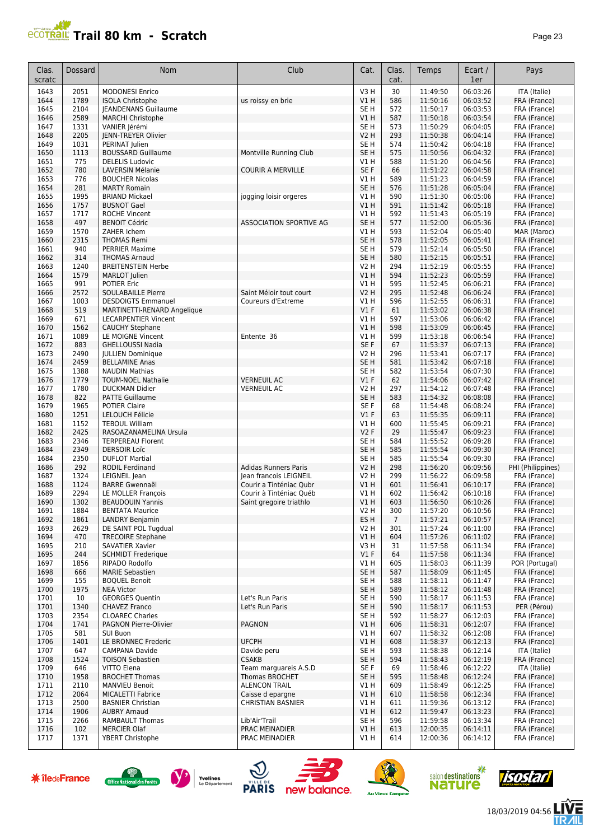

| Clas.<br>scratc | Dossard      | Nom                                              | Club                        | Cat.                               | Clas.<br>cat.   | Temps                | Ecart /<br>1er       | Pays                         |
|-----------------|--------------|--------------------------------------------------|-----------------------------|------------------------------------|-----------------|----------------------|----------------------|------------------------------|
| 1643            | 2051         | <b>MODONESI Enrico</b>                           |                             | V <sub>3</sub> H                   | 30              | 11:49:50             | 06:03:26             | ITA (Italie)                 |
| 1644            | 1789         | <b>ISOLA Christophe</b>                          | us roissy en brie           | V1H                                | 586             | 11:50:16             | 06:03:52             | FRA (France)                 |
| 1645            | 2104         | <b>JEANDENANS Guillaume</b>                      |                             | SE <sub>H</sub>                    | 572             | 11:50:17             | 06:03:53             | FRA (France)                 |
| 1646            | 2589         | <b>MARCHI Christophe</b>                         |                             | V1H                                | 587             | 11:50:18             | 06:03:54             | FRA (France)                 |
| 1647            | 1331         | VANIER Jérémi                                    |                             | SE <sub>H</sub>                    | 573             | 11:50:29             | 06:04:05             | FRA (France)                 |
| 1648            | 2205         | <b>IENN-TREYER Olivier</b>                       |                             | <b>V2 H</b>                        | 293             | 11:50:38             | 06:04:14             | FRA (France)                 |
| 1649            | 1031         | PERINAT Julien                                   |                             | SE <sub>H</sub>                    | 574             | 11:50:42             | 06:04:18             | FRA (France)                 |
| 1650            | 1113         | <b>BOUSSARD Guillaume</b>                        | Montville Running Club      | SE <sub>H</sub>                    | 575             | 11:50:56             | 06:04:32             | FRA (France)                 |
| 1651            | 775          | <b>DELELIS Ludovic</b>                           |                             | V1 H                               | 588             | 11:51:20             | 06:04:56             | FRA (France)                 |
| 1652            | 780          | <b>LAVERSIN Mélanie</b>                          | <b>COURIR A MERVILLE</b>    | SE F                               | 66              | 11:51:22             | 06:04:58             | FRA (France)                 |
| 1653            | 776          | <b>BOUCHER Nicolas</b>                           |                             | V1H                                | 589             | 11:51:23             | 06:04:59             | FRA (France)                 |
| 1654            | 281          | <b>MARTY Romain</b>                              |                             | SE <sub>H</sub>                    | 576             | 11:51:28             | 06:05:04             | FRA (France)                 |
| 1655<br>1656    | 1995         | <b>BRIAND Mickael</b>                            | jogging loisir orgeres      | V1H                                | 590<br>591      | 11:51:30<br>11:51:42 | 06:05:06<br>06:05:18 | FRA (France)                 |
| 1657            | 1757<br>1717 | <b>BUSNOT Gael</b><br><b>ROCHE Vincent</b>       |                             | <b>V1 H</b><br>V1H                 | 592             | 11:51:43             | 06:05:19             | FRA (France)<br>FRA (France) |
| 1658            | 497          | <b>BENOIT Cédric</b>                             | ASSOCIATION SPORTIVE AG     | SE <sub>H</sub>                    | 577             | 11:52:00             | 06:05:36             | FRA (France)                 |
| 1659            | 1570         | ZAHER Ichem                                      |                             | V1 H                               | 593             | 11:52:04             | 06:05:40             | MAR (Maroc)                  |
| 1660            | 2315         | <b>THOMAS Remi</b>                               |                             | SE <sub>H</sub>                    | 578             | 11:52:05             | 06:05:41             | FRA (France)                 |
| 1661            | 940          | <b>PERRIER Maxime</b>                            |                             | SE <sub>H</sub>                    | 579             | 11:52:14             | 06:05:50             | FRA (France)                 |
| 1662            | 314          | <b>THOMAS Arnaud</b>                             |                             | SE <sub>H</sub>                    | 580             | 11:52:15             | 06:05:51             | FRA (France)                 |
| 1663            | 1240         | <b>BREITENSTEIN Herbe</b>                        |                             | V2 H                               | 294             | 11:52:19             | 06:05:55             | FRA (France)                 |
| 1664            | 1579         | MARLOT Julien                                    |                             | V1 H                               | 594             | 11:52:23             | 06:05:59             | FRA (France)                 |
| 1665            | 991          | <b>POTIER Eric</b>                               |                             | V1 H                               | 595             | 11:52:45             | 06:06:21             | FRA (France)                 |
| 1666            | 2572         | SOULABAILLE Pierre                               | Saint Méloir tout court     | <b>V2 H</b>                        | 295             | 11:52:48             | 06:06:24             | FRA (France)                 |
| 1667            | 1003         | <b>DESDOIGTS Emmanuel</b>                        | Coureurs d'Extreme          | V1 H                               | 596             | 11:52:55             | 06:06:31             | FRA (France)                 |
| 1668            | 519          | MARTINETTI-RENARD Angelique                      |                             | $VI$ F                             | 61              | 11:53:02             | 06:06:38             | FRA (France)                 |
| 1669            | 671          | <b>LECARPENTIER Vincent</b>                      |                             | V1 H                               | 597             | 11:53:06             | 06:06:42             | FRA (France)                 |
| 1670            | 1562         | <b>CAUCHY Stephane</b>                           |                             | V1H                                | 598             | 11:53:09             | 06:06:45             | FRA (France)                 |
| 1671            | 1089         | LE MOIGNE Vincent                                | Entente 36                  | V1H                                | 599             | 11:53:18             | 06:06:54             | FRA (France)                 |
| 1672            | 883          | <b>GHELLOUSSI Nadia</b>                          |                             | SE F                               | 67              | 11:53:37             | 06:07:13             | FRA (France)                 |
| 1673            | 2490         | <b>IULLIEN Dominique</b>                         |                             | <b>V2 H</b>                        | 296             | 11:53:41             | 06:07:17             | FRA (France)                 |
| 1674            | 2459         | <b>BELLAMINE Anas</b>                            |                             | SE <sub>H</sub>                    | 581             | 11:53:42             | 06:07:18             | FRA (France)                 |
| 1675            | 1388         | <b>NAUDIN Mathias</b>                            |                             | SE <sub>H</sub>                    | 582             | 11:53:54             | 06:07:30             | FRA (France)                 |
| 1676            | 1779         | <b>TOUM-NOEL Nathalie</b>                        | <b>VERNEUIL AC</b>          | $VI$ F                             | 62              | 11:54:06             | 06:07:42             | FRA (France)                 |
| 1677            | 1780         | <b>DUCKMAN Didier</b>                            | <b>VERNEUIL AC</b>          | <b>V2 H</b>                        | 297             | 11:54:12             | 06:07:48             | FRA (France)                 |
| 1678            | 822          | <b>PATTE Guillaume</b>                           |                             | SE <sub>H</sub>                    | 583             | 11:54:32             | 06:08:08             | FRA (France)                 |
| 1679            | 1965         | <b>POTIER Claire</b>                             |                             | SE <sub>F</sub>                    | 68              | 11:54:48             | 06:08:24             | FRA (France)                 |
| 1680            | 1251         | <b>LELOUCH Félicie</b>                           |                             | $VI$ F                             | 63              | 11:55:35             | 06:09:11             | FRA (France)                 |
| 1681            | 1152         | <b>TEBOUL William</b>                            |                             | V1 H                               | 600             | 11:55:45             | 06:09:21             | FRA (France)                 |
| 1682            | 2425         | RASOAZANAMELINA Ursula                           |                             | <b>V2F</b>                         | 29              | 11:55:47             | 06:09:23             | FRA (France)                 |
| 1683<br>1684    | 2346<br>2349 | <b>TERPEREAU Florent</b><br><b>DERSOIR Loïc</b>  |                             | SE <sub>H</sub><br>SE <sub>H</sub> | 584<br>585      | 11:55:52<br>11:55:54 | 06:09:28<br>06:09:30 | FRA (France)                 |
| 1684            | 2350         | <b>DUFLOT Martial</b>                            |                             | SE <sub>H</sub>                    | 585             | 11:55:54             | 06:09:30             | FRA (France)<br>FRA (France) |
| 1686            | 292          | RODIL Ferdinand                                  | <b>Adidas Runners Paris</b> | V2 H                               | 298             | 11:56:20             | 06:09:56             | PHI (Philippines)            |
| 1687            | 1324         | LEIGNEIL Jean                                    | Jean francois LEIGNEIL      | <b>V2 H</b>                        | 299             | 11:56:22             | 06:09:58             | FRA (France)                 |
| 1688            | 1124         | <b>BARRE Gwennaël</b>                            | Courir a Tinténiac Qubr     | V1 H                               | 601             | 11:56:41             | 06:10:17             | FRA (France)                 |
| 1689            | 2294         | LE MOLLER François                               | Courir à Tinténiac Québ     | V1 H                               | 602             | 11:56:42             | 06:10:18             | FRA (France)                 |
| 1690            | 1302         | <b>BEAUDOUIN Yannis</b>                          | Saint gregoire triathlo     | VIH                                | 603             | 11:56:50             | 06:10:26             | FRA (France)                 |
| 1691            | 1884         | <b>BENTATA Maurice</b>                           |                             | V2 H                               | 300             | 11:57:20             | 06:10:56             | FRA (France)                 |
| 1692            | 1861         | <b>LANDRY Benjamin</b>                           |                             | ES H                               | $7\overline{ }$ | 11:57:21             | 06:10:57             | FRA (France)                 |
| 1693            | 2629         | DE SAINT POL Tugdual                             |                             | V2 H                               | 301             | 11:57:24             | 06:11:00             | FRA (France)                 |
| 1694            | 470          | <b>TRECOIRE Stephane</b>                         |                             | V1H                                | 604             | 11:57:26             | 06:11:02             | FRA (France)                 |
| 1695            | 210          | <b>SAVATIER Xavier</b>                           |                             | V3H                                | 31              | 11:57:58             | 06:11:34             | FRA (France)                 |
| 1695            | 244          | <b>SCHMIDT Frederique</b>                        |                             | $VI$ F                             | 64              | 11:57:58             | 06:11:34             | FRA (France)                 |
| 1697            | 1856         | RIPADO Rodolfo                                   |                             | V1 H                               | 605             | 11:58:03             | 06:11:39             | POR (Portugal)               |
| 1698            | 666          | <b>MARIE Sebastien</b>                           |                             | SE H                               | 587             | 11:58:09             | 06:11:45             | FRA (France)                 |
| 1699            | 155          | <b>BOOUEL Benoit</b>                             |                             | SE H                               | 588             | 11:58:11             | 06:11:47             | FRA (France)                 |
| 1700            | 1975         | <b>NEA Victor</b>                                |                             | SE H                               | 589             | 11:58:12             | 06:11:48             | FRA (France)                 |
| 1701            | 10           | <b>GEORGES Quentin</b>                           | Let's Run Paris             | SE H                               | 590             | 11:58:17             | 06:11:53             | FRA (France)                 |
| 1701            | 1340         | <b>CHAVEZ Franco</b>                             | Let's Run Paris             | SE H                               | 590             | 11:58:17             | 06:11:53             | PER (Pérou)                  |
| 1703            | 2354         | <b>CLOAREC Charles</b>                           |                             | SE H                               | 592             | 11:58:27             | 06:12:03             | FRA (France)                 |
| 1704            | 1741         | PAGNON Pierre-Olivier                            | <b>PAGNON</b>               | V1H                                | 606             | 11:58:31             | 06:12:07             | FRA (France)                 |
| 1705            | 581          | <b>SUI Buon</b>                                  |                             | V1 H                               | 607             | 11:58:32             | 06:12:08             | FRA (France)                 |
| 1706            | 1401         | LE BRONNEC Frederic                              | <b>UFCPH</b>                | V1H                                | 608             | 11:58:37             | 06:12:13             | FRA (France)                 |
| 1707<br>1708    | 647<br>1524  | <b>CAMPANA Davide</b><br><b>TOISON Sebastien</b> | Davide peru<br><b>CSAKB</b> | SE H<br>SE H                       | 593<br>594      | 11:58:38<br>11:58:43 | 06:12:14<br>06:12:19 | ITA (Italie)<br>FRA (France) |
| 1709            | 646          | VITTO Elena                                      | Team marguareis A.S.D       | SE F                               | 69              | 11:58:46             | 06:12:22             | ITA (Italie)                 |
| 1710            | 1958         | <b>BROCHET Thomas</b>                            | Thomas BROCHET              | SE H                               | 595             | 11:58:48             | 06:12:24             | FRA (France)                 |
| 1711            | 2110         | <b>MANVIEU Benoit</b>                            | <b>ALENCON TRAIL</b>        | V1 H                               | 609             | 11:58:49             | 06:12:25             | FRA (France)                 |
| 1712            | 2064         | <b>MICALETTI Fabrice</b>                         | Caisse d epargne            | V1 H                               | 610             | 11:58:58             | 06:12:34             | FRA (France)                 |
| 1713            | 2500         | <b>BASNIER Christian</b>                         | <b>CHRISTIAN BASNIER</b>    | V1 H                               | 611             | 11:59:36             | 06:13:12             | FRA (France)                 |
| 1714            | 1906         | <b>AUBRY Arnaud</b>                              |                             | V1H                                | 612             | 11:59:47             | 06:13:23             | FRA (France)                 |
| 1715            | 2266         | <b>RAMBAULT Thomas</b>                           | Lib'Air'Trail               | SE H                               | 596             | 11:59:58             | 06:13:34             | FRA (France)                 |
| 1716            | 102          | <b>MERCIER Olaf</b>                              | PRAC MEINADIER              | V1H                                | 613             | 12:00:35             | 06:14:11             | FRA (France)                 |
| 1717            | 1371         | <b>YBERT Christophe</b>                          | PRAC MEINADIER              | V1 H                               | 614             | 12:00:36             | 06:14:12             | FRA (France)                 |

















信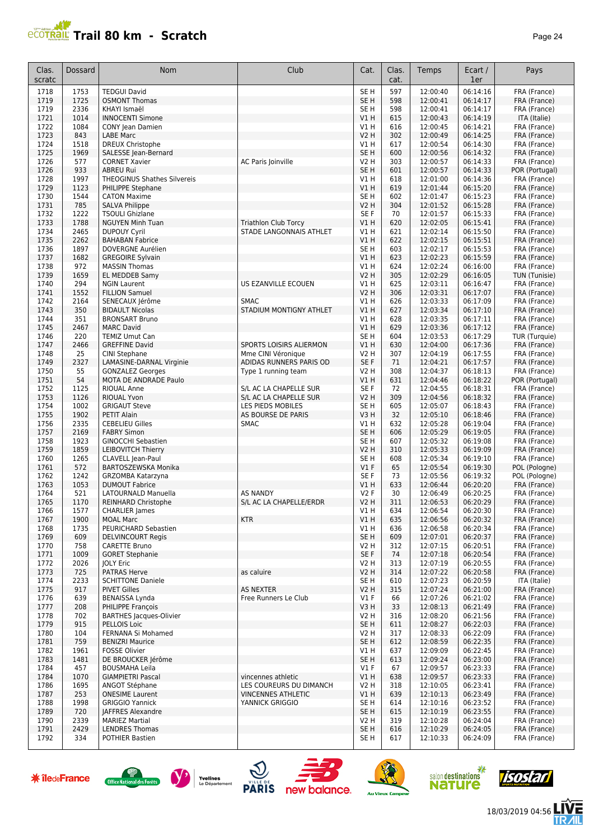

| Clas.<br>scratc | Dossard      | Nom                                                    | Club                        | Cat.                    | Clas.<br>cat. | Temps                | Ecart /<br>1er       | Pays                         |
|-----------------|--------------|--------------------------------------------------------|-----------------------------|-------------------------|---------------|----------------------|----------------------|------------------------------|
| 1718            | 1753         | <b>TEDGUI David</b>                                    |                             | SE <sub>H</sub>         | 597           | 12:00:40             | 06:14:16             | FRA (France)                 |
| 1719            | 1725         | <b>OSMONT Thomas</b>                                   |                             | SE <sub>H</sub>         | 598           | 12:00:41             | 06:14:17             | FRA (France)                 |
| 1719            | 2336         | KHAYI Ismaël                                           |                             | SE <sub>H</sub>         | 598           | 12:00:41             | 06:14:17             | FRA (France)                 |
| 1721            | 1014         | <b>INNOCENTI Simone</b>                                |                             | V1H                     | 615           | 12:00:43             | 06:14:19             | ITA (Italie)                 |
| 1722            | 1084         | CONY Jean Damien                                       |                             | V1H                     | 616           | 12:00:45             | 06:14:21             | FRA (France)                 |
| 1723            | 843          | <b>LABE Marc</b>                                       |                             | <b>V2 H</b>             | 302           | 12:00:49             | 06:14:25             | FRA (France)                 |
| 1724            | 1518         | <b>DREUX Christophe</b>                                |                             | V1H                     | 617           | 12:00:54             | 06:14:30             | FRA (France)                 |
| 1725            | 1969         | SALESSE Jean-Bernard                                   |                             | SE <sub>H</sub>         | 600           | 12:00:56             | 06:14:32             | FRA (France)                 |
| 1726            | 577          | <b>CORNET Xavier</b>                                   | AC Paris Joinville          | <b>V2 H</b>             | 303           | 12:00:57             | 06:14:33             | FRA (France)                 |
| 1726            | 933          | <b>ABREU Rui</b><br><b>THEOGINUS Shathes Silvereis</b> |                             | SE <sub>H</sub>         | 601           | 12:00:57             | 06:14:33             | POR (Portugal)               |
| 1728<br>1729    | 1997<br>1123 | PHILIPPE Stephane                                      |                             | V1H<br>V1H              | 618<br>619    | 12:01:00<br>12:01:44 | 06:14:36<br>06:15:20 | FRA (France)<br>FRA (France) |
| 1730            | 1544         | <b>CATON Maxime</b>                                    |                             | SE <sub>H</sub>         | 602           | 12:01:47             | 06:15:23             | FRA (France)                 |
| 1731            | 785          | <b>SALVA Philippe</b>                                  |                             | <b>V2 H</b>             | 304           | 12:01:52             | 06:15:28             | FRA (France)                 |
| 1732            | 1222         | <b>TSOULI Ghizlane</b>                                 |                             | SE F                    | 70            | 12:01:57             | 06:15:33             | FRA (France)                 |
| 1733            | 1788         | <b>NGUYEN Minh Tuan</b>                                | <b>Triathlon Club Torcy</b> | V1H                     | 620           | 12:02:05             | 06:15:41             | FRA (France)                 |
| 1734            | 2465         | <b>DUPOUY Cyril</b>                                    | STADE LANGONNAIS ATHLET     | V1 H                    | 621           | 12:02:14             | 06:15:50             | FRA (France)                 |
| 1735            | 2262         | <b>BAHABAN Fabrice</b>                                 |                             | VIH                     | 622           | 12:02:15             | 06:15:51             | FRA (France)                 |
| 1736            | 1897         | DOVERGNE Aurélien                                      |                             | SE <sub>H</sub>         | 603           | 12:02:17             | 06:15:53             | FRA (France)                 |
| 1737            | 1682         | <b>GREGOIRE Sylvain</b>                                |                             | V1 H                    | 623           | 12:02:23             | 06:15:59             | FRA (France)                 |
| 1738            | 972          | <b>MASSIN Thomas</b>                                   |                             | V1 H                    | 624           | 12:02:24             | 06:16:00             | FRA (France)                 |
| 1739            | 1659         | EL MEDDEB Samy                                         |                             | <b>V2 H</b>             | 305           | 12:02:29             | 06:16:05             | TUN (Tunisie)                |
| 1740            | 294          | <b>NGIN Laurent</b>                                    | US EZANVILLE ECOUEN         | V1 H                    | 625           | 12:03:11             | 06:16:47             | FRA (France)                 |
| 1741            | 1552         | <b>FILLION Samuel</b>                                  |                             | <b>V2 H</b>             | 306           | 12:03:31             | 06:17:07             | FRA (France)                 |
| 1742            | 2164         | SENECAUX Jérôme                                        | <b>SMAC</b>                 | V1 H                    | 626           | 12:03:33<br>12:03:34 | 06:17:09<br>06:17:10 | FRA (France)                 |
| 1743<br>1744    | 350<br>351   | <b>BIDAULT Nicolas</b><br><b>BRONSART Bruno</b>        | STADIUM MONTIGNY ATHLET     | V1H<br>V1H              | 627<br>628    | 12:03:35             | 06:17:11             | FRA (France)<br>FRA (France) |
| 1745            | 2467         | <b>MARC David</b>                                      |                             | V1H                     | 629           | 12:03:36             | 06:17:12             | FRA (France)                 |
| 1746            | 220          | <b>TEMIZ Umut Can</b>                                  |                             | SE <sub>H</sub>         | 604           | 12:03:53             | 06:17:29             | TUR (Turquie)                |
| 1747            | 2466         | <b>GREFFINE David</b>                                  | SPORTS LOISIRS ALIERMON     | V1H                     | 630           | 12:04:00             | 06:17:36             | FRA (France)                 |
| 1748            | 25           | CINI Stephane                                          | Mme CINI Véronique          | <b>V2 H</b>             | 307           | 12:04:19             | 06:17:55             | FRA (France)                 |
| 1749            | 2327         | LAMASINE-DARNAL Virginie                               | ADIDAS RUNNERS PARIS OD     | SE F                    | 71            | 12:04:21             | 06:17:57             | FRA (France)                 |
| 1750            | 55           | <b>GONZALEZ Georges</b>                                | Type 1 running team         | V2 H                    | 308           | 12:04:37             | 06:18:13             | FRA (France)                 |
| 1751            | 54           | MOTA DE ANDRADE Paulo                                  |                             | VIH                     | 631           | 12:04:46             | 06:18:22             | POR (Portugal)               |
| 1752            | 1125         | <b>RIOUAL Anne</b>                                     | S/L AC LA CHAPELLE SUR      | SE F                    | 72            | 12:04:55             | 06:18:31             | FRA (France)                 |
| 1753            | 1126         | <b>RIOUAL Yvon</b>                                     | S/L AC LA CHAPELLE SUR      | <b>V2 H</b>             | 309           | 12:04:56             | 06:18:32             | FRA (France)                 |
| 1754            | 1002         | <b>GRIGAUT Steve</b>                                   | LES PIEDS MOBILES           | SE <sub>H</sub>         | 605           | 12:05:07             | 06:18:43             | FRA (France)                 |
| 1755            | 1902         | PETIT Alain                                            | AS BOURSE DE PARIS          | V3H                     | 32            | 12:05:10             | 06:18:46             | FRA (France)<br>FRA (France) |
| 1756<br>1757    | 2335<br>2169 | <b>CEBELIEU Gilles</b><br><b>FABRY Simon</b>           | <b>SMAC</b>                 | V1H<br>SE <sub>H</sub>  | 632<br>606    | 12:05:28<br>12:05:29 | 06:19:04<br>06:19:05 | FRA (France)                 |
| 1758            | 1923         | <b>GINOCCHI Sebastien</b>                              |                             | SE <sub>H</sub>         | 607           | 12:05:32             | 06:19:08             | FRA (France)                 |
| 1759            | 1859         | <b>LEIBOVITCH Thierry</b>                              |                             | <b>V2 H</b>             | 310           | 12:05:33             | 06:19:09             | FRA (France)                 |
| 1760            | 1265         | CLAVELL Jean-Paul                                      |                             | SE <sub>H</sub>         | 608           | 12:05:34             | 06:19:10             | FRA (France)                 |
| 1761            | 572          | BARTOSZEWSKA Monika                                    |                             | $VI$ F                  | 65            | 12:05:54             | 06:19:30             | POL (Pologne)                |
| 1762            | 1242         | GRZOMBA Katarzyna                                      |                             | SE F                    | 73            | 12:05:56             | 06:19:32             | POL (Pologne)                |
| 1763            | 1053         | <b>DUMOUT Fabrice</b>                                  |                             | V1 H                    | 633           | 12:06:44             | 06:20:20             | FRA (France)                 |
| 1764            | 521          | LATOURNALD Manuella                                    | <b>AS NANDY</b>             | <b>V2F</b>              | 30            | 12:06:49             | 06:20:25             | FRA (France)                 |
| 1765            | 1170         | REINHARD Christophe                                    | S/L AC LA CHAPELLE/ERDR     | V2 H                    | 311           | 12:06:53             | 06:20:29             | FRA (France)                 |
| 1/66            | 1577         | <b>CHARLIER James</b>                                  |                             | V1 H                    | 634           | 12:06:54             | 06:20:30             | FRA (France)                 |
| 1767            | 1900         | <b>MOAL Marc</b>                                       | <b>KTR</b>                  | V1H                     | 635           | 12:06:56             | 06:20:32             | FRA (France)                 |
| 1768<br>1769    | 1735<br>609  | PEURICHARD Sebastien<br><b>DELVINCOURT Regis</b>       |                             | V1 H<br>SE <sub>H</sub> | 636<br>609    | 12:06:58<br>12:07:01 | 06:20:34<br>06:20:37 | FRA (France)<br>FRA (France) |
| 1770            | 758          | CARETTE Bruno                                          |                             | V2 H                    | 312           | 12:07:15             | 06:20:51             | FRA (France)                 |
| 1771            | 1009         | <b>GORET Stephanie</b>                                 |                             | SE F                    | 74            | 12:07:18             | 06:20:54             | FRA (France)                 |
| 1772            | 2026         | <b>JOLY Eric</b>                                       |                             | V2 H                    | 313           | 12:07:19             | 06:20:55             | FRA (France)                 |
| 1773            | 725          | <b>PATRAS Herve</b>                                    | as caluire                  | <b>V2 H</b>             | 314           | 12:07:22             | 06:20:58             | FRA (France)                 |
| 1774            | 2233         | <b>SCHITTONE Daniele</b>                               |                             | SE H                    | 610           | 12:07:23             | 06:20:59             | ITA (Italie)                 |
| 1775            | 917          | <b>PIVET Gilles</b>                                    | <b>AS NEXTER</b>            | V2 H                    | 315           | 12:07:24             | 06:21:00             | FRA (France)                 |
| 1776            | 639          | <b>BENAISSA Lynda</b>                                  | Free Runners Le Club        | $VI$ F                  | 66            | 12:07:26             | 06:21:02             | FRA (France)                 |
| 1777            | 208          | PHILIPPE François                                      |                             | V3H                     | 33            | 12:08:13             | 06:21:49             | FRA (France)                 |
| 1778            | 702          | <b>BARTHES Jacques-Olivier</b>                         |                             | <b>V2 H</b>             | 316           | 12:08:20             | 06:21:56             | FRA (France)                 |
| 1779            | 915          | PELLOIS Loic                                           |                             | SE <sub>H</sub>         | 611           | 12:08:27             | 06:22:03             | FRA (France)                 |
| 1780            | 104          | FERNANA Si Mohamed                                     |                             | V2 H                    | 317           | 12:08:33             | 06:22:09             | FRA (France)                 |
| 1781<br>1782    | 759<br>1961  | <b>BENIZRI Maurice</b><br><b>FOSSE Olivier</b>         |                             | SE H<br>V1 H            | 612<br>637    | 12:08:59<br>12:09:09 | 06:22:35<br>06:22:45 | FRA (France)<br>FRA (France) |
| 1783            | 1481         | DE BROUCKER Jérôme                                     |                             | SE H                    | 613           | 12:09:24             | 06:23:00             | FRA (France)                 |
| 1784            | 457          | <b>BOUSMAHA Leila</b>                                  |                             | $VI$ F                  | 67            | 12:09:57             | 06:23:33             | FRA (France)                 |
| 1784            | 1070         | <b>GIAMPIETRI Pascal</b>                               | vincennes athletic          | VIH                     | 638           | 12:09:57             | 06:23:33             | FRA (France)                 |
| 1786            | 1695         | ANGOT Stéphane                                         | LES COUREURS DU DIMANCH     | V2 H                    | 318           | 12:10:05             | 06:23:41             | FRA (France)                 |
| 1787            | 253          | <b>ONESIME Laurent</b>                                 | <b>VINCENNES ATHLETIC</b>   | V1 H                    | 639           | 12:10:13             | 06:23:49             | FRA (France)                 |
| 1788            | 1998         | <b>GRIGGIO Yannick</b>                                 | YANNICK GRIGGIO             | SE H                    | 614           | 12:10:16             | 06:23:52             | FRA (France)                 |
| 1789            | 720          | JAFFRES Alexandre                                      |                             | SE H                    | 615           | 12:10:19             | 06:23:55             | FRA (France)                 |
| 1790            | 2339         | <b>MARIEZ Martial</b>                                  |                             | <b>V2 H</b>             | 319           | 12:10:28             | 06:24:04             | FRA (France)                 |
| 1791            | 2429         | <b>LENDRES Thomas</b>                                  |                             | SE <sub>H</sub>         | 616           | 12:10:29             | 06:24:05             | FRA (France)                 |
| 1792            | 334          | <b>POTHIER Bastien</b>                                 |                             | SE H                    | 617           | 12:10:33             | 06:24:09             | FRA (France)                 |















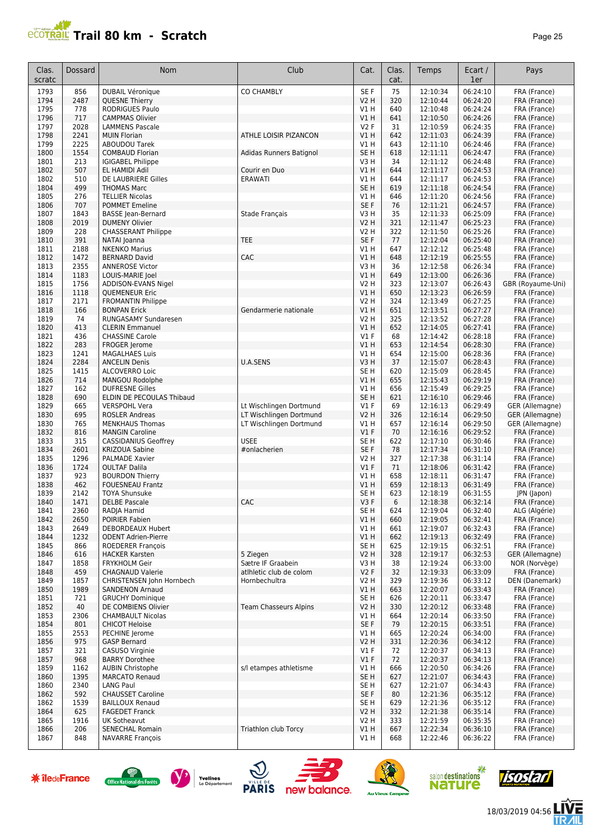## **PCOTRAIL Trail 80 km - Scratch Page 25**

| Clas.<br>scratc | Dossard      | <b>Nom</b>                                          | Club                         | Cat.                    | Clas.<br>cat. | Temps                | Ecart /<br>1er       | Pays                           |
|-----------------|--------------|-----------------------------------------------------|------------------------------|-------------------------|---------------|----------------------|----------------------|--------------------------------|
| 1793            | 856          | <b>DUBAIL Véronique</b>                             | <b>CO CHAMBLY</b>            | SE F                    | 75            | 12:10:34             | 06:24:10             | FRA (France)                   |
| 1794            | 2487         | <b>QUESNE Thierry</b>                               |                              | <b>V2 H</b>             | 320           | 12:10:44             | 06:24:20             | FRA (France)                   |
| 1795            | 778          | <b>RODRIGUES Paulo</b>                              |                              | V1 H                    | 640           | 12:10:48             | 06:24:24             | FRA (France)                   |
| 1796            | 717          | <b>CAMPMAS Olivier</b>                              |                              | VIH                     | 641           | 12:10:50             | 06:24:26             | FRA (France)                   |
| 1797<br>1798    | 2028<br>2241 | <b>LAMMENS Pascale</b><br><b>MUIN Florian</b>       | ATHLE LOISIR PIZANCON        | <b>V2F</b><br>V1 H      | 31<br>642     | 12:10:59<br>12:11:03 | 06:24:35<br>06:24:39 | FRA (France)<br>FRA (France)   |
| 1799            | 2225         | <b>ABOUDOU Tarek</b>                                |                              | V1 H                    | 643           | 12:11:10             | 06:24:46             | FRA (France)                   |
| 1800            | 1554         | <b>COMBAUD Florian</b>                              | Adidas Runners Batignol      | SE <sub>H</sub>         | 618           | 12:11:11             | 06:24:47             | FRA (France)                   |
| 1801            | 213          | <b>IGIGABEL Philippe</b>                            |                              | V3H                     | 34            | 12:11:12             | 06:24:48             | FRA (France)                   |
| 1802            | 507          | EL HAMIDI Adil                                      | Courir en Duo                | <b>V1 H</b>             | 644           | 12:11:17             | 06:24:53             | FRA (France)                   |
| 1802            | 510          | DE LAUBRIERE Gilles                                 | <b>ERAWATI</b>               | V1 H                    | 644           | 12:11:17             | 06:24:53             | FRA (France)                   |
| 1804<br>1805    | 499<br>276   | <b>THOMAS Marc</b>                                  |                              | SE <sub>H</sub><br>V1 H | 619           | 12:11:18<br>12:11:20 | 06:24:54<br>06:24:56 | FRA (France)<br>FRA (France)   |
| 1806            | 707          | <b>TELLIER Nicolas</b><br><b>POMMET Emeline</b>     |                              | SE F                    | 646<br>76     | 12:11:21             | 06:24:57             | FRA (France)                   |
| 1807            | 1843         | <b>BASSE</b> Jean-Bernard                           | Stade Français               | V3 H                    | 35            | 12:11:33             | 06:25:09             | FRA (France)                   |
| 1808            | 2019         | <b>DUMENY Olivier</b>                               |                              | V2 H                    | 321           | 12:11:47             | 06:25:23             | FRA (France)                   |
| 1809            | 228          | <b>CHASSERANT Philippe</b>                          |                              | V2 H                    | 322           | 12:11:50             | 06:25:26             | FRA (France)                   |
| 1810            | 391          | NATAI Joanna                                        | <b>TEE</b>                   | SE F                    | 77            | 12:12:04             | 06:25:40             | FRA (France)                   |
| 1811            | 2188         | <b>NKENKO Marius</b>                                |                              | V1 H                    | 647           | 12:12:12             | 06:25:48             | FRA (France)                   |
| 1812<br>1813    | 1472<br>2355 | <b>BERNARD David</b><br><b>ANNEROSE Victor</b>      | CAC                          | V1 H<br>V3H             | 648<br>36     | 12:12:19<br>12:12:58 | 06:25:55<br>06:26:34 | FRA (France)<br>FRA (France)   |
| 1814            | 1183         | LOUIS-MARIE Joel                                    |                              | V1H                     | 649           | 12:13:00             | 06:26:36             | FRA (France)                   |
| 1815            | 1756         | ADDISON-EVANS Nigel                                 |                              | V2 H                    | 323           | 12:13:07             | 06:26:43             | GBR (Royaume-Uni)              |
| 1816            | 1118         | <b>QUEMENEUR Eric</b>                               |                              | V1H                     | 650           | 12:13:23             | 06:26:59             | FRA (France)                   |
| 1817            | 2171         | <b>FROMANTIN Philippe</b>                           |                              | <b>V2 H</b>             | 324           | 12:13:49             | 06:27:25             | FRA (France)                   |
| 1818            | 166          | <b>BONPAN Erick</b>                                 | Gendarmerie nationale        | V1H                     | 651           | 12:13:51             | 06:27:27             | FRA (France)                   |
| 1819            | 74<br>413    | <b>RUNGASAMY Sundaresen</b>                         |                              | V2 H                    | 325<br>652    | 12:13:52             | 06:27:28             | FRA (France)                   |
| 1820<br>1821    | 436          | <b>CLERIN Emmanuel</b><br><b>CHASSINE Carole</b>    |                              | VIH<br>$VI$ F           | 68            | 12:14:05<br>12:14:42 | 06:27:41<br>06:28:18 | FRA (France)<br>FRA (France)   |
| 1822            | 283          | FROGER Jerome                                       |                              | V1 H                    | 653           | 12:14:54             | 06:28:30             | FRA (France)                   |
| 1823            | 1241         | <b>MAGALHAES Luis</b>                               |                              | V1 H                    | 654           | 12:15:00             | 06:28:36             | FRA (France)                   |
| 1824            | 2284         | <b>ANCELIN Denis</b>                                | U.A.SENS                     | V3H                     | 37            | 12:15:07             | 06:28:43             | FRA (France)                   |
| 1825            | 1415         | ALCOVERRO Loic                                      |                              | SE <sub>H</sub>         | 620           | 12:15:09             | 06:28:45             | FRA (France)                   |
| 1826            | 714          | <b>MANGOU Rodolphe</b>                              |                              | V1H                     | 655           | 12:15:43             | 06:29:19             | FRA (France)                   |
| 1827<br>1828    | 162<br>690   | <b>DUFRESNE Gilles</b><br>ELDIN DE PECOULAS Thibaud |                              | V1 H<br>SE <sub>H</sub> | 656<br>621    | 12:15:49<br>12:16:10 | 06:29:25<br>06:29:46 | FRA (France)<br>FRA (France)   |
| 1829            | 665          | <b>VERSPOHL Vera</b>                                | Lt Wischlingen Dortmund      | V1F                     | 69            | 12:16:13             | 06:29:49             | GER (Allemagne)                |
| 1830            | 695          | <b>ROSLER Andreas</b>                               | LT Wischlingen Dortmund      | <b>V2 H</b>             | 326           | 12:16:14             | 06:29:50             | GER (Allemagne)                |
| 1830            | 765          | <b>MENKHAUS Thomas</b>                              | LT Wischlingen Dortmund      | V1 H                    | 657           | 12:16:14             | 06:29:50             | GER (Allemagne)                |
| 1832            | 816          | <b>MANGIN Caroline</b>                              |                              | $VI$ F                  | 70            | 12:16:16             | 06:29:52             | FRA (France)                   |
| 1833            | 315          | <b>CASSIDANIUS Geoffrey</b>                         | <b>USEE</b>                  | SE <sub>H</sub>         | 622           | 12:17:10             | 06:30:46             | FRA (France)                   |
| 1834<br>1835    | 2601<br>1296 | <b>KRIZOUA Sabine</b><br><b>PALMADE Xavier</b>      | #onlacherien                 | SE <sub>F</sub><br>V2 H | 78<br>327     | 12:17:34<br>12:17:38 | 06:31:10<br>06:31:14 | FRA (France)                   |
| 1836            | 1724         | <b>OULTAF Dalila</b>                                |                              | $VI$ F                  | 71            | 12:18:06             | 06:31:42             | FRA (France)<br>FRA (France)   |
| 1837            | 923          | <b>BOURDON Thierry</b>                              |                              | V1H                     | 658           | 12:18:11             | 06:31:47             | FRA (France)                   |
| 1838            | 462          | <b>FOUESNEAU Frantz</b>                             |                              | V1H                     | 659           | 12:18:13             | 06:31:49             | FRA (France)                   |
| 1839            | 2142         | <b>TOYA Shunsuke</b>                                |                              | SE <sub>H</sub>         | 623           | 12:18:19             | 06:31:55             | JPN (Japon)                    |
| 1840            | 1471         | <b>DELBE Pascale</b>                                | <b>CAC</b>                   | V3F                     | 6             | 12:18:38             | 06:32:14             | FRA (France)                   |
| 1841<br>1842    | 2360<br>2650 | RADJA Hamid<br>POIRIER Fabien                       |                              | SE H<br>V1H             | 624<br>660    | 12:19:04<br>12:19:05 | 06:32:40<br>06:32:41 | ALG (Algérie)<br>FRA (France)  |
| 1843            | 2649         | <b>DEBORDEAUX Hubert</b>                            |                              | V1 H                    | 661           | 12:19:07             | 06:32:43             | FRA (France)                   |
| 1844            | 1232         | <b>ODENT Adrien-Pierre</b>                          |                              | V1 H                    | 662           | 12:19:13             | 06:32:49             | FRA (France)                   |
| 1845            | 866          | <b>ROEDERER François</b>                            |                              | SE H                    | 625           | 12:19:15             | 06:32:51             | FRA (France)                   |
| 1846            | 616          | <b>HACKER Karsten</b>                               | 5 Ziegen                     | V2 H                    | 328           | 12:19:17             | 06:32:53             | GER (Allemagne)                |
| 1847            | 1858         | <b>FRYKHOLM Geir</b>                                | Sætre IF Graabein            | V3 H                    | 38            | 12:19:24             | 06:33:00             | NOR (Norvège)                  |
| 1848            | 459          | <b>CHAGNAUD Valerie</b>                             | atlhletic club de colom      | V2F                     | 32            | 12:19:33             | 06:33:09             | FRA (France)                   |
| 1849<br>1850    | 1857<br>1989 | CHRISTENSEN John Hornbech<br><b>SANDENON Arnaud</b> | Hornbechultra                | V2 H<br>VIH             | 329<br>663    | 12:19:36<br>12:20:07 | 06:33:12<br>06:33:43 | DEN (Danemark)<br>FRA (France) |
| 1851            | 721          | <b>GRUCHY Dominique</b>                             |                              | SE H                    | 626           | 12:20:11             | 06:33:47             | FRA (France)                   |
| 1852            | 40           | DE COMBIENS Olivier                                 | <b>Team Chasseurs Alpins</b> | <b>V2 H</b>             | 330           | 12:20:12             | 06:33:48             | FRA (France)                   |
| 1853            | 2306         | <b>CHAMBAULT Nicolas</b>                            |                              | V1 H                    | 664           | 12:20:14             | 06:33:50             | FRA (France)                   |
| 1854            | 801          | <b>CHICOT Heloise</b>                               |                              | SE F                    | 79            | 12:20:15             | 06:33:51             | FRA (France)                   |
| 1855            | 2553         | PECHINE Jerome                                      |                              | V1 H                    | 665           | 12:20:24             | 06:34:00             | FRA (France)                   |
| 1856<br>1857    | 975<br>321   | <b>GASP Bernard</b><br>CASUSO Virginie              |                              | V2 H<br>$VI$ F          | 331<br>72     | 12:20:36<br>12:20:37 | 06:34:12<br>06:34:13 | FRA (France)<br>FRA (France)   |
| 1857            | 968          | <b>BARRY Dorothee</b>                               |                              | $VI$ F                  | 72            | 12:20:37             | 06:34:13             | FRA (France)                   |
| 1859            | 1162         | <b>AUBIN Christophe</b>                             | s/l etampes athletisme       | V1 H                    | 666           | 12:20:50             | 06:34:26             | FRA (France)                   |
| 1860            | 1395         | <b>MARCATO Renaud</b>                               |                              | SE H                    | 627           | 12:21:07             | 06:34:43             | FRA (France)                   |
| 1860            | 2340         | <b>LANG Paul</b>                                    |                              | SE H                    | 627           | 12:21:07             | 06:34:43             | FRA (France)                   |
| 1862            | 592          | <b>CHAUSSET Caroline</b>                            |                              | SE F                    | 80            | 12:21:36             | 06:35:12             | FRA (France)                   |
| 1862            | 1539         | <b>BAILLOUX Renaud</b>                              |                              | SE <sub>H</sub>         | 629           | 12:21:36             | 06:35:12             | FRA (France)                   |
| 1864<br>1865    | 625<br>1916  | <b>FAGEDET Franck</b><br>UK Sotheavut               |                              | V2 H<br>V2 H            | 332<br>333    | 12:21:38<br>12:21:59 | 06:35:14<br>06:35:35 | FRA (France)<br>FRA (France)   |
| 1866            | 206          | <b>SENECHAL Romain</b>                              | Triathlon club Torcy         | VIH                     | 667           | 12:22:34             | 06:36:10             | FRA (France)                   |
| 1867            | 848          | <b>NAVARRE François</b>                             |                              | V1 H                    | 668           | 12:22:46             | 06:36:22             | FRA (France)                   |
|                 |              |                                                     |                              |                         |               |                      |                      |                                |















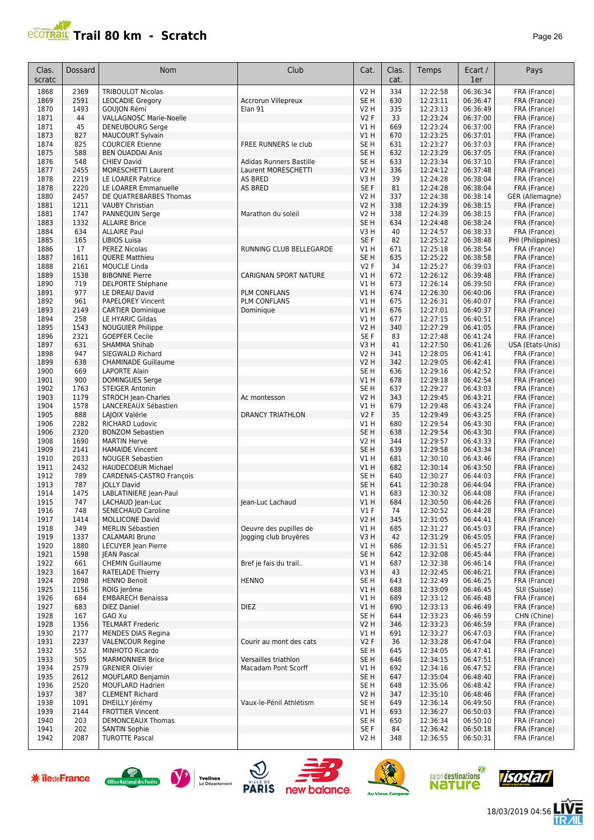# **PROTRAIL Trail 80 km - Scratch**

| age | r<br>n |
|-----|--------|
|-----|--------|

| Clas.<br>scratc | Dossard      | Nom                                               | Club                                        | Cat.                    | Clas.<br>cat. | Temps                | Ecart /<br>1er       | Pays                         |
|-----------------|--------------|---------------------------------------------------|---------------------------------------------|-------------------------|---------------|----------------------|----------------------|------------------------------|
| 1868            | 2369         | <b>TRIBOULOT Nicolas</b>                          |                                             | V2 H                    | 334           | 12:22:58             | 06:36:34             | FRA (France)                 |
| 1869            | 2591         | <b>LEOCADIE Gregory</b>                           | <b>Accrorun Villepreux</b>                  | SE <sub>H</sub>         | 630           | 12:23:11             | 06:36:47             | FRA (France)                 |
| 1870            | 1493         | GOUJON Rémi                                       | Elan 91                                     | V2H                     | 335           | 12:23:13             | 06:36:49             | FRA (France)                 |
| 1871            | 44           | <b>VALLAGNOSC Marie-Noelle</b>                    |                                             | V2F                     | 33            | 12:23:24             | 06:37:00             | FRA (France)                 |
| 1871            | 45           | <b>DENEUBOURG Serge</b>                           |                                             | V1 H                    | 669           | 12:23:24             | 06:37:00             | FRA (France)                 |
| 1873<br>1874    | 827<br>825   | MAUCOURT Sylvain<br><b>COURCIER Etienne</b>       | FREE RUNNERS le club                        | V1H<br>SE <sub>H</sub>  | 670<br>631    | 12:23:25<br>12:23:27 | 06:37:01<br>06:37:03 | FRA (France)<br>FRA (France) |
| 1875            | 588          | <b>BEN OUADDAI Anis</b>                           |                                             | SE <sub>H</sub>         | 632           | 12:23:29             | 06:37:05             | FRA (France)                 |
| 1876            | 548          | <b>CHIEV David</b>                                | Adidas Runners Bastille                     | SE <sub>H</sub>         | 633           | 12:23:34             | 06:37:10             | FRA (France)                 |
| 1877            | 2455         | <b>MORESCHETTI Laurent</b>                        | Laurent MORESCHETTI                         | <b>V2 H</b>             | 336           | 12:24:12             | 06:37:48             | FRA (France)                 |
| 1878            | 2219         | LE LOARER Patrice                                 | <b>AS BRED</b>                              | V3H                     | 39            | 12:24:28             | 06:38:04             | FRA (France)                 |
| 1878            | 2220         | LE LOARER Emmanuelle                              | <b>AS BRED</b>                              | SE F                    | 81            | 12:24:28             | 06:38:04             | FRA (France)                 |
| 1880            | 2457         | DE OUATREBARBES Thomas                            |                                             | V2 H                    | 337           | 12:24:38             | 06:38:14             | GER (Allemagne)              |
| 1881            | 1211         | <b>VAUBY Christian</b>                            |                                             | <b>V2 H</b>             | 338           | 12:24:39             | 06:38:15             | FRA (France)                 |
| 1881<br>1883    | 1747<br>1332 | PANNEQUIN Serge<br><b>ALLAIRE Brice</b>           | Marathon du soleil                          | V2 H<br>SE <sub>H</sub> | 338<br>634    | 12:24:39<br>12:24:48 | 06:38:15<br>06:38:24 | FRA (France)<br>FRA (France) |
| 1884            | 634          | <b>ALLAIRE Paul</b>                               |                                             | V3H                     | 40            | 12:24:57             | 06:38:33             | FRA (France)                 |
| 1885            | 165          | LIBIOS Luisa                                      |                                             | SE F                    | 82            | 12:25:12             | 06:38:48             | PHI (Philippines)            |
| 1886            | 17           | PEREZ Nicolas                                     | RUNNING CLUB BELLEGARDE                     | V1 H                    | 671           | 12:25:18             | 06:38:54             | FRA (France)                 |
| 1887            | 1611         | <b>QUERE Matthieu</b>                             |                                             | SE <sub>H</sub>         | 635           | 12:25:22             | 06:38:58             | FRA (France)                 |
| 1888            | 2161         | <b>MOUCLE Linda</b>                               |                                             | V2F                     | 34            | 12:25:27             | 06:39:03             | FRA (France)                 |
| 1889            | 1538         | <b>BIBONNE Pierre</b>                             | <b>CARIGNAN SPORT NATURE</b>                | VIH                     | 672           | 12:26:12             | 06:39:48             | FRA (France)                 |
| 1890            | 719          | <b>DELPORTE Stéphane</b>                          |                                             | V1 H                    | 673           | 12:26:14             | 06:39:50             | FRA (France)                 |
| 1891<br>1892    | 977<br>961   | LE DREAU David<br>PAPELOREY Vincent               | <b>PLM CONFLANS</b><br><b>PLM CONFLANS</b>  | VIH<br>V1H              | 674<br>675    | 12:26:30<br>12:26:31 | 06:40:06<br>06:40:07 | FRA (France)<br>FRA (France) |
| 1893            | 2149         | <b>CARTIER Dominique</b>                          | Dominique                                   | VIH                     | 676           | 12:27:01             | 06:40:37             | FRA (France)                 |
| 1894            | 258          | LE HYARIC Gildas                                  |                                             | V1 H                    | 677           | 12:27:15             | 06:40:51             | FRA (France)                 |
| 1895            | 1543         | <b>NOUGUIER Philippe</b>                          |                                             | V <sub>2</sub> H        | 340           | 12:27:29             | 06:41:05             | FRA (France)                 |
| 1896            | 2321         | <b>GOEPFER Cecile</b>                             |                                             | SE <sub>F</sub>         | 83            | 12:27:48             | 06:41:24             | FRA (France)                 |
| 1897            | 631          | SHAMMA Shihab                                     |                                             | V3H                     | 41            | 12:27:50             | 06:41:26             | USA (Etats-Unis)             |
| 1898            | 947          | SIEGWALD Richard                                  |                                             | V2 H                    | 341           | 12:28:05             | 06:41:41             | FRA (France)                 |
| 1899            | 638          | <b>CHAMINADE Guillaume</b>                        |                                             | <b>V2 H</b>             | 342           | 12:29:05             | 06:42:41             | FRA (France)                 |
| 1900<br>1901    | 669<br>900   | <b>LAPORTE Alain</b><br><b>DOMINGUES Serge</b>    |                                             | SE <sub>H</sub><br>V1H  | 636<br>678    | 12:29:16<br>12:29:18 | 06:42:52<br>06:42:54 | FRA (France)<br>FRA (France) |
| 1902            | 1763         | <b>STEIGER Antonin</b>                            |                                             | SE <sub>H</sub>         | 637           | 12:29:27             | 06:43:03             | FRA (France)                 |
| 1903            | 1179         | <b>STROCH Jean-Charles</b>                        | Ac montesson                                | <b>V2 H</b>             | 343           | 12:29:45             | 06:43:21             | FRA (France)                 |
| 1904            | 1578         | LANCEREAUX Sébastien                              |                                             | V1 H                    | 679           | 12:29:48             | 06:43:24             | FRA (France)                 |
| 1905            | 888          | LAJOIX Valérie                                    | <b>DRANCY TRIATHLON</b>                     | V2F                     | 35            | 12:29:49             | 06:43:25             | FRA (France)                 |
| 1906            | 2282         | <b>RICHARD Ludovic</b>                            |                                             | V1H                     | 680           | 12:29:54             | 06:43:30             | FRA (France)                 |
| 1906            | 2320         | <b>BONZOM Sebastien</b>                           |                                             | SE <sub>H</sub>         | 638           | 12:29:54             | 06:43:30             | FRA (France)                 |
| 1908            | 1690         | <b>MARTIN Herve</b>                               |                                             | V2 H                    | 344           | 12:29:57             | 06:43:33             | FRA (France)                 |
| 1909<br>1910    | 2141<br>2033 | <b>HAMAIDE Vincent</b><br><b>NOUGER Sebastien</b> |                                             | SE <sub>H</sub><br>V1 H | 639<br>681    | 12:29:58<br>12:30:10 | 06:43:34<br>06:43:46 | FRA (France)<br>FRA (France) |
| 1911            | 2432         | HAUDECOEUR Michael                                |                                             | V1 H                    | 682           | 12:30:14             | 06:43:50             | FRA (France)                 |
| 1912            | 789          | CARDENAS-CASTRO François                          |                                             | SE <sub>H</sub>         | 640           | 12:30:27             | 06:44:03             | FRA (France)                 |
| 1913            | 787          | <b>JOLLY David</b>                                |                                             | SE <sub>H</sub>         | 641           | 12:30:28             | 06:44:04             | FRA (France)                 |
| 1914            | 1475         | LABLATINIERE Jean-Paul                            |                                             | V1 H                    | 683           | 12:30:32             | 06:44:08             | FRA (France)                 |
| 1915            | 747          | LACHAUD Jean-Luc                                  | Jean-Luc Lachaud                            | V1H                     | 684           | 12:30:50             | 06:44:26             | FRA (France)                 |
| 1916            | 748          | <b>SENECHAUD Caroline</b>                         |                                             | $VI$ F                  | 74            | 12:30:52             | 06:44:28             | FRA (France)                 |
| 1917<br>1918    | 1414<br>349  | <b>MOLLICONE David</b><br><b>MERLIN Sébastien</b> | Oeuvre des pupilles de                      | V2 H<br>V1 H            | 345<br>685    | 12:31:05<br>12:31:27 | 06:44:41<br>06:45:03 | FRA (France)<br>FRA (France) |
| 1919            | 1337         | <b>CALAMARI Bruno</b>                             | Jogging club bruyères                       | V3 H                    | 42            | 12:31:29             | 06:45:05             | FRA (France)                 |
| 1920            | 1880         | LECUYER Jean Pierre                               |                                             | V1 H                    | 686           | 12:31:51             | 06:45:27             | FRA (France)                 |
| 1921            | 1598         | <b>IEAN Pascal</b>                                |                                             | SE <sub>H</sub>         | 642           | 12:32:08             | 06:45:44             | FRA (France)                 |
| 1922            | 661          | <b>CHEMIN Guillaume</b>                           | Bref je fais du trail                       | V1 H                    | 687           | 12:32:38             | 06:46:14             | FRA (France)                 |
| 1923            | 1647         | <b>RATELADE Thierry</b>                           |                                             | V3H                     | 43            | 12:32:45             | 06:46:21             | FRA (France)                 |
| 1924            | 2098         | <b>HENNO Benoit</b>                               | <b>HENNO</b>                                | SE <sub>H</sub>         | 643           | 12:32:49             | 06:46:25             | FRA (France)                 |
| 1925<br>1926    | 1156<br>684  | ROIG Jerôme<br><b>EMBARECH Benaissa</b>           |                                             | V1H<br>V1 H             | 688<br>689    | 12:33:09<br>12:33:12 | 06:46:45<br>06:46:48 | SUI (Suisse)<br>FRA (France) |
| 1927            | 683          | <b>DIEZ Daniel</b>                                | <b>DIEZ</b>                                 | V1H                     | 690           | 12:33:13             | 06:46:49             | FRA (France)                 |
| 1928            | 167          | GAO Xu                                            |                                             | SE <sub>H</sub>         | 644           | 12:33:23             | 06:46:59             | CHN (Chine)                  |
| 1928            | 1356         | <b>TELMART Frederic</b>                           |                                             | <b>V2 H</b>             | 346           | 12:33:23             | 06:46:59             | FRA (France)                 |
| 1930            | 2177         | <b>MENDES DIAS Regina</b>                         |                                             | V1 H                    | 691           | 12:33:27             | 06:47:03             | FRA (France)                 |
| 1931            | 2237         | <b>VALENCOUR Regine</b>                           | Courir au mont des cats                     | V2F                     | 36            | 12:33:28             | 06:47:04             | FRA (France)                 |
| 1932            | 552          | MINHOTO Ricardo                                   |                                             | SE H                    | 645           | 12:34:05             | 06:47:41             | FRA (France)                 |
| 1933<br>1934    | 505<br>2579  | <b>MARMONNIER Brice</b><br><b>GRENIER Olivier</b> | Versailles triathlon<br>Macadam Pont Scorff | SE H<br>V1 H            | 646<br>692    | 12:34:15<br>12:34:16 | 06:47:51<br>06:47:52 | FRA (France)<br>FRA (France) |
| 1935            | 2612         | <b>MOUFLARD Benjamin</b>                          |                                             | SE <sub>H</sub>         | 647           | 12:35:04             | 06:48:40             | FRA (France)                 |
| 1936            | 2520         | <b>MOUFLARD Hadrien</b>                           |                                             | SE <sub>H</sub>         | 648           | 12:35:06             | 06:48:42             | FRA (France)                 |
| 1937            | 387          | <b>CLEMENT Richard</b>                            |                                             | <b>V2 H</b>             | 347           | 12:35:10             | 06:48:46             | FRA (France)                 |
| 1938            | 1091         | DHEILLY Jérémy                                    | Vaux-le-Pénil Athlétism                     | SE <sub>H</sub>         | 649           | 12:36:14             | 06:49:50             | FRA (France)                 |
| 1939            | 2144         | <b>FROTTIER Vincent</b>                           |                                             | V1 H                    | 693           | 12:36:27             | 06:50:03             | FRA (France)                 |
| 1940            | 203          | DEMONCEAUX Thomas                                 |                                             | SE <sub>H</sub>         | 650           | 12:36:34             | 06:50:10             | FRA (France)                 |
| 1941            | 202<br>2087  | <b>SANTIN Sophie</b><br><b>TUROTTE Pascal</b>     |                                             | SE F                    | 84<br>348     | 12:36:42             | 06:50:18             | FRA (France)                 |
| 1942            |              |                                                   |                                             | V2 H                    |               | 12:36:55             | 06:50:31             | FRA (France)                 |